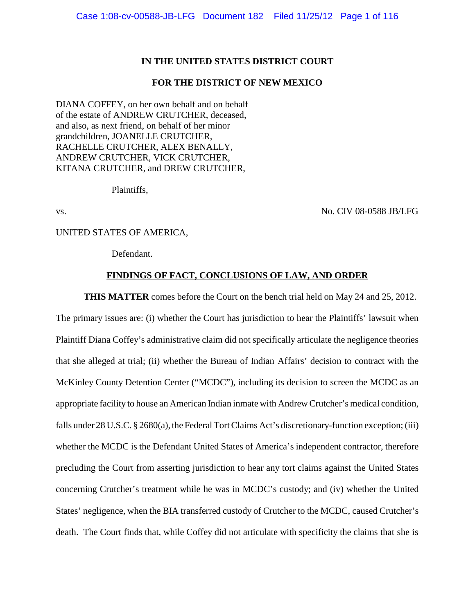## **IN THE UNITED STATES DISTRICT COURT**

### **FOR THE DISTRICT OF NEW MEXICO**

DIANA COFFEY, on her own behalf and on behalf of the estate of ANDREW CRUTCHER, deceased, and also, as next friend, on behalf of her minor grandchildren, JOANELLE CRUTCHER, RACHELLE CRUTCHER, ALEX BENALLY, ANDREW CRUTCHER, VICK CRUTCHER, KITANA CRUTCHER, and DREW CRUTCHER,

Plaintiffs,

vs. No. CIV 08-0588 JB/LFG

UNITED STATES OF AMERICA,

Defendant.

#### **FINDINGS OF FACT, CONCLUSIONS OF LAW, AND ORDER**

**THIS MATTER** comes before the Court on the bench trial held on May 24 and 25, 2012.

The primary issues are: (i) whether the Court has jurisdiction to hear the Plaintiffs' lawsuit when Plaintiff Diana Coffey's administrative claim did not specifically articulate the negligence theories that she alleged at trial; (ii) whether the Bureau of Indian Affairs' decision to contract with the McKinley County Detention Center ("MCDC"), including its decision to screen the MCDC as an appropriate facility to house an American Indian inmate with Andrew Crutcher's medical condition, falls under 28 U.S.C. § 2680(a), the Federal Tort Claims Act's discretionary-function exception; (iii) whether the MCDC is the Defendant United States of America's independent contractor, therefore precluding the Court from asserting jurisdiction to hear any tort claims against the United States concerning Crutcher's treatment while he was in MCDC's custody; and (iv) whether the United States' negligence, when the BIA transferred custody of Crutcher to the MCDC, caused Crutcher's death. The Court finds that, while Coffey did not articulate with specificity the claims that she is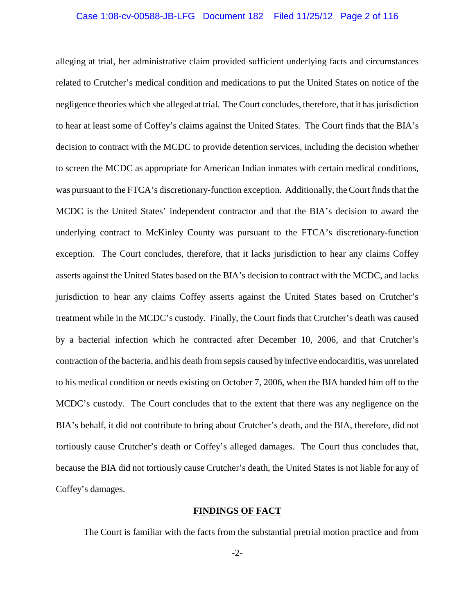#### Case 1:08-cv-00588-JB-LFG Document 182 Filed 11/25/12 Page 2 of 116

alleging at trial, her administrative claim provided sufficient underlying facts and circumstances related to Crutcher's medical condition and medications to put the United States on notice of the negligence theories which she alleged at trial. The Court concludes, therefore, that it has jurisdiction to hear at least some of Coffey's claims against the United States. The Court finds that the BIA's decision to contract with the MCDC to provide detention services, including the decision whether to screen the MCDC as appropriate for American Indian inmates with certain medical conditions, was pursuant to the FTCA's discretionary-function exception. Additionally, the Court finds that the MCDC is the United States' independent contractor and that the BIA's decision to award the underlying contract to McKinley County was pursuant to the FTCA's discretionary-function exception. The Court concludes, therefore, that it lacks jurisdiction to hear any claims Coffey asserts against the United States based on the BIA's decision to contract with the MCDC, and lacks jurisdiction to hear any claims Coffey asserts against the United States based on Crutcher's treatment while in the MCDC's custody. Finally, the Court finds that Crutcher's death was caused by a bacterial infection which he contracted after December 10, 2006, and that Crutcher's contraction of the bacteria, and his death from sepsis caused by infective endocarditis, was unrelated to his medical condition or needs existing on October 7, 2006, when the BIA handed him off to the MCDC's custody. The Court concludes that to the extent that there was any negligence on the BIA's behalf, it did not contribute to bring about Crutcher's death, and the BIA, therefore, did not tortiously cause Crutcher's death or Coffey's alleged damages. The Court thus concludes that, because the BIA did not tortiously cause Crutcher's death, the United States is not liable for any of Coffey's damages.

## **FINDINGS OF FACT**

The Court is familiar with the facts from the substantial pretrial motion practice and from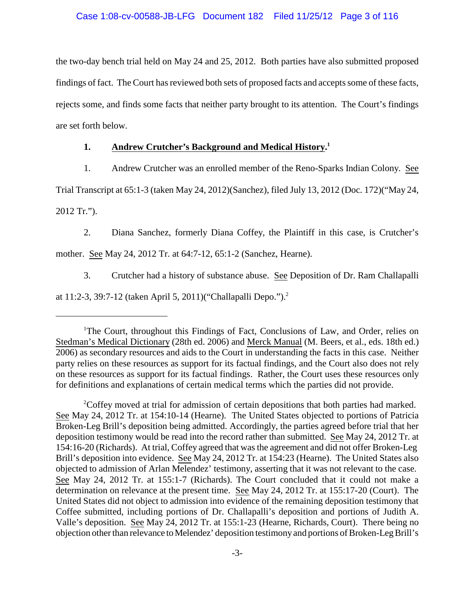the two-day bench trial held on May 24 and 25, 2012. Both parties have also submitted proposed findings of fact. The Court has reviewed both sets of proposed facts and accepts some of these facts, rejects some, and finds some facts that neither party brought to its attention. The Court's findings are set forth below.

# **1. Andrew Crutcher's Background and Medical History.<sup>1</sup>**

1. Andrew Crutcher was an enrolled member of the Reno-Sparks Indian Colony. See

Trial Transcript at 65:1-3 (taken May 24, 2012)(Sanchez), filed July 13, 2012 (Doc. 172)("May 24, 2012 Tr.").

2. Diana Sanchez, formerly Diana Coffey, the Plaintiff in this case, is Crutcher's mother. See May 24, 2012 Tr. at 64:7-12, 65:1-2 (Sanchez, Hearne).

3. Crutcher had a history of substance abuse. See Deposition of Dr. Ram Challapalli

at 11:2-3, 39:7-12 (taken April 5, 2011)("Challapalli Depo.").<sup>2</sup>

<sup>&</sup>lt;sup>1</sup>The Court, throughout this Findings of Fact, Conclusions of Law, and Order, relies on Stedman's Medical Dictionary (28th ed. 2006) and Merck Manual (M. Beers, et al., eds. 18th ed.) 2006) as secondary resources and aids to the Court in understanding the facts in this case. Neither party relies on these resources as support for its factual findings, and the Court also does not rely on these resources as support for its factual findings. Rather, the Court uses these resources only for definitions and explanations of certain medical terms which the parties did not provide.

<sup>&</sup>lt;sup>2</sup>Coffey moved at trial for admission of certain depositions that both parties had marked. See May 24, 2012 Tr. at 154:10-14 (Hearne). The United States objected to portions of Patricia Broken-Leg Brill's deposition being admitted. Accordingly, the parties agreed before trial that her deposition testimony would be read into the record rather than submitted. See May 24, 2012 Tr. at 154:16-20 (Richards). At trial, Coffey agreed that was the agreement and did not offer Broken-Leg Brill's deposition into evidence. See May 24, 2012 Tr. at 154:23 (Hearne). The United States also objected to admission of Arlan Melendez' testimony, asserting that it was not relevant to the case. See May 24, 2012 Tr. at 155:1-7 (Richards). The Court concluded that it could not make a determination on relevance at the present time. See May 24, 2012 Tr. at 155:17-20 (Court). The United States did not object to admission into evidence of the remaining deposition testimony that Coffee submitted, including portions of Dr. Challapalli's deposition and portions of Judith A. Valle's deposition. See May 24, 2012 Tr. at 155:1-23 (Hearne, Richards, Court). There being no objection other than relevance to Melendez' deposition testimony and portions of Broken-Leg Brill's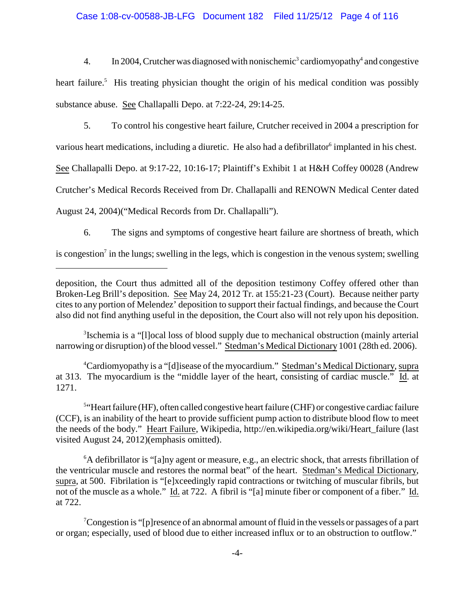# Case 1:08-cv-00588-JB-LFG Document 182 Filed 11/25/12 Page 4 of 116

4. In 2004, Crutcher was diagnosed with nonischemic<sup>3</sup> cardiomyopathy<sup>4</sup> and congestive heart failure.<sup>5</sup> His treating physician thought the origin of his medical condition was possibly substance abuse. See Challapalli Depo. at 7:22-24, 29:14-25.

5. To control his congestive heart failure, Crutcher received in 2004 a prescription for various heart medications, including a diuretic. He also had a defibrillator<sup>6</sup> implanted in his chest. See Challapalli Depo. at 9:17-22, 10:16-17; Plaintiff's Exhibit 1 at H&H Coffey 00028 (Andrew Crutcher's Medical Records Received from Dr. Challapalli and RENOWN Medical Center dated August 24, 2004)("Medical Records from Dr. Challapalli").

6. The signs and symptoms of congestive heart failure are shortness of breath, which

is congestion<sup>7</sup> in the lungs; swelling in the legs, which is congestion in the venous system; swelling

<sup>3</sup> Ischemia is a "[I]ocal loss of blood supply due to mechanical obstruction (mainly arterial narrowing or disruption) of the blood vessel." Stedman's Medical Dictionary 1001 (28th ed. 2006).

Cardiomyopathy is a "[d]isease of the myocardium." Stedman's Medical Dictionary, supra <sup>4</sup> at 313. The myocardium is the "middle layer of the heart, consisting of cardiac muscle." Id. at 1271.

 $5$ "Heart failure (HF), often called congestive heart failure (CHF) or congestive cardiac failure (CCF), is an inability of the heart to provide sufficient pump action to distribute blood flow to meet the needs of the body." Heart Failure, Wikipedia, http://en.wikipedia.org/wiki/Heart\_failure (last visited August 24, 2012)(emphasis omitted).

 ${}^6A$  defibrillator is "[a]ny agent or measure, e.g., an electric shock, that arrests fibrillation of the ventricular muscle and restores the normal beat" of the heart. Stedman's Medical Dictionary, supra, at 500. Fibrilation is "[e]xceedingly rapid contractions or twitching of muscular fibrils, but not of the muscle as a whole." Id. at 722. A fibril is "[a] minute fiber or component of a fiber." Id. at 722.

<sup>7</sup>Congestion is "[p]resence of an abnormal amount of fluid in the vessels or passages of a part or organ; especially, used of blood due to either increased influx or to an obstruction to outflow."

deposition, the Court thus admitted all of the deposition testimony Coffey offered other than Broken-Leg Brill's deposition. See May 24, 2012 Tr. at 155:21-23 (Court). Because neither party cites to any portion of Melendez' deposition to support their factual findings, and because the Court also did not find anything useful in the deposition, the Court also will not rely upon his deposition.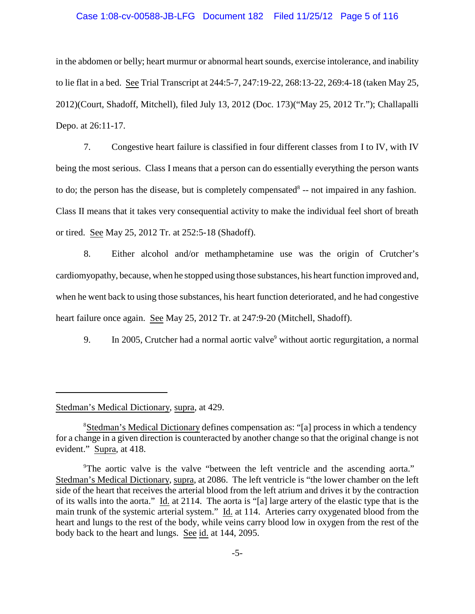#### Case 1:08-cv-00588-JB-LFG Document 182 Filed 11/25/12 Page 5 of 116

in the abdomen or belly; heart murmur or abnormal heart sounds, exercise intolerance, and inability to lie flat in a bed. See Trial Transcript at 244:5-7, 247:19-22, 268:13-22, 269:4-18 (taken May 25, 2012)(Court, Shadoff, Mitchell), filed July 13, 2012 (Doc. 173)("May 25, 2012 Tr."); Challapalli Depo. at 26:11-17.

7. Congestive heart failure is classified in four different classes from I to IV, with IV being the most serious. Class I means that a person can do essentially everything the person wants to do; the person has the disease, but is completely compensated  $-$  not impaired in any fashion. Class II means that it takes very consequential activity to make the individual feel short of breath or tired. See May 25, 2012 Tr. at 252:5-18 (Shadoff).

8. Either alcohol and/or methamphetamine use was the origin of Crutcher's cardiomyopathy, because, when he stopped using those substances, his heart function improved and, when he went back to using those substances, his heart function deteriorated, and he had congestive heart failure once again. See May 25, 2012 Tr. at 247:9-20 (Mitchell, Shadoff).

9. In 2005, Crutcher had a normal aortic valve<sup>9</sup> without aortic regurgitation, a normal

Stedman's Medical Dictionary, supra, at 429.

<sup>&</sup>lt;sup>8</sup>Stedman's Medical Dictionary defines compensation as: "[a] process in which a tendency for a change in a given direction is counteracted by another change so that the original change is not evident." Supra, at 418.

<sup>&</sup>lt;sup>9</sup>The aortic valve is the valve "between the left ventricle and the ascending aorta." Stedman's Medical Dictionary, supra, at 2086. The left ventricle is "the lower chamber on the left side of the heart that receives the arterial blood from the left atrium and drives it by the contraction of its walls into the aorta." Id. at 2114. The aorta is "[a] large artery of the elastic type that is the main trunk of the systemic arterial system." Id. at 114. Arteries carry oxygenated blood from the heart and lungs to the rest of the body, while veins carry blood low in oxygen from the rest of the body back to the heart and lungs. See id. at 144, 2095.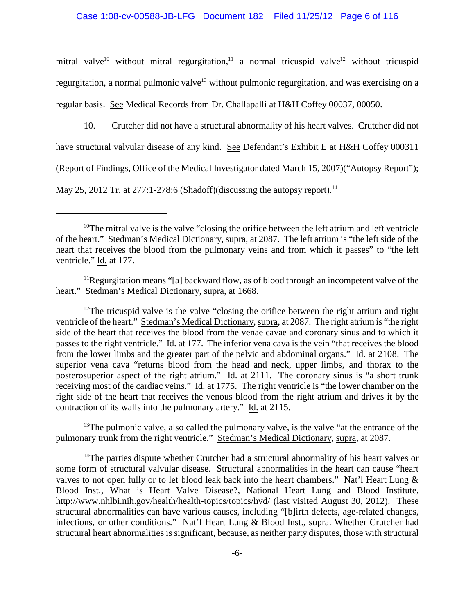mitral valve<sup>10</sup> without mitral regurgitation,<sup>11</sup> a normal tricuspid valve<sup>12</sup> without tricuspid regurgitation, a normal pulmonic valve<sup>13</sup> without pulmonic regurgitation, and was exercising on a regular basis. See Medical Records from Dr. Challapalli at H&H Coffey 00037, 00050.

10. Crutcher did not have a structural abnormality of his heart valves. Crutcher did not have structural valvular disease of any kind. See Defendant's Exhibit E at H&H Coffey 000311 (Report of Findings, Office of the Medical Investigator dated March 15, 2007)("Autopsy Report"); May 25, 2012 Tr. at 277:1-278:6 (Shadoff)(discussing the autopsy report).<sup>14</sup>

<sup>12</sup>The tricuspid valve is the valve "closing the orifice between the right atrium and right ventricle of the heart." Stedman's Medical Dictionary, supra, at 2087. The right atrium is "the right side of the heart that receives the blood from the venae cavae and coronary sinus and to which it passes to the right ventricle." Id. at 177. The inferior vena cava is the vein "that receives the blood from the lower limbs and the greater part of the pelvic and abdominal organs." Id. at 2108. The superior vena cava "returns blood from the head and neck, upper limbs, and thorax to the posterosuperior aspect of the right atrium." Id. at 2111. The coronary sinus is "a short trunk receiving most of the cardiac veins." Id. at 1775. The right ventricle is "the lower chamber on the right side of the heart that receives the venous blood from the right atrium and drives it by the contraction of its walls into the pulmonary artery." Id. at 2115.

 $13$ <sup>13</sup>The pulmonic valve, also called the pulmonary valve, is the valve "at the entrance of the pulmonary trunk from the right ventricle." Stedman's Medical Dictionary, supra, at 2087.

 $14$ <sup>14</sup>The parties dispute whether Crutcher had a structural abnormality of his heart valves or some form of structural valvular disease. Structural abnormalities in the heart can cause "heart valves to not open fully or to let blood leak back into the heart chambers." Nat'l Heart Lung & Blood Inst., What is Heart Valve Disease?, National Heart Lung and Blood Institute, http://www.nhlbi.nih.gov/health/health-topics/topics/hvd/ (last visited August 30, 2012). These structural abnormalities can have various causes, including "[b]irth defects, age-related changes, infections, or other conditions." Nat'l Heart Lung & Blood Inst., supra. Whether Crutcher had structural heart abnormalities is significant, because, as neither party disputes, those with structural

 $10$ <sup>n</sup> The mitral valve is the valve "closing the orifice between the left atrium and left ventricle of the heart." Stedman's Medical Dictionary, supra, at 2087. The left atrium is "the left side of the heart that receives the blood from the pulmonary veins and from which it passes" to "the left ventricle." Id. at 177.

 $11$ Regurgitation means "[a] backward flow, as of blood through an incompetent valve of the heart." Stedman's Medical Dictionary, supra, at 1668.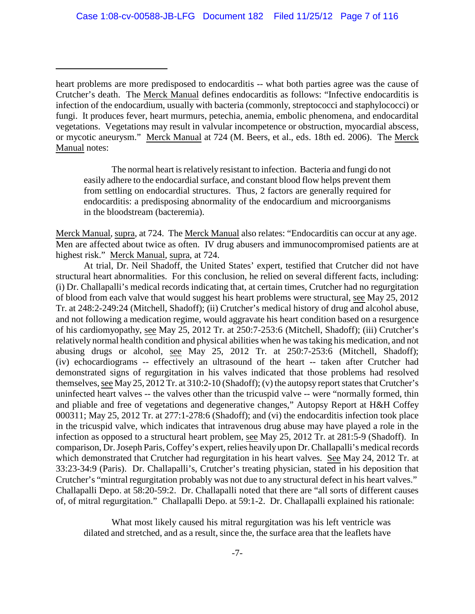The normal heart is relatively resistant to infection. Bacteria and fungi do not easily adhere to the endocardial surface, and constant blood flow helps prevent them from settling on endocardial structures. Thus, 2 factors are generally required for endocarditis: a predisposing abnormality of the endocardium and microorganisms in the bloodstream (bacteremia).

Merck Manual, supra, at 724. The Merck Manual also relates: "Endocarditis can occur at any age. Men are affected about twice as often. IV drug abusers and immunocompromised patients are at highest risk." Merck Manual, supra, at 724.

At trial, Dr. Neil Shadoff, the United States' expert, testified that Crutcher did not have structural heart abnormalities. For this conclusion, he relied on several different facts, including: (i) Dr. Challapalli's medical records indicating that, at certain times, Crutcher had no regurgitation of blood from each valve that would suggest his heart problems were structural, see May 25, 2012 Tr. at 248:2-249:24 (Mitchell, Shadoff); (ii) Crutcher's medical history of drug and alcohol abuse, and not following a medication regime, would aggravate his heart condition based on a resurgence of his cardiomyopathy, see May 25, 2012 Tr. at 250:7-253:6 (Mitchell, Shadoff); (iii) Crutcher's relatively normal health condition and physical abilities when he was taking his medication, and not abusing drugs or alcohol, see May 25, 2012 Tr. at 250:7-253:6 (Mitchell, Shadoff); (iv) echocardiograms -- effectively an ultrasound of the heart -- taken after Crutcher had demonstrated signs of regurgitation in his valves indicated that those problems had resolved themselves, see May 25, 2012 Tr. at 310:2-10 (Shadoff); (v) the autopsy report states that Crutcher's uninfected heart valves -- the valves other than the tricuspid valve -- were "normally formed, thin and pliable and free of vegetations and degenerative changes," Autopsy Report at H&H Coffey 000311; May 25, 2012 Tr. at 277:1-278:6 (Shadoff); and (vi) the endocarditis infection took place in the tricuspid valve, which indicates that intravenous drug abuse may have played a role in the infection as opposed to a structural heart problem, see May 25, 2012 Tr. at 281:5-9 (Shadoff). In comparison, Dr. Joseph Paris, Coffey's expert, relies heavily upon Dr. Challapalli's medical records which demonstrated that Crutcher had regurgitation in his heart valves. See May 24, 2012 Tr. at 33:23-34:9 (Paris). Dr. Challapalli's, Crutcher's treating physician, stated in his deposition that Crutcher's "mintral regurgitation probably was not due to any structural defect in his heart valves." Challapalli Depo. at 58:20-59:2. Dr. Challapalli noted that there are "all sorts of different causes of, of mitral regurgitation." Challapalli Depo. at 59:1-2. Dr. Challapalli explained his rationale:

What most likely caused his mitral regurgitation was his left ventricle was dilated and stretched, and as a result, since the, the surface area that the leaflets have

heart problems are more predisposed to endocarditis -- what both parties agree was the cause of Crutcher's death. The Merck Manual defines endocarditis as follows: "Infective endocarditis is infection of the endocardium, usually with bacteria (commonly, streptococci and staphylococci) or fungi. It produces fever, heart murmurs, petechia, anemia, embolic phenomena, and endocardital vegetations. Vegetations may result in valvular incompetence or obstruction, myocardial abscess, or mycotic aneurysm." Merck Manual at 724 (M. Beers, et al., eds. 18th ed. 2006). The Merck Manual notes: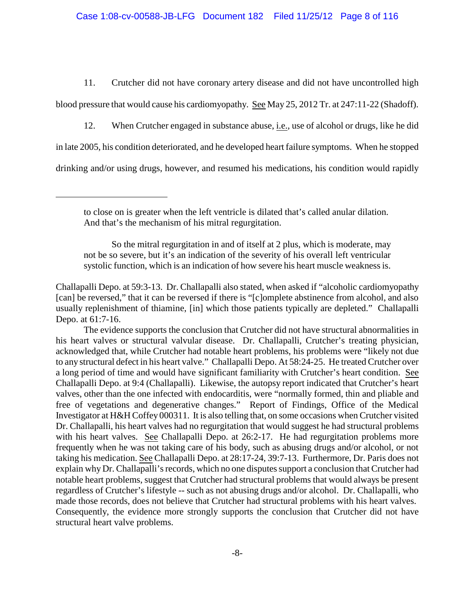11. Crutcher did not have coronary artery disease and did not have uncontrolled high blood pressure that would cause his cardiomyopathy. See May 25, 2012 Tr. at 247:11-22 (Shadoff).

12. When Crutcher engaged in substance abuse, i.e., use of alcohol or drugs, like he did

in late 2005, his condition deteriorated, and he developed heart failure symptoms. When he stopped

drinking and/or using drugs, however, and resumed his medications, his condition would rapidly

So the mitral regurgitation in and of itself at 2 plus, which is moderate, may not be so severe, but it's an indication of the severity of his overall left ventricular systolic function, which is an indication of how severe his heart muscle weakness is.

Challapalli Depo. at 59:3-13. Dr. Challapalli also stated, when asked if "alcoholic cardiomyopathy [can] be reversed," that it can be reversed if there is "[c]omplete abstinence from alcohol, and also usually replenishment of thiamine, [in] which those patients typically are depleted." Challapalli Depo. at 61:7-16.

The evidence supports the conclusion that Crutcher did not have structural abnormalities in his heart valves or structural valvular disease. Dr. Challapalli, Crutcher's treating physician, acknowledged that, while Crutcher had notable heart problems, his problems were "likely not due to any structural defect in his heart valve." Challapalli Depo. At 58:24-25. He treated Crutcher over a long period of time and would have significant familiarity with Crutcher's heart condition. See Challapalli Depo. at 9:4 (Challapalli). Likewise, the autopsy report indicated that Crutcher's heart valves, other than the one infected with endocarditis, were "normally formed, thin and pliable and free of vegetations and degenerative changes." Report of Findings, Office of the Medical Investigator at H&H Coffey 000311. It is also telling that, on some occasions when Crutcher visited Dr. Challapalli, his heart valves had no regurgitation that would suggest he had structural problems with his heart valves. See Challapalli Depo. at 26:2-17. He had regurgitation problems more frequently when he was not taking care of his body, such as abusing drugs and/or alcohol, or not taking his medication. See Challapalli Depo. at 28:17-24, 39:7-13. Furthermore, Dr. Paris does not explain why Dr. Challapalli's records, which no one disputes support a conclusion that Crutcher had notable heart problems, suggest that Crutcher had structural problems that would always be present regardless of Crutcher's lifestyle -- such as not abusing drugs and/or alcohol. Dr. Challapalli, who made those records, does not believe that Crutcher had structural problems with his heart valves. Consequently, the evidence more strongly supports the conclusion that Crutcher did not have structural heart valve problems.

to close on is greater when the left ventricle is dilated that's called anular dilation. And that's the mechanism of his mitral regurgitation.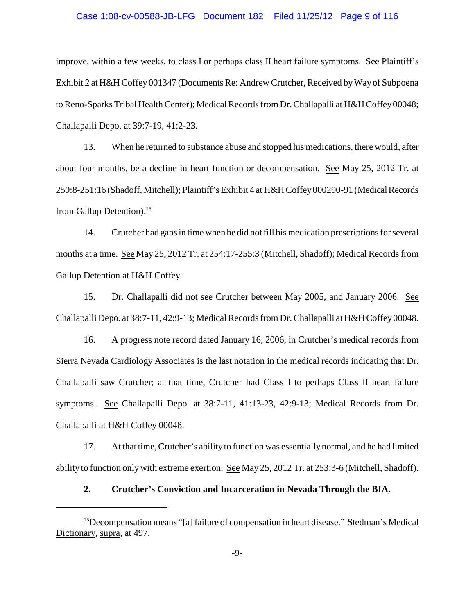#### Case 1:08-cv-00588-JB-LFG Document 182 Filed 11/25/12 Page 9 of 116

improve, within a few weeks, to class I or perhaps class II heart failure symptoms. See Plaintiff's Exhibit 2 at H&H Coffey 001347 (Documents Re: Andrew Crutcher, Received by Way of Subpoena to Reno-Sparks Tribal Health Center); Medical Records from Dr. Challapalli at H&H Coffey00048; Challapalli Depo. at 39:7-19, 41:2-23.

13. When he returned to substance abuse and stopped his medications, there would, after about four months, be a decline in heart function or decompensation. See May 25, 2012 Tr. at 250:8-251:16 (Shadoff, Mitchell); Plaintiff's Exhibit 4 at H&H Coffey000290-91 (Medical Records from Gallup Detention).<sup>15</sup>

14. Crutcher had gaps in time when he did not fill his medication prescriptions for several months at a time. See May 25, 2012 Tr. at 254:17-255:3 (Mitchell, Shadoff); Medical Records from Gallup Detention at H&H Coffey.

15. Dr. Challapalli did not see Crutcher between May 2005, and January 2006. See Challapalli Depo. at 38:7-11, 42:9-13; Medical Records from Dr. Challapalli at H&H Coffey00048.

16. A progress note record dated January 16, 2006, in Crutcher's medical records from Sierra Nevada Cardiology Associates is the last notation in the medical records indicating that Dr. Challapalli saw Crutcher; at that time, Crutcher had Class I to perhaps Class II heart failure symptoms. See Challapalli Depo. at 38:7-11, 41:13-23, 42:9-13; Medical Records from Dr. Challapalli at H&H Coffey 00048.

17. At that time, Crutcher's ability to function was essentially normal, and he had limited ability to function only with extreme exertion. See May 25, 2012 Tr. at 253:3-6 (Mitchell, Shadoff).

### **2. Crutcher's Conviction and Incarceration in Nevada Through the BIA.**

<sup>&</sup>lt;sup>15</sup>Decompensation means "[a] failure of compensation in heart disease." Stedman's Medical Dictionary, supra, at 497.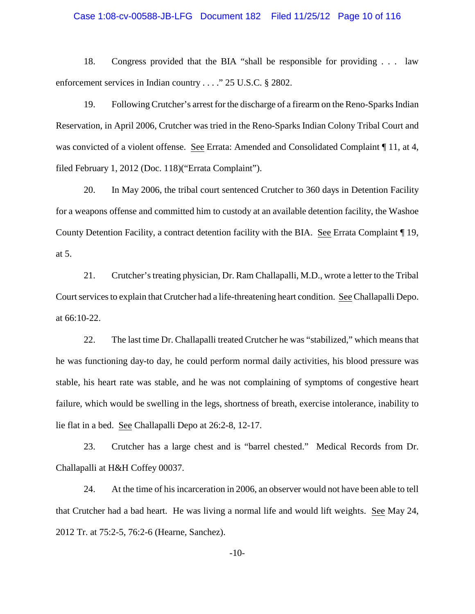#### Case 1:08-cv-00588-JB-LFG Document 182 Filed 11/25/12 Page 10 of 116

18. Congress provided that the BIA "shall be responsible for providing . . . law enforcement services in Indian country . . . ." 25 U.S.C. § 2802.

19. Following Crutcher's arrest for the discharge of a firearm on the Reno-Sparks Indian Reservation, in April 2006, Crutcher was tried in the Reno-Sparks Indian Colony Tribal Court and was convicted of a violent offense. See Errata: Amended and Consolidated Complaint  $\P$  11, at 4, filed February 1, 2012 (Doc. 118)("Errata Complaint").

20. In May 2006, the tribal court sentenced Crutcher to 360 days in Detention Facility for a weapons offense and committed him to custody at an available detention facility, the Washoe County Detention Facility, a contract detention facility with the BIA. See Errata Complaint ¶ 19, at 5.

21. Crutcher's treating physician, Dr. Ram Challapalli, M.D., wrote a letter to the Tribal Court services to explain that Crutcher had a life-threatening heart condition. See Challapalli Depo. at 66:10-22.

22. The last time Dr. Challapalli treated Crutcher he was "stabilized," which means that he was functioning day-to day, he could perform normal daily activities, his blood pressure was stable, his heart rate was stable, and he was not complaining of symptoms of congestive heart failure, which would be swelling in the legs, shortness of breath, exercise intolerance, inability to lie flat in a bed. See Challapalli Depo at 26:2-8, 12-17.

23. Crutcher has a large chest and is "barrel chested." Medical Records from Dr. Challapalli at H&H Coffey 00037.

24. At the time of his incarceration in 2006, an observer would not have been able to tell that Crutcher had a bad heart. He was living a normal life and would lift weights. See May 24, 2012 Tr. at 75:2-5, 76:2-6 (Hearne, Sanchez).

-10-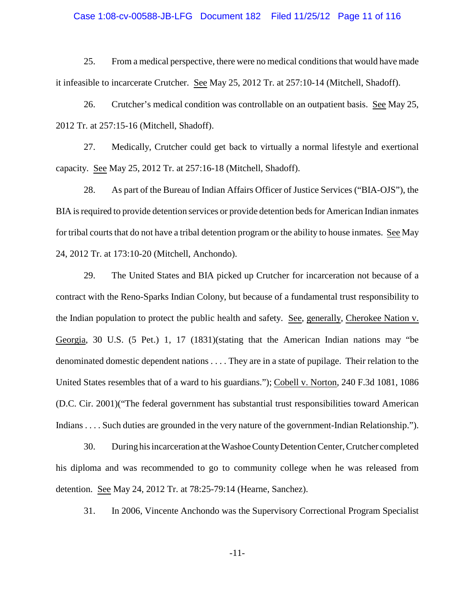#### Case 1:08-cv-00588-JB-LFG Document 182 Filed 11/25/12 Page 11 of 116

25. From a medical perspective, there were no medical conditions that would have made it infeasible to incarcerate Crutcher. See May 25, 2012 Tr. at 257:10-14 (Mitchell, Shadoff).

26. Crutcher's medical condition was controllable on an outpatient basis. See May 25, 2012 Tr. at 257:15-16 (Mitchell, Shadoff).

27. Medically, Crutcher could get back to virtually a normal lifestyle and exertional capacity. See May 25, 2012 Tr. at 257:16-18 (Mitchell, Shadoff).

28. As part of the Bureau of Indian Affairs Officer of Justice Services ("BIA-OJS"), the BIA is required to provide detention services or provide detention beds for American Indian inmates for tribal courts that do not have a tribal detention program or the ability to house inmates. See May 24, 2012 Tr. at 173:10-20 (Mitchell, Anchondo).

29. The United States and BIA picked up Crutcher for incarceration not because of a contract with the Reno-Sparks Indian Colony, but because of a fundamental trust responsibility to the Indian population to protect the public health and safety. See, generally, Cherokee Nation v. Georgia, 30 U.S. (5 Pet.) 1, 17 (1831)(stating that the American Indian nations may "be denominated domestic dependent nations . . . . They are in a state of pupilage. Their relation to the United States resembles that of a ward to his guardians."); Cobell v. Norton, 240 F.3d 1081, 1086 (D.C. Cir. 2001)("The federal government has substantial trust responsibilities toward American Indians . . . . Such duties are grounded in the very nature of the government-Indian Relationship.").

30. During his incarceration at theWashoeCountyDetention Center, Crutcher completed his diploma and was recommended to go to community college when he was released from detention. See May 24, 2012 Tr. at 78:25-79:14 (Hearne, Sanchez).

31. In 2006, Vincente Anchondo was the Supervisory Correctional Program Specialist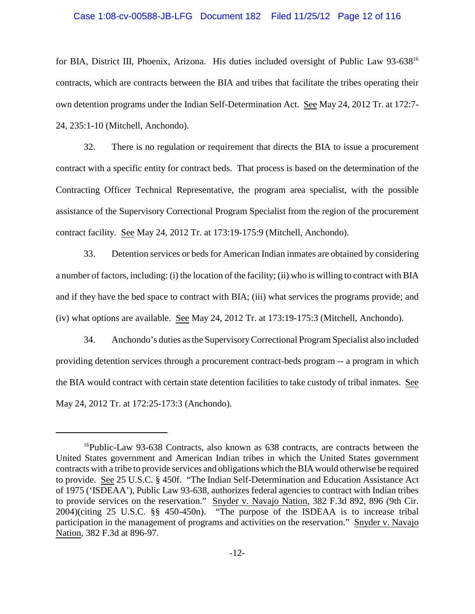#### Case 1:08-cv-00588-JB-LFG Document 182 Filed 11/25/12 Page 12 of 116

for BIA, District III, Phoenix, Arizona. His duties included oversight of Public Law 93-638<sup>16</sup> contracts, which are contracts between the BIA and tribes that facilitate the tribes operating their own detention programs under the Indian Self-Determination Act. See May 24, 2012 Tr. at 172:7- 24, 235:1-10 (Mitchell, Anchondo).

32. There is no regulation or requirement that directs the BIA to issue a procurement contract with a specific entity for contract beds. That process is based on the determination of the Contracting Officer Technical Representative, the program area specialist, with the possible assistance of the Supervisory Correctional Program Specialist from the region of the procurement contract facility. See May 24, 2012 Tr. at 173:19-175:9 (Mitchell, Anchondo).

33. Detention services or beds for American Indian inmates are obtained by considering a number of factors, including: (i) the location of the facility; (ii) who is willing to contract with BIA and if they have the bed space to contract with BIA; (iii) what services the programs provide; and (iv) what options are available. See May 24, 2012 Tr. at 173:19-175:3 (Mitchell, Anchondo).

34. Anchondo's duties as the SupervisoryCorrectional Program Specialist also included providing detention services through a procurement contract-beds program -- a program in which the BIA would contract with certain state detention facilities to take custody of tribal inmates. See May 24, 2012 Tr. at 172:25-173:3 (Anchondo).

 $16$ Public-Law 93-638 Contracts, also known as 638 contracts, are contracts between the United States government and American Indian tribes in which the United States government contracts with a tribe to provide services and obligations which the BIA would otherwise be required to provide. See 25 U.S.C. § 450f. "The Indian Self-Determination and Education Assistance Act of 1975 ('ISDEAA'), Public Law 93-638, authorizes federal agencies to contract with Indian tribes to provide services on the reservation." Snyder v. Navajo Nation, 382 F.3d 892, 896 (9th Cir. 2004)(citing 25 U.S.C. §§ 450-450n). "The purpose of the ISDEAA is to increase tribal participation in the management of programs and activities on the reservation." Snyder v. Navajo Nation, 382 F.3d at 896-97.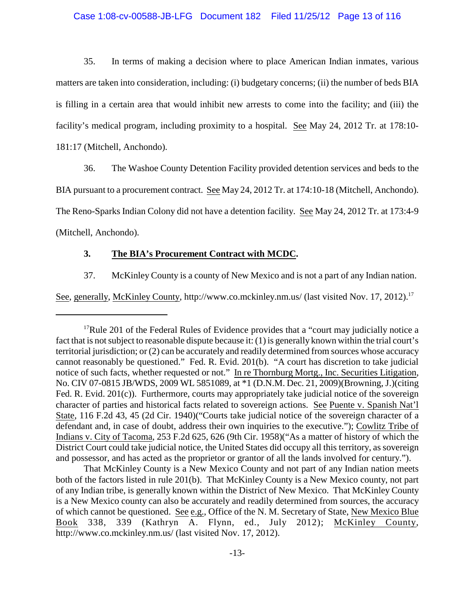### Case 1:08-cv-00588-JB-LFG Document 182 Filed 11/25/12 Page 13 of 116

35. In terms of making a decision where to place American Indian inmates, various matters are taken into consideration, including: (i) budgetary concerns; (ii) the number of beds BIA is filling in a certain area that would inhibit new arrests to come into the facility; and (iii) the facility's medical program, including proximity to a hospital. See May 24, 2012 Tr. at 178:10- 181:17 (Mitchell, Anchondo).

36. The Washoe County Detention Facility provided detention services and beds to the

BIA pursuant to a procurement contract. See May 24, 2012 Tr. at 174:10-18 (Mitchell, Anchondo).

The Reno-Sparks Indian Colony did not have a detention facility. See May 24, 2012 Tr. at 173:4-9

(Mitchell, Anchondo).

### **3. The BIA's Procurement Contract with MCDC.**

37. McKinley County is a county of New Mexico and is not a part of any Indian nation.

See, generally, McKinley County, http://www.co.mckinley.nm.us/ (last visited Nov. 17, 2012).<sup>17</sup>

<sup>&</sup>lt;sup>17</sup>Rule 201 of the Federal Rules of Evidence provides that a "court may judicially notice a fact that is not subject to reasonable dispute because it: (1) is generally known within the trial court's territorial jurisdiction; or (2) can be accurately and readily determined from sources whose accuracy cannot reasonably be questioned." Fed. R. Evid. 201(b). "A court has discretion to take judicial notice of such facts, whether requested or not." In re Thornburg Mortg., Inc. Securities Litigation, No. CIV 07-0815 JB/WDS, 2009 WL 5851089, at \*1 (D.N.M. Dec. 21, 2009)(Browning, J.)(citing Fed. R. Evid. 201(c)). Furthermore, courts may appropriately take judicial notice of the sovereign character of parties and historical facts related to sovereign actions. See Puente v. Spanish Nat'l State, 116 F.2d 43, 45 (2d Cir. 1940)("Courts take judicial notice of the sovereign character of a defendant and, in case of doubt, address their own inquiries to the executive."); Cowlitz Tribe of Indians v. City of Tacoma, 253 F.2d 625, 626 (9th Cir. 1958)("As a matter of history of which the District Court could take judicial notice, the United States did occupy all this territory, as sovereign and possessor, and has acted as the proprietor or grantor of all the lands involved for century.").

That McKinley County is a New Mexico County and not part of any Indian nation meets both of the factors listed in rule 201(b). That McKinley County is a New Mexico county, not part of any Indian tribe, is generally known within the District of New Mexico. That McKinley County is a New Mexico county can also be accurately and readily determined from sources, the accuracy of which cannot be questioned. See e.g., Office of the N. M. Secretary of State, New Mexico Blue Book 338, 339 (Kathryn A. Flynn, ed., July 2012); McKinley County, http://www.co.mckinley.nm.us/ (last visited Nov. 17, 2012).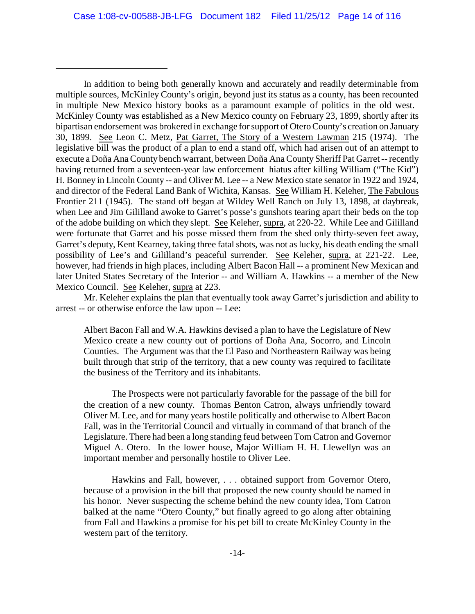In addition to being both generally known and accurately and readily determinable from multiple sources, McKinley County's origin, beyond just its status as a county, has been recounted in multiple New Mexico history books as a paramount example of politics in the old west. McKinley County was established as a New Mexico county on February 23, 1899, shortly after its bipartisan endorsement was brokered in exchange for support of Otero County's creation on January 30, 1899. See Leon C. Metz, Pat Garret, The Story of a Western Lawman 215 (1974). The legislative bill was the product of a plan to end a stand off, which had arisen out of an attempt to execute a Doña Ana County bench warrant, between Doña Ana County Sheriff Pat Garret -- recently having returned from a seventeen-year law enforcement hiatus after killing William ("The Kid") H. Bonney in Lincoln County -- and Oliver M. Lee -- a New Mexico state senator in 1922 and 1924, and director of the Federal Land Bank of Wichita, Kansas. See William H. Keleher, The Fabulous Frontier 211 (1945). The stand off began at Wildey Well Ranch on July 13, 1898, at daybreak, when Lee and Jim Gililland awoke to Garret's posse's gunshots tearing apart their beds on the top of the adobe building on which they slept. See Keleher, supra, at 220-22. While Lee and Gililland were fortunate that Garret and his posse missed them from the shed only thirty-seven feet away, Garret's deputy, Kent Kearney, taking three fatal shots, was not as lucky, his death ending the small possibility of Lee's and Gililland's peaceful surrender. See Keleher, supra, at 221-22. Lee, however, had friends in high places, including Albert Bacon Hall -- a prominent New Mexican and later United States Secretary of the Interior -- and William A. Hawkins -- a member of the New Mexico Council. See Keleher, supra at 223.

Mr. Keleher explains the plan that eventually took away Garret's jurisdiction and ability to arrest -- or otherwise enforce the law upon -- Lee:

Albert Bacon Fall and W.A. Hawkins devised a plan to have the Legislature of New Mexico create a new county out of portions of Doña Ana, Socorro, and Lincoln Counties. The Argument was that the El Paso and Northeastern Railway was being built through that strip of the territory, that a new county was required to facilitate the business of the Territory and its inhabitants.

The Prospects were not particularly favorable for the passage of the bill for the creation of a new county. Thomas Benton Catron, always unfriendly toward Oliver M. Lee, and for many years hostile politically and otherwise to Albert Bacon Fall, was in the Territorial Council and virtually in command of that branch of the Legislature. There had been a long standing feud between Tom Catron and Governor Miguel A. Otero. In the lower house, Major William H. H. Llewellyn was an important member and personally hostile to Oliver Lee.

Hawkins and Fall, however, . . . obtained support from Governor Otero, because of a provision in the bill that proposed the new county should be named in his honor. Never suspecting the scheme behind the new county idea, Tom Catron balked at the name "Otero County," but finally agreed to go along after obtaining from Fall and Hawkins a promise for his pet bill to create McKinley County in the western part of the territory.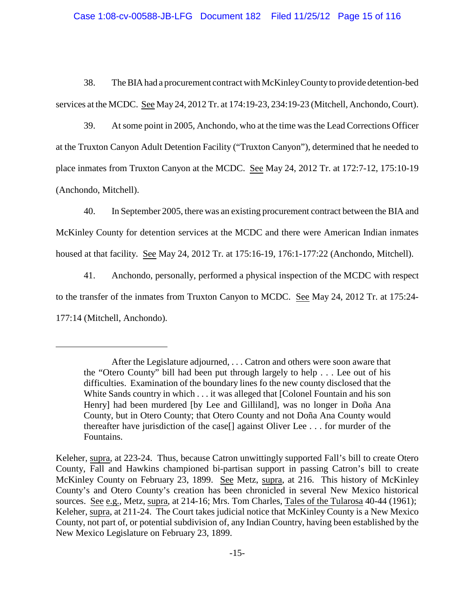## Case 1:08-cv-00588-JB-LFG Document 182 Filed 11/25/12 Page 15 of 116

38. The BIAhad a procurement contract with McKinleyCountyto provide detention-bed services at the MCDC. See May 24, 2012 Tr. at 174:19-23, 234:19-23 (Mitchell, Anchondo, Court).

39. At some point in 2005, Anchondo, who at the time was the Lead Corrections Officer at the Truxton Canyon Adult Detention Facility ("Truxton Canyon"), determined that he needed to place inmates from Truxton Canyon at the MCDC. See May 24, 2012 Tr. at 172:7-12, 175:10-19 (Anchondo, Mitchell).

40. In September 2005, there was an existing procurement contract between the BIA and McKinley County for detention services at the MCDC and there were American Indian inmates housed at that facility. See May 24, 2012 Tr. at 175:16-19, 176:1-177:22 (Anchondo, Mitchell).

41. Anchondo, personally, performed a physical inspection of the MCDC with respect to the transfer of the inmates from Truxton Canyon to MCDC. See May 24, 2012 Tr. at 175:24- 177:14 (Mitchell, Anchondo).

After the Legislature adjourned, . . . Catron and others were soon aware that the "Otero County" bill had been put through largely to help . . . Lee out of his difficulties. Examination of the boundary lines fo the new county disclosed that the White Sands country in which . . . it was alleged that [Colonel Fountain and his son Henry] had been murdered [by Lee and Gilliland], was no longer in Doña Ana County, but in Otero County; that Otero County and not Doña Ana County would thereafter have jurisdiction of the case[] against Oliver Lee . . . for murder of the Fountains.

Keleher, supra, at 223-24. Thus, because Catron unwittingly supported Fall's bill to create Otero County, Fall and Hawkins championed bi-partisan support in passing Catron's bill to create McKinley County on February 23, 1899. See Metz, supra, at 216. This history of McKinley County's and Otero County's creation has been chronicled in several New Mexico historical sources. See e.g., Metz, supra, at 214-16; Mrs. Tom Charles, Tales of the Tularosa 40-44 (1961); Keleher, supra, at 211-24. The Court takes judicial notice that McKinley County is a New Mexico County, not part of, or potential subdivision of, any Indian Country, having been established by the New Mexico Legislature on February 23, 1899.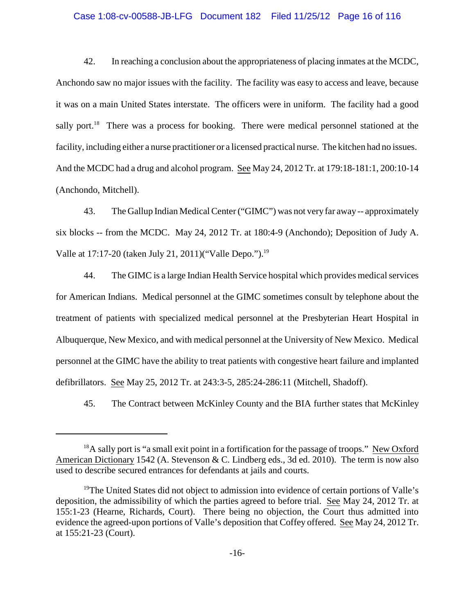#### Case 1:08-cv-00588-JB-LFG Document 182 Filed 11/25/12 Page 16 of 116

42. In reaching a conclusion about the appropriateness of placing inmates at the MCDC, Anchondo saw no major issues with the facility. The facility was easy to access and leave, because it was on a main United States interstate. The officers were in uniform. The facility had a good sally port.<sup>18</sup> There was a process for booking. There were medical personnel stationed at the facility, including either a nurse practitioner or a licensed practical nurse. The kitchen had no issues. And the MCDC had a drug and alcohol program. See May 24, 2012 Tr. at 179:18-181:1, 200:10-14 (Anchondo, Mitchell).

43. The Gallup Indian Medical Center ("GIMC") was not very far away -- approximately six blocks -- from the MCDC. May 24, 2012 Tr. at 180:4-9 (Anchondo); Deposition of Judy A. Valle at 17:17-20 (taken July 21, 2011)("Valle Depo.").<sup>19</sup>

44. The GIMC is a large Indian Health Service hospital which provides medical services for American Indians. Medical personnel at the GIMC sometimes consult by telephone about the treatment of patients with specialized medical personnel at the Presbyterian Heart Hospital in Albuquerque, New Mexico, and with medical personnel at the University of New Mexico. Medical personnel at the GIMC have the ability to treat patients with congestive heart failure and implanted defibrillators. See May 25, 2012 Tr. at 243:3-5, 285:24-286:11 (Mitchell, Shadoff).

45. The Contract between McKinley County and the BIA further states that McKinley

 $^{18}$ A sally port is "a small exit point in a fortification for the passage of troops." New Oxford American Dictionary 1542 (A. Stevenson & C. Lindberg eds., 3d ed. 2010). The term is now also used to describe secured entrances for defendants at jails and courts.

<sup>&</sup>lt;sup>19</sup>The United States did not object to admission into evidence of certain portions of Valle's deposition, the admissibility of which the parties agreed to before trial. See May 24, 2012 Tr. at 155:1-23 (Hearne, Richards, Court). There being no objection, the Court thus admitted into evidence the agreed-upon portions of Valle's deposition that Coffey offered. See May 24, 2012 Tr. at 155:21-23 (Court).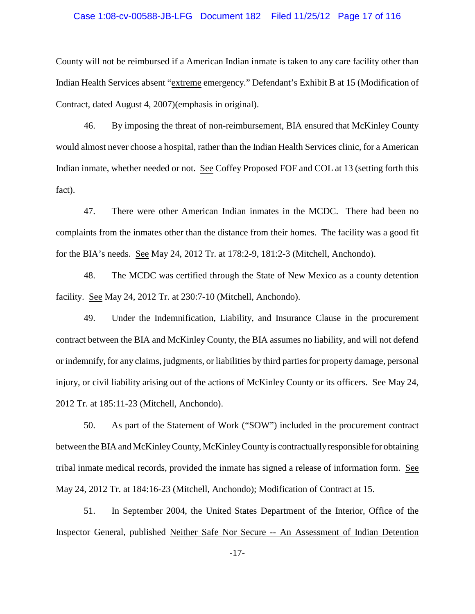#### Case 1:08-cv-00588-JB-LFG Document 182 Filed 11/25/12 Page 17 of 116

County will not be reimbursed if a American Indian inmate is taken to any care facility other than Indian Health Services absent "extreme emergency." Defendant's Exhibit B at 15 (Modification of Contract, dated August 4, 2007)(emphasis in original).

46. By imposing the threat of non-reimbursement, BIA ensured that McKinley County would almost never choose a hospital, rather than the Indian Health Services clinic, for a American Indian inmate, whether needed or not. See Coffey Proposed FOF and COL at 13 (setting forth this fact).

47. There were other American Indian inmates in the MCDC. There had been no complaints from the inmates other than the distance from their homes. The facility was a good fit for the BIA's needs. See May 24, 2012 Tr. at 178:2-9, 181:2-3 (Mitchell, Anchondo).

48. The MCDC was certified through the State of New Mexico as a county detention facility. See May 24, 2012 Tr. at 230:7-10 (Mitchell, Anchondo).

49. Under the Indemnification, Liability, and Insurance Clause in the procurement contract between the BIA and McKinley County, the BIA assumes no liability, and will not defend or indemnify, for any claims, judgments, or liabilities by third parties for property damage, personal injury, or civil liability arising out of the actions of McKinley County or its officers. See May 24, 2012 Tr. at 185:11-23 (Mitchell, Anchondo).

50. As part of the Statement of Work ("SOW") included in the procurement contract between the BIA and McKinleyCounty, McKinleyCounty is contractuallyresponsible for obtaining tribal inmate medical records, provided the inmate has signed a release of information form. See May 24, 2012 Tr. at 184:16-23 (Mitchell, Anchondo); Modification of Contract at 15.

51. In September 2004, the United States Department of the Interior, Office of the Inspector General, published Neither Safe Nor Secure -- An Assessment of Indian Detention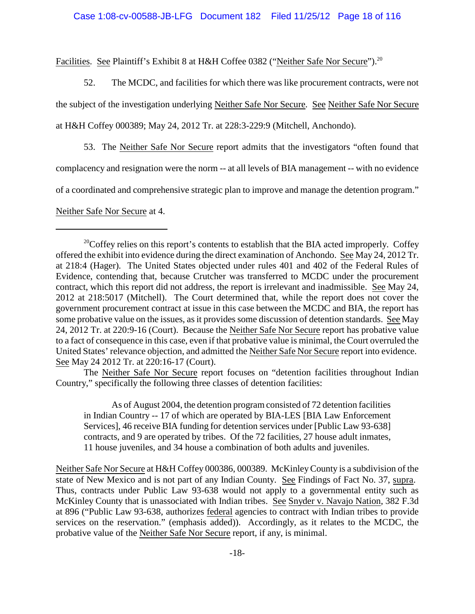Facilities. See Plaintiff's Exhibit 8 at H&H Coffee 0382 ("Neither Safe Nor Secure").<sup>20</sup>

52. The MCDC, and facilities for which there was like procurement contracts, were not the subject of the investigation underlying Neither Safe Nor Secure. See Neither Safe Nor Secure at H&H Coffey 000389; May 24, 2012 Tr. at 228:3-229:9 (Mitchell, Anchondo).

53. The Neither Safe Nor Secure report admits that the investigators "often found that complacency and resignation were the norm -- at all levels of BIA management -- with no evidence of a coordinated and comprehensive strategic plan to improve and manage the detention program." Neither Safe Nor Secure at 4.

The Neither Safe Nor Secure report focuses on "detention facilities throughout Indian Country," specifically the following three classes of detention facilities:

As of August 2004, the detention program consisted of 72 detention facilities in Indian Country -- 17 of which are operated by BIA-LES [BIA Law Enforcement Services], 46 receive BIA funding for detention services under [Public Law 93-638] contracts, and 9 are operated by tribes. Of the 72 facilities, 27 house adult inmates, 11 house juveniles, and 34 house a combination of both adults and juveniles.

Neither Safe Nor Secure at H&H Coffey 000386, 000389. McKinleyCounty is a subdivision of the state of New Mexico and is not part of any Indian County. See Findings of Fact No. 37, supra. Thus, contracts under Public Law 93-638 would not apply to a governmental entity such as McKinley County that is unassociated with Indian tribes. See Snyder v. Navajo Nation, 382 F.3d at 896 ("Public Law 93-638, authorizes federal agencies to contract with Indian tribes to provide services on the reservation." (emphasis added)). Accordingly, as it relates to the MCDC, the probative value of the Neither Safe Nor Secure report, if any, is minimal.

 $^{20}$ Coffey relies on this report's contents to establish that the BIA acted improperly. Coffey offered the exhibit into evidence during the direct examination of Anchondo. See May 24, 2012 Tr. at 218:4 (Hager). The United States objected under rules 401 and 402 of the Federal Rules of Evidence, contending that, because Crutcher was transferred to MCDC under the procurement contract, which this report did not address, the report is irrelevant and inadmissible. See May 24, 2012 at 218:5017 (Mitchell). The Court determined that, while the report does not cover the government procurement contract at issue in this case between the MCDC and BIA, the report has some probative value on the issues, as it provides some discussion of detention standards. See May 24, 2012 Tr. at 220:9-16 (Court). Because the Neither Safe Nor Secure report has probative value to a fact of consequence in this case, even if that probative value is minimal, the Court overruled the United States' relevance objection, and admitted the Neither Safe Nor Secure report into evidence. See May 24 2012 Tr. at 220:16-17 (Court).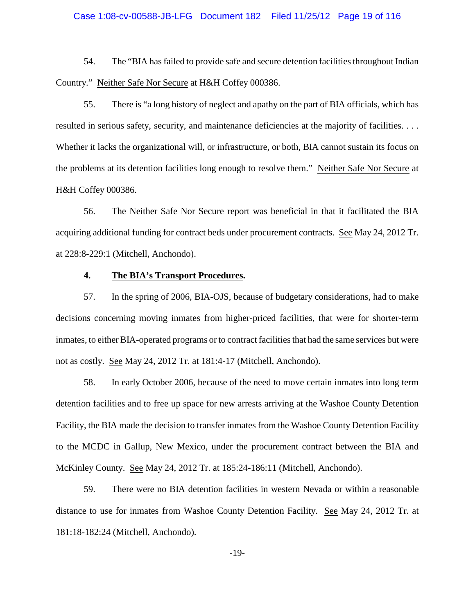#### Case 1:08-cv-00588-JB-LFG Document 182 Filed 11/25/12 Page 19 of 116

54. The "BIA has failed to provide safe and secure detention facilities throughout Indian Country." Neither Safe Nor Secure at H&H Coffey 000386.

55. There is "a long history of neglect and apathy on the part of BIA officials, which has resulted in serious safety, security, and maintenance deficiencies at the majority of facilities. . . . Whether it lacks the organizational will, or infrastructure, or both, BIA cannot sustain its focus on the problems at its detention facilities long enough to resolve them." Neither Safe Nor Secure at H&H Coffey 000386.

56. The Neither Safe Nor Secure report was beneficial in that it facilitated the BIA acquiring additional funding for contract beds under procurement contracts. See May 24, 2012 Tr. at 228:8-229:1 (Mitchell, Anchondo).

### **4. The BIA's Transport Procedures.**

57. In the spring of 2006, BIA-OJS, because of budgetary considerations, had to make decisions concerning moving inmates from higher-priced facilities, that were for shorter-term inmates, to either BIA-operated programs or to contract facilities that had the same services but were not as costly. See May 24, 2012 Tr. at 181:4-17 (Mitchell, Anchondo).

58. In early October 2006, because of the need to move certain inmates into long term detention facilities and to free up space for new arrests arriving at the Washoe County Detention Facility, the BIA made the decision to transfer inmates from the Washoe County Detention Facility to the MCDC in Gallup, New Mexico, under the procurement contract between the BIA and McKinley County. See May 24, 2012 Tr. at 185:24-186:11 (Mitchell, Anchondo).

59. There were no BIA detention facilities in western Nevada or within a reasonable distance to use for inmates from Washoe County Detention Facility. See May 24, 2012 Tr. at 181:18-182:24 (Mitchell, Anchondo).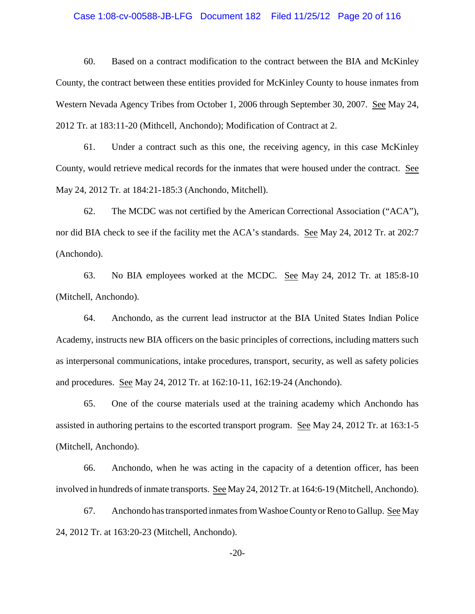#### Case 1:08-cv-00588-JB-LFG Document 182 Filed 11/25/12 Page 20 of 116

60. Based on a contract modification to the contract between the BIA and McKinley County, the contract between these entities provided for McKinley County to house inmates from Western Nevada Agency Tribes from October 1, 2006 through September 30, 2007. See May 24, 2012 Tr. at 183:11-20 (Mithcell, Anchondo); Modification of Contract at 2.

61. Under a contract such as this one, the receiving agency, in this case McKinley County, would retrieve medical records for the inmates that were housed under the contract. See May 24, 2012 Tr. at 184:21-185:3 (Anchondo, Mitchell).

62. The MCDC was not certified by the American Correctional Association ("ACA"), nor did BIA check to see if the facility met the ACA's standards. See May 24, 2012 Tr. at 202:7 (Anchondo).

63. No BIA employees worked at the MCDC. See May 24, 2012 Tr. at 185:8-10 (Mitchell, Anchondo).

64. Anchondo, as the current lead instructor at the BIA United States Indian Police Academy, instructs new BIA officers on the basic principles of corrections, including matters such as interpersonal communications, intake procedures, transport, security, as well as safety policies and procedures. See May 24, 2012 Tr. at 162:10-11, 162:19-24 (Anchondo).

65. One of the course materials used at the training academy which Anchondo has assisted in authoring pertains to the escorted transport program. See May 24, 2012 Tr. at 163:1-5 (Mitchell, Anchondo).

66. Anchondo, when he was acting in the capacity of a detention officer, has been involved in hundreds of inmate transports. See May 24, 2012 Tr. at 164:6-19 (Mitchell, Anchondo).

67. Anchondo has transported inmates from WashoeCountyor Reno to Gallup. See May 24, 2012 Tr. at 163:20-23 (Mitchell, Anchondo).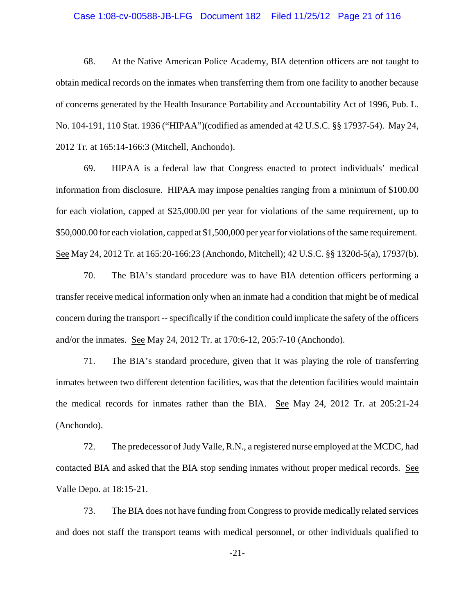### Case 1:08-cv-00588-JB-LFG Document 182 Filed 11/25/12 Page 21 of 116

68. At the Native American Police Academy, BIA detention officers are not taught to obtain medical records on the inmates when transferring them from one facility to another because of concerns generated by the Health Insurance Portability and Accountability Act of 1996, Pub. L. No. 104-191, 110 Stat. 1936 ("HIPAA")(codified as amended at 42 U.S.C. §§ 17937-54). May 24, 2012 Tr. at 165:14-166:3 (Mitchell, Anchondo).

69. HIPAA is a federal law that Congress enacted to protect individuals' medical information from disclosure. HIPAA may impose penalties ranging from a minimum of \$100.00 for each violation, capped at \$25,000.00 per year for violations of the same requirement, up to \$50,000.00 for each violation, capped at \$1,500,000 per year for violations of the same requirement. See May 24, 2012 Tr. at 165:20-166:23 (Anchondo, Mitchell); 42 U.S.C. §§ 1320d-5(a), 17937(b).

70. The BIA's standard procedure was to have BIA detention officers performing a transfer receive medical information only when an inmate had a condition that might be of medical concern during the transport -- specifically if the condition could implicate the safety of the officers and/or the inmates. See May 24, 2012 Tr. at 170:6-12, 205:7-10 (Anchondo).

71. The BIA's standard procedure, given that it was playing the role of transferring inmates between two different detention facilities, was that the detention facilities would maintain the medical records for inmates rather than the BIA. See May 24, 2012 Tr. at 205:21-24 (Anchondo).

72. The predecessor of Judy Valle, R.N., a registered nurse employed at the MCDC, had contacted BIA and asked that the BIA stop sending inmates without proper medical records. See Valle Depo. at 18:15-21.

73. The BIA does not have funding from Congress to provide medically related services and does not staff the transport teams with medical personnel, or other individuals qualified to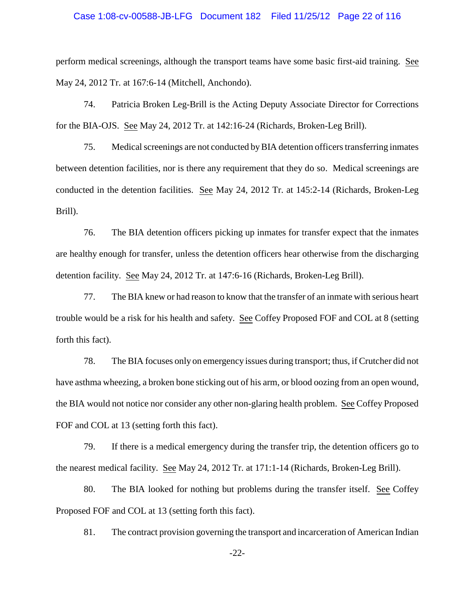#### Case 1:08-cv-00588-JB-LFG Document 182 Filed 11/25/12 Page 22 of 116

perform medical screenings, although the transport teams have some basic first-aid training. See May 24, 2012 Tr. at 167:6-14 (Mitchell, Anchondo).

74. Patricia Broken Leg-Brill is the Acting Deputy Associate Director for Corrections for the BIA-OJS. See May 24, 2012 Tr. at 142:16-24 (Richards, Broken-Leg Brill).

75. Medical screenings are not conducted byBIA detention officers transferring inmates between detention facilities, nor is there any requirement that they do so. Medical screenings are conducted in the detention facilities. See May 24, 2012 Tr. at 145:2-14 (Richards, Broken-Leg Brill).

76. The BIA detention officers picking up inmates for transfer expect that the inmates are healthy enough for transfer, unless the detention officers hear otherwise from the discharging detention facility. See May 24, 2012 Tr. at 147:6-16 (Richards, Broken-Leg Brill).

77. The BIA knew or had reason to know that the transfer of an inmate with serious heart trouble would be a risk for his health and safety. See Coffey Proposed FOF and COL at 8 (setting forth this fact).

78. The BIA focuses only on emergency issues during transport; thus, if Crutcher did not have asthma wheezing, a broken bone sticking out of his arm, or blood oozing from an open wound, the BIA would not notice nor consider any other non-glaring health problem. See Coffey Proposed FOF and COL at 13 (setting forth this fact).

79. If there is a medical emergency during the transfer trip, the detention officers go to the nearest medical facility. See May 24, 2012 Tr. at 171:1-14 (Richards, Broken-Leg Brill).

80. The BIA looked for nothing but problems during the transfer itself. See Coffey Proposed FOF and COL at 13 (setting forth this fact).

81. The contract provision governing the transport and incarceration of American Indian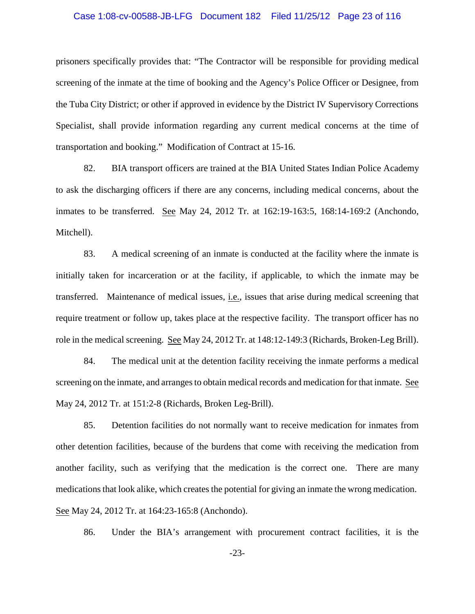#### Case 1:08-cv-00588-JB-LFG Document 182 Filed 11/25/12 Page 23 of 116

prisoners specifically provides that: "The Contractor will be responsible for providing medical screening of the inmate at the time of booking and the Agency's Police Officer or Designee, from the Tuba City District; or other if approved in evidence by the District IV Supervisory Corrections Specialist, shall provide information regarding any current medical concerns at the time of transportation and booking." Modification of Contract at 15-16.

82. BIA transport officers are trained at the BIA United States Indian Police Academy to ask the discharging officers if there are any concerns, including medical concerns, about the inmates to be transferred. See May 24, 2012 Tr. at 162:19-163:5, 168:14-169:2 (Anchondo, Mitchell).

83. A medical screening of an inmate is conducted at the facility where the inmate is initially taken for incarceration or at the facility, if applicable, to which the inmate may be transferred. Maintenance of medical issues, i.e., issues that arise during medical screening that require treatment or follow up, takes place at the respective facility. The transport officer has no role in the medical screening. See May 24, 2012 Tr. at 148:12-149:3 (Richards, Broken-Leg Brill).

84. The medical unit at the detention facility receiving the inmate performs a medical screening on the inmate, and arranges to obtain medical records and medication for that inmate. See May 24, 2012 Tr. at 151:2-8 (Richards, Broken Leg-Brill).

85. Detention facilities do not normally want to receive medication for inmates from other detention facilities, because of the burdens that come with receiving the medication from another facility, such as verifying that the medication is the correct one. There are many medications that look alike, which creates the potential for giving an inmate the wrong medication. See May 24, 2012 Tr. at 164:23-165:8 (Anchondo).

86. Under the BIA's arrangement with procurement contract facilities, it is the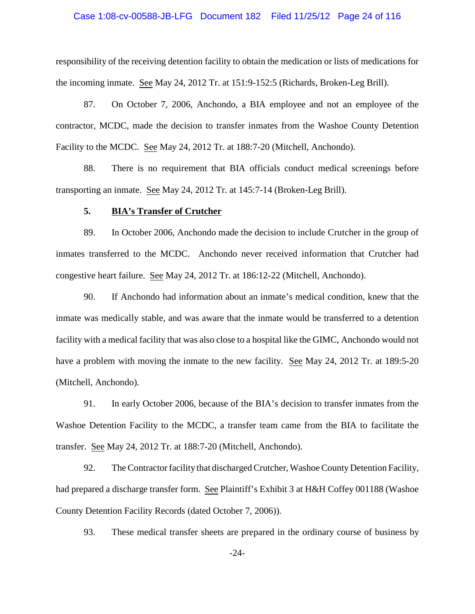#### Case 1:08-cv-00588-JB-LFG Document 182 Filed 11/25/12 Page 24 of 116

responsibility of the receiving detention facility to obtain the medication or lists of medications for the incoming inmate. See May 24, 2012 Tr. at 151:9-152:5 (Richards, Broken-Leg Brill).

87. On October 7, 2006, Anchondo, a BIA employee and not an employee of the contractor, MCDC, made the decision to transfer inmates from the Washoe County Detention Facility to the MCDC. See May 24, 2012 Tr. at 188:7-20 (Mitchell, Anchondo).

88. There is no requirement that BIA officials conduct medical screenings before transporting an inmate. See May 24, 2012 Tr. at 145:7-14 (Broken-Leg Brill).

#### **5. BIA's Transfer of Crutcher**

89. In October 2006, Anchondo made the decision to include Crutcher in the group of inmates transferred to the MCDC. Anchondo never received information that Crutcher had congestive heart failure. See May 24, 2012 Tr. at 186:12-22 (Mitchell, Anchondo).

90. If Anchondo had information about an inmate's medical condition, knew that the inmate was medically stable, and was aware that the inmate would be transferred to a detention facility with a medical facility that was also close to a hospital like the GIMC, Anchondo would not have a problem with moving the inmate to the new facility. See May 24, 2012 Tr. at 189:5-20 (Mitchell, Anchondo).

91. In early October 2006, because of the BIA's decision to transfer inmates from the Washoe Detention Facility to the MCDC, a transfer team came from the BIA to facilitate the transfer. See May 24, 2012 Tr. at 188:7-20 (Mitchell, Anchondo).

92. The Contractor facility that discharged Crutcher, Washoe County Detention Facility, had prepared a discharge transfer form. See Plaintiff's Exhibit 3 at H&H Coffey 001188 (Washoe County Detention Facility Records (dated October 7, 2006)).

93. These medical transfer sheets are prepared in the ordinary course of business by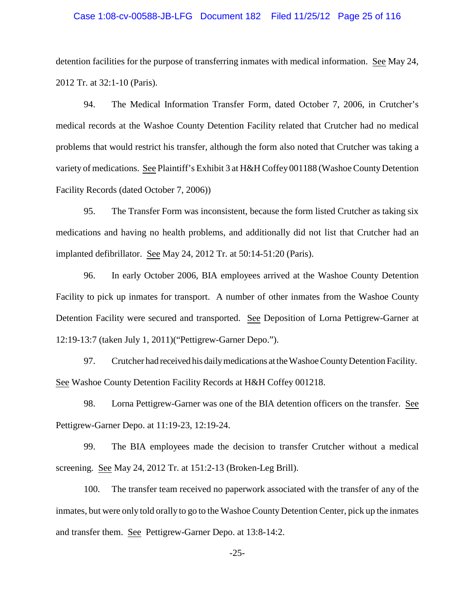#### Case 1:08-cv-00588-JB-LFG Document 182 Filed 11/25/12 Page 25 of 116

detention facilities for the purpose of transferring inmates with medical information. See May 24, 2012 Tr. at 32:1-10 (Paris).

94. The Medical Information Transfer Form, dated October 7, 2006, in Crutcher's medical records at the Washoe County Detention Facility related that Crutcher had no medical problems that would restrict his transfer, although the form also noted that Crutcher was taking a variety of medications. See Plaintiff's Exhibit 3 at H&H Coffey 001188 (Washoe CountyDetention Facility Records (dated October 7, 2006))

95. The Transfer Form was inconsistent, because the form listed Crutcher as taking six medications and having no health problems, and additionally did not list that Crutcher had an implanted defibrillator. See May 24, 2012 Tr. at 50:14-51:20 (Paris).

96. In early October 2006, BIA employees arrived at the Washoe County Detention Facility to pick up inmates for transport. A number of other inmates from the Washoe County Detention Facility were secured and transported. See Deposition of Lorna Pettigrew-Garner at 12:19-13:7 (taken July 1, 2011)("Pettigrew-Garner Depo.").

97. Crutcher had received his dailymedications at theWashoeCountyDetention Facility. See Washoe County Detention Facility Records at H&H Coffey 001218.

98. Lorna Pettigrew-Garner was one of the BIA detention officers on the transfer. See Pettigrew-Garner Depo. at 11:19-23, 12:19-24.

99. The BIA employees made the decision to transfer Crutcher without a medical screening. See May 24, 2012 Tr. at 151:2-13 (Broken-Leg Brill).

100. The transfer team received no paperwork associated with the transfer of any of the inmates, but were only told orally to go to the Washoe County Detention Center, pick up the inmates and transfer them. See Pettigrew-Garner Depo. at 13:8-14:2.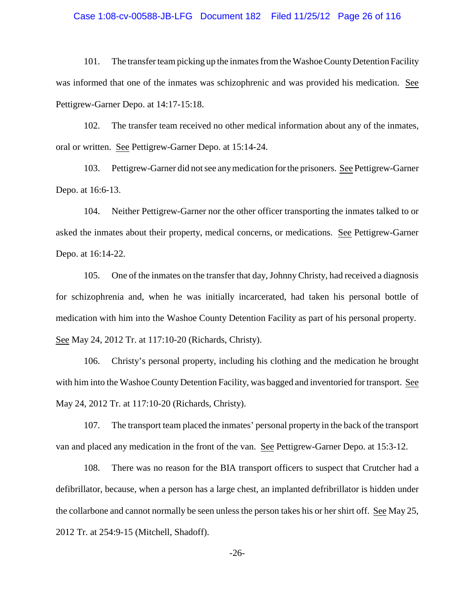#### Case 1:08-cv-00588-JB-LFG Document 182 Filed 11/25/12 Page 26 of 116

101. The transfer team picking up the inmates from the Washoe CountyDetention Facility was informed that one of the inmates was schizophrenic and was provided his medication. See Pettigrew-Garner Depo. at 14:17-15:18.

102. The transfer team received no other medical information about any of the inmates, oral or written. See Pettigrew-Garner Depo. at 15:14-24.

103. Pettigrew-Garner did not see anymedication for the prisoners. See Pettigrew-Garner Depo. at 16:6-13.

104. Neither Pettigrew-Garner nor the other officer transporting the inmates talked to or asked the inmates about their property, medical concerns, or medications. See Pettigrew-Garner Depo. at 16:14-22.

105. One of the inmates on the transfer that day, JohnnyChristy, had received a diagnosis for schizophrenia and, when he was initially incarcerated, had taken his personal bottle of medication with him into the Washoe County Detention Facility as part of his personal property. See May 24, 2012 Tr. at 117:10-20 (Richards, Christy).

106. Christy's personal property, including his clothing and the medication he brought with him into the Washoe County Detention Facility, was bagged and inventoried for transport. See May 24, 2012 Tr. at 117:10-20 (Richards, Christy).

107. The transport team placed the inmates' personal property in the back of the transport van and placed any medication in the front of the van. See Pettigrew-Garner Depo. at 15:3-12.

108. There was no reason for the BIA transport officers to suspect that Crutcher had a defibrillator, because, when a person has a large chest, an implanted defribrillator is hidden under the collarbone and cannot normally be seen unless the person takes his or her shirt off. See May 25, 2012 Tr. at 254:9-15 (Mitchell, Shadoff).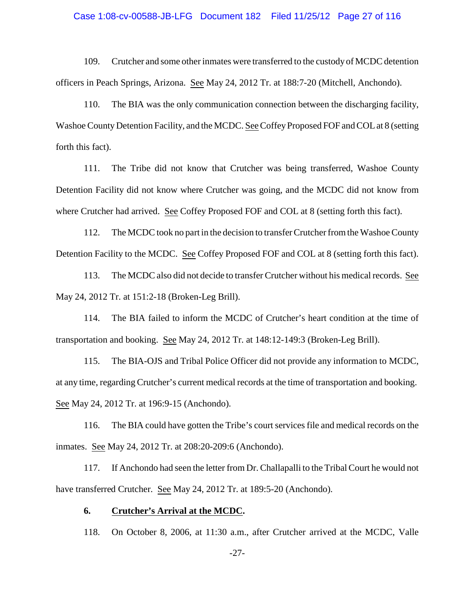#### Case 1:08-cv-00588-JB-LFG Document 182 Filed 11/25/12 Page 27 of 116

109. Crutcher and some other inmates were transferred to the custody of MCDC detention officers in Peach Springs, Arizona. See May 24, 2012 Tr. at 188:7-20 (Mitchell, Anchondo).

110. The BIA was the only communication connection between the discharging facility, Washoe County Detention Facility, and the MCDC. See Coffey Proposed FOF and COL at 8 (setting forth this fact).

111. The Tribe did not know that Crutcher was being transferred, Washoe County Detention Facility did not know where Crutcher was going, and the MCDC did not know from where Crutcher had arrived. See Coffey Proposed FOF and COL at 8 (setting forth this fact).

112. The MCDC took no part in the decision to transfer Crutcher from the Washoe County Detention Facility to the MCDC. See Coffey Proposed FOF and COL at 8 (setting forth this fact).

113. The MCDC also did not decide to transfer Crutcher without his medical records. See May 24, 2012 Tr. at 151:2-18 (Broken-Leg Brill).

114. The BIA failed to inform the MCDC of Crutcher's heart condition at the time of transportation and booking. See May 24, 2012 Tr. at 148:12-149:3 (Broken-Leg Brill).

115. The BIA-OJS and Tribal Police Officer did not provide any information to MCDC, at any time, regarding Crutcher's current medical records at the time of transportation and booking. See May 24, 2012 Tr. at 196:9-15 (Anchondo).

116. The BIA could have gotten the Tribe's court services file and medical records on the inmates. See May 24, 2012 Tr. at 208:20-209:6 (Anchondo).

117. If Anchondo had seen the letter from Dr. Challapalli to the Tribal Court he would not have transferred Crutcher. See May 24, 2012 Tr. at 189:5-20 (Anchondo).

## **6. Crutcher's Arrival at the MCDC.**

118. On October 8, 2006, at 11:30 a.m., after Crutcher arrived at the MCDC, Valle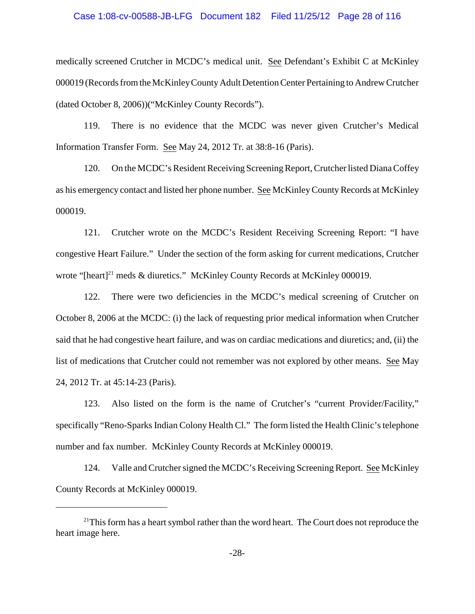#### Case 1:08-cv-00588-JB-LFG Document 182 Filed 11/25/12 Page 28 of 116

medically screened Crutcher in MCDC's medical unit. See Defendant's Exhibit C at McKinley 000019 (Records from the McKinleyCountyAdult Detention Center Pertaining to Andrew Crutcher (dated October 8, 2006))("McKinley County Records").

119. There is no evidence that the MCDC was never given Crutcher's Medical Information Transfer Form. See May 24, 2012 Tr. at 38:8-16 (Paris).

120. On the MCDC's Resident Receiving Screening Report, Crutcherlisted Diana Coffey as his emergency contact and listed her phone number. See McKinley County Records at McKinley 000019.

121. Crutcher wrote on the MCDC's Resident Receiving Screening Report: "I have congestive Heart Failure." Under the section of the form asking for current medications, Crutcher wrote "[heart]<sup>21</sup> meds & diuretics." McKinley County Records at McKinley 000019.

122. There were two deficiencies in the MCDC's medical screening of Crutcher on October 8, 2006 at the MCDC: (i) the lack of requesting prior medical information when Crutcher said that he had congestive heart failure, and was on cardiac medications and diuretics; and, (ii) the list of medications that Crutcher could not remember was not explored by other means. See May 24, 2012 Tr. at 45:14-23 (Paris).

123. Also listed on the form is the name of Crutcher's "current Provider/Facility," specifically "Reno-Sparks Indian Colony Health Cl." The form listed the Health Clinic's telephone number and fax number. McKinley County Records at McKinley 000019.

124. Valle and Crutcher signed the MCDC's Receiving Screening Report. See McKinley County Records at McKinley 000019.

 $21$ This form has a heart symbol rather than the word heart. The Court does not reproduce the heart image here.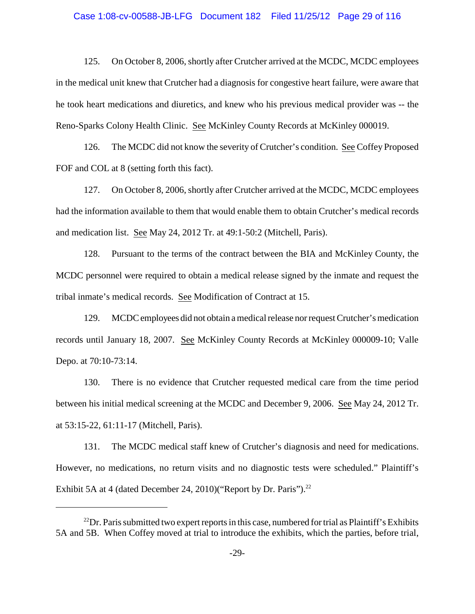#### Case 1:08-cv-00588-JB-LFG Document 182 Filed 11/25/12 Page 29 of 116

125. On October 8, 2006, shortly after Crutcher arrived at the MCDC, MCDC employees in the medical unit knew that Crutcher had a diagnosis for congestive heart failure, were aware that he took heart medications and diuretics, and knew who his previous medical provider was -- the Reno-Sparks Colony Health Clinic. See McKinley County Records at McKinley 000019.

126. The MCDC did not know the severity of Crutcher's condition. See Coffey Proposed FOF and COL at 8 (setting forth this fact).

127. On October 8, 2006, shortly after Crutcher arrived at the MCDC, MCDC employees had the information available to them that would enable them to obtain Crutcher's medical records and medication list. See May 24, 2012 Tr. at 49:1-50:2 (Mitchell, Paris).

128. Pursuant to the terms of the contract between the BIA and McKinley County, the MCDC personnel were required to obtain a medical release signed by the inmate and request the tribal inmate's medical records. See Modification of Contract at 15.

129. MCDC employees did not obtain a medical release nor request Crutcher's medication records until January 18, 2007. See McKinley County Records at McKinley 000009-10; Valle Depo. at 70:10-73:14.

130. There is no evidence that Crutcher requested medical care from the time period between his initial medical screening at the MCDC and December 9, 2006. See May 24, 2012 Tr. at 53:15-22, 61:11-17 (Mitchell, Paris).

131. The MCDC medical staff knew of Crutcher's diagnosis and need for medications. However, no medications, no return visits and no diagnostic tests were scheduled." Plaintiff's Exhibit 5A at 4 (dated December 24, 2010)("Report by Dr. Paris").<sup>22</sup>

 $^{22}$ Dr. Paris submitted two expert reports in this case, numbered for trial as Plaintiff's Exhibits 5A and 5B. When Coffey moved at trial to introduce the exhibits, which the parties, before trial,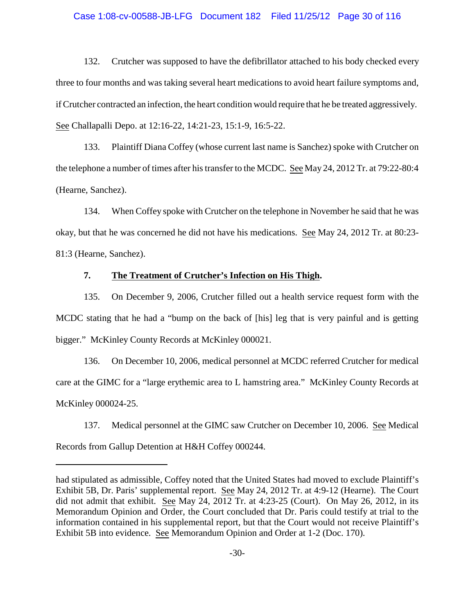### Case 1:08-cv-00588-JB-LFG Document 182 Filed 11/25/12 Page 30 of 116

132. Crutcher was supposed to have the defibrillator attached to his body checked every three to four months and was taking several heart medications to avoid heart failure symptoms and, if Crutcher contracted an infection, the heart condition would require that he be treated aggressively. See Challapalli Depo. at 12:16-22, 14:21-23, 15:1-9, 16:5-22.

133. Plaintiff Diana Coffey (whose current last name is Sanchez) spoke with Crutcher on the telephone a number of times after his transfer to the MCDC. See May 24, 2012 Tr. at 79:22-80:4 (Hearne, Sanchez).

134. When Coffey spoke with Crutcher on the telephone in November he said that he was okay, but that he was concerned he did not have his medications. See May 24, 2012 Tr. at 80:23- 81:3 (Hearne, Sanchez).

## **7. The Treatment of Crutcher's Infection on His Thigh.**

135. On December 9, 2006, Crutcher filled out a health service request form with the MCDC stating that he had a "bump on the back of [his] leg that is very painful and is getting bigger." McKinley County Records at McKinley 000021.

136. On December 10, 2006, medical personnel at MCDC referred Crutcher for medical care at the GIMC for a "large erythemic area to L hamstring area." McKinley County Records at McKinley 000024-25.

137. Medical personnel at the GIMC saw Crutcher on December 10, 2006. See Medical Records from Gallup Detention at H&H Coffey 000244.

had stipulated as admissible, Coffey noted that the United States had moved to exclude Plaintiff's Exhibit 5B, Dr. Paris' supplemental report. See May 24, 2012 Tr. at 4:9-12 (Hearne). The Court did not admit that exhibit. See May 24, 2012 Tr. at 4:23-25 (Court). On May 26, 2012, in its Memorandum Opinion and Order, the Court concluded that Dr. Paris could testify at trial to the information contained in his supplemental report, but that the Court would not receive Plaintiff's Exhibit 5B into evidence. See Memorandum Opinion and Order at 1-2 (Doc. 170).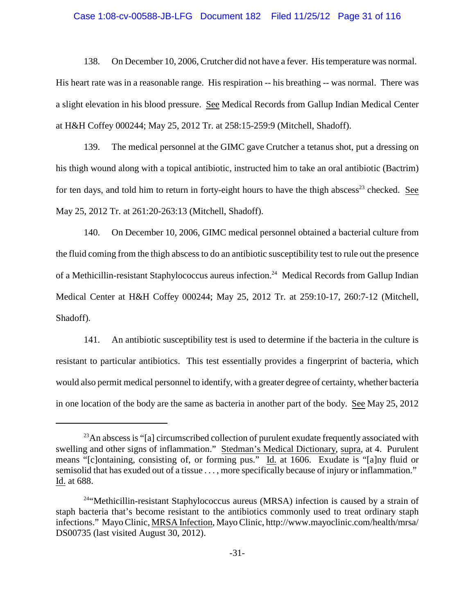#### Case 1:08-cv-00588-JB-LFG Document 182 Filed 11/25/12 Page 31 of 116

138. On December 10, 2006, Crutcher did not have a fever. His temperature was normal. His heart rate was in a reasonable range. His respiration -- his breathing -- was normal. There was a slight elevation in his blood pressure. See Medical Records from Gallup Indian Medical Center at H&H Coffey 000244; May 25, 2012 Tr. at 258:15-259:9 (Mitchell, Shadoff).

139. The medical personnel at the GIMC gave Crutcher a tetanus shot, put a dressing on his thigh wound along with a topical antibiotic, instructed him to take an oral antibiotic (Bactrim) for ten days, and told him to return in forty-eight hours to have the thigh abscess<sup>23</sup> checked. See May 25, 2012 Tr. at 261:20-263:13 (Mitchell, Shadoff).

140. On December 10, 2006, GIMC medical personnel obtained a bacterial culture from the fluid coming from the thigh abscess to do an antibiotic susceptibility test to rule out the presence of a Methicillin-resistant Staphylococcus aureus infection.<sup>24</sup> Medical Records from Gallup Indian Medical Center at H&H Coffey 000244; May 25, 2012 Tr. at 259:10-17, 260:7-12 (Mitchell, Shadoff).

141. An antibiotic susceptibility test is used to determine if the bacteria in the culture is resistant to particular antibiotics. This test essentially provides a fingerprint of bacteria, which would also permit medical personnel to identify, with a greater degree of certainty, whether bacteria in one location of the body are the same as bacteria in another part of the body. See May 25, 2012

 $^{23}$ An abscess is "[a] circumscribed collection of purulent exudate frequently associated with swelling and other signs of inflammation." Stedman's Medical Dictionary, supra, at 4. Purulent means "[c]ontaining, consisting of, or forming pus." Id. at 1606. Exudate is "[a]ny fluid or semisolid that has exuded out of a tissue . . . , more specifically because of injury or inflammation." Id. at 688.

 $24$ "Methicillin-resistant Staphylococcus aureus (MRSA) infection is caused by a strain of staph bacteria that's become resistant to the antibiotics commonly used to treat ordinary staph infections." Mayo Clinic, MRSA Infection, Mayo Clinic, http://www.mayoclinic.com/health/mrsa/ DS00735 (last visited August 30, 2012).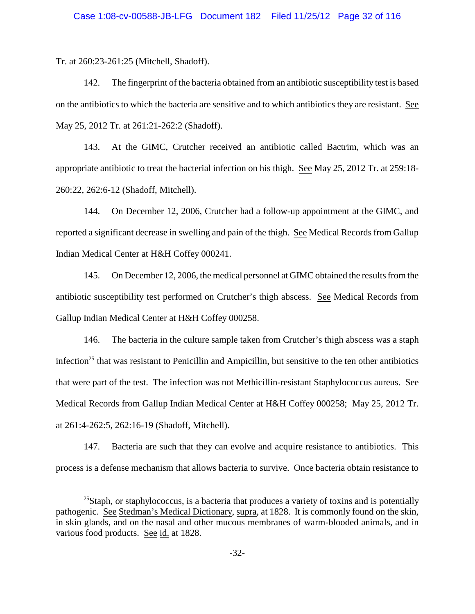Tr. at 260:23-261:25 (Mitchell, Shadoff).

142. The fingerprint of the bacteria obtained from an antibiotic susceptibility test is based on the antibiotics to which the bacteria are sensitive and to which antibiotics they are resistant. See May 25, 2012 Tr. at 261:21-262:2 (Shadoff).

143. At the GIMC, Crutcher received an antibiotic called Bactrim, which was an appropriate antibiotic to treat the bacterial infection on his thigh. See May 25, 2012 Tr. at 259:18- 260:22, 262:6-12 (Shadoff, Mitchell).

144. On December 12, 2006, Crutcher had a follow-up appointment at the GIMC, and reported a significant decrease in swelling and pain of the thigh. See Medical Records from Gallup Indian Medical Center at H&H Coffey 000241.

145. On December 12, 2006, the medical personnel at GIMC obtained the results from the antibiotic susceptibility test performed on Crutcher's thigh abscess. See Medical Records from Gallup Indian Medical Center at H&H Coffey 000258.

146. The bacteria in the culture sample taken from Crutcher's thigh abscess was a staph infection<sup>25</sup> that was resistant to Penicillin and Ampicillin, but sensitive to the ten other antibiotics that were part of the test. The infection was not Methicillin-resistant Staphylococcus aureus. See Medical Records from Gallup Indian Medical Center at H&H Coffey 000258; May 25, 2012 Tr. at 261:4-262:5, 262:16-19 (Shadoff, Mitchell).

147. Bacteria are such that they can evolve and acquire resistance to antibiotics. This process is a defense mechanism that allows bacteria to survive. Once bacteria obtain resistance to

 $^{25}$ Staph, or staphylococcus, is a bacteria that produces a variety of toxins and is potentially pathogenic. See Stedman's Medical Dictionary, supra, at 1828. It is commonly found on the skin, in skin glands, and on the nasal and other mucous membranes of warm-blooded animals, and in various food products. See id. at 1828.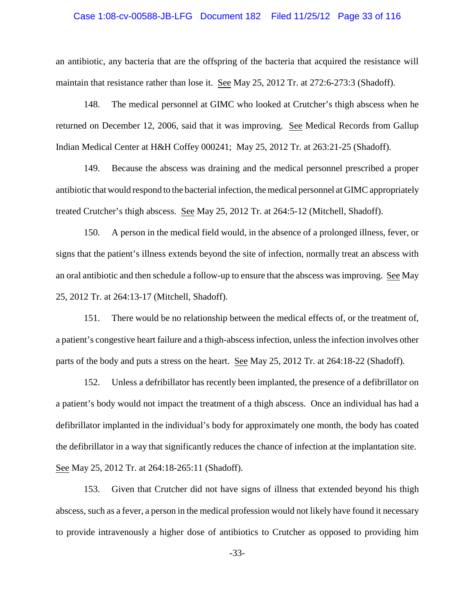#### Case 1:08-cv-00588-JB-LFG Document 182 Filed 11/25/12 Page 33 of 116

an antibiotic, any bacteria that are the offspring of the bacteria that acquired the resistance will maintain that resistance rather than lose it. See May 25, 2012 Tr. at 272:6-273:3 (Shadoff).

148. The medical personnel at GIMC who looked at Crutcher's thigh abscess when he returned on December 12, 2006, said that it was improving. See Medical Records from Gallup Indian Medical Center at H&H Coffey 000241; May 25, 2012 Tr. at 263:21-25 (Shadoff).

149. Because the abscess was draining and the medical personnel prescribed a proper antibiotic that would respond to the bacterial infection, the medical personnel at GIMC appropriately treated Crutcher's thigh abscess. See May 25, 2012 Tr. at 264:5-12 (Mitchell, Shadoff).

150. A person in the medical field would, in the absence of a prolonged illness, fever, or signs that the patient's illness extends beyond the site of infection, normally treat an abscess with an oral antibiotic and then schedule a follow-up to ensure that the abscess was improving. See May 25, 2012 Tr. at 264:13-17 (Mitchell, Shadoff).

151. There would be no relationship between the medical effects of, or the treatment of, a patient's congestive heart failure and a thigh-abscess infection, unless the infection involves other parts of the body and puts a stress on the heart. See May 25, 2012 Tr. at 264:18-22 (Shadoff).

152. Unless a defribillator has recently been implanted, the presence of a defibrillator on a patient's body would not impact the treatment of a thigh abscess. Once an individual has had a defibrillator implanted in the individual's body for approximately one month, the body has coated the defibrillator in a way that significantly reduces the chance of infection at the implantation site. See May 25, 2012 Tr. at 264:18-265:11 (Shadoff).

153. Given that Crutcher did not have signs of illness that extended beyond his thigh abscess, such as a fever, a person in the medical profession would not likely have found it necessary to provide intravenously a higher dose of antibiotics to Crutcher as opposed to providing him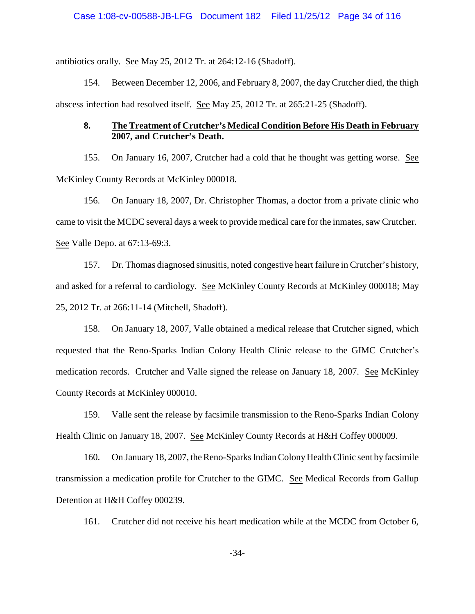antibiotics orally. See May 25, 2012 Tr. at 264:12-16 (Shadoff).

154. Between December 12, 2006, and February 8, 2007, the dayCrutcher died, the thigh abscess infection had resolved itself. See May 25, 2012 Tr. at 265:21-25 (Shadoff).

# **8. The Treatment of Crutcher's Medical Condition Before His Death in February 2007, and Crutcher's Death.**

155. On January 16, 2007, Crutcher had a cold that he thought was getting worse. See McKinley County Records at McKinley 000018.

156. On January 18, 2007, Dr. Christopher Thomas, a doctor from a private clinic who came to visit the MCDC several days a week to provide medical care for the inmates, saw Crutcher. See Valle Depo. at 67:13-69:3.

157. Dr. Thomas diagnosed sinusitis, noted congestive heart failure in Crutcher's history, and asked for a referral to cardiology. See McKinley County Records at McKinley 000018; May 25, 2012 Tr. at 266:11-14 (Mitchell, Shadoff).

158. On January 18, 2007, Valle obtained a medical release that Crutcher signed, which requested that the Reno-Sparks Indian Colony Health Clinic release to the GIMC Crutcher's medication records. Crutcher and Valle signed the release on January 18, 2007. See McKinley County Records at McKinley 000010.

159. Valle sent the release by facsimile transmission to the Reno-Sparks Indian Colony Health Clinic on January 18, 2007. See McKinley County Records at H&H Coffey 000009.

160. On January 18, 2007, the Reno-Sparks Indian Colony Health Clinic sent by facsimile transmission a medication profile for Crutcher to the GIMC. See Medical Records from Gallup Detention at H&H Coffey 000239.

161. Crutcher did not receive his heart medication while at the MCDC from October 6,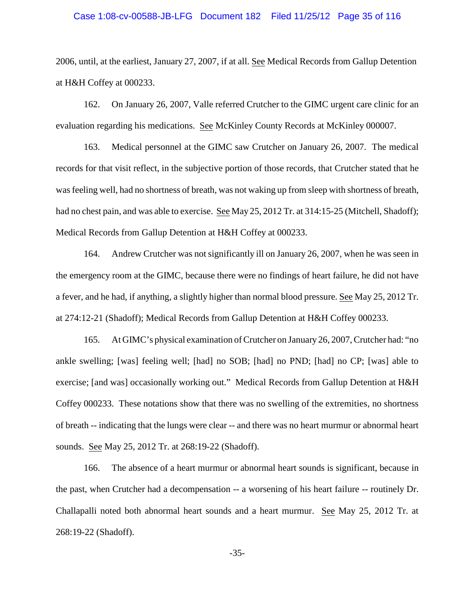#### Case 1:08-cv-00588-JB-LFG Document 182 Filed 11/25/12 Page 35 of 116

2006, until, at the earliest, January 27, 2007, if at all. See Medical Records from Gallup Detention at H&H Coffey at 000233.

162. On January 26, 2007, Valle referred Crutcher to the GIMC urgent care clinic for an evaluation regarding his medications. See McKinley County Records at McKinley 000007.

163. Medical personnel at the GIMC saw Crutcher on January 26, 2007. The medical records for that visit reflect, in the subjective portion of those records, that Crutcher stated that he was feeling well, had no shortness of breath, was not waking up from sleep with shortness of breath, had no chest pain, and was able to exercise. See May 25, 2012 Tr. at 314:15-25 (Mitchell, Shadoff); Medical Records from Gallup Detention at H&H Coffey at 000233.

164. Andrew Crutcher was not significantly ill on January 26, 2007, when he was seen in the emergency room at the GIMC, because there were no findings of heart failure, he did not have a fever, and he had, if anything, a slightly higher than normal blood pressure. See May 25, 2012 Tr. at 274:12-21 (Shadoff); Medical Records from Gallup Detention at H&H Coffey 000233.

165. At GIMC's physical examination of Crutcher on January 26, 2007, Crutcher had: "no ankle swelling; [was] feeling well; [had] no SOB; [had] no PND; [had] no CP; [was] able to exercise; [and was] occasionally working out." Medical Records from Gallup Detention at H&H Coffey 000233. These notations show that there was no swelling of the extremities, no shortness of breath -- indicating that the lungs were clear -- and there was no heart murmur or abnormal heart sounds. See May 25, 2012 Tr. at 268:19-22 (Shadoff).

166. The absence of a heart murmur or abnormal heart sounds is significant, because in the past, when Crutcher had a decompensation -- a worsening of his heart failure -- routinely Dr. Challapalli noted both abnormal heart sounds and a heart murmur. See May 25, 2012 Tr. at 268:19-22 (Shadoff).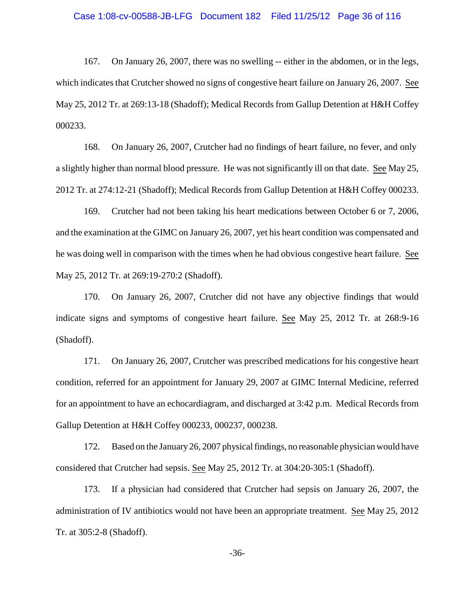167. On January 26, 2007, there was no swelling -- either in the abdomen, or in the legs, which indicates that Crutcher showed no signs of congestive heart failure on January 26, 2007. See May 25, 2012 Tr. at 269:13-18 (Shadoff); Medical Records from Gallup Detention at H&H Coffey 000233.

168. On January 26, 2007, Crutcher had no findings of heart failure, no fever, and only a slightly higher than normal blood pressure. He was not significantly ill on that date. See May 25, 2012 Tr. at 274:12-21 (Shadoff); Medical Records from Gallup Detention at H&H Coffey 000233.

169. Crutcher had not been taking his heart medications between October 6 or 7, 2006, and the examination at the GIMC on January 26, 2007, yet his heart condition was compensated and he was doing well in comparison with the times when he had obvious congestive heart failure. See May 25, 2012 Tr. at 269:19-270:2 (Shadoff).

170. On January 26, 2007, Crutcher did not have any objective findings that would indicate signs and symptoms of congestive heart failure. See May 25, 2012 Tr. at 268:9-16 (Shadoff).

171. On January 26, 2007, Crutcher was prescribed medications for his congestive heart condition, referred for an appointment for January 29, 2007 at GIMC Internal Medicine, referred for an appointment to have an echocardiagram, and discharged at 3:42 p.m. Medical Records from Gallup Detention at H&H Coffey 000233, 000237, 000238.

172. Based on the January26, 2007 physical findings, no reasonable physician would have considered that Crutcher had sepsis. See May 25, 2012 Tr. at 304:20-305:1 (Shadoff).

173. If a physician had considered that Crutcher had sepsis on January 26, 2007, the administration of IV antibiotics would not have been an appropriate treatment. See May 25, 2012 Tr. at 305:2-8 (Shadoff).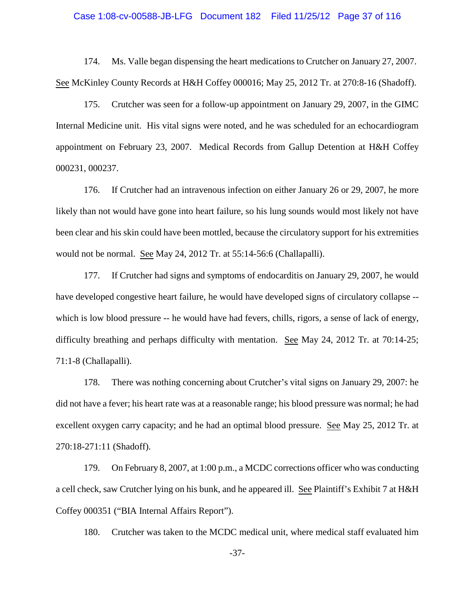#### Case 1:08-cv-00588-JB-LFG Document 182 Filed 11/25/12 Page 37 of 116

174. Ms. Valle began dispensing the heart medications to Crutcher on January 27, 2007. See McKinley County Records at H&H Coffey 000016; May 25, 2012 Tr. at 270:8-16 (Shadoff).

175. Crutcher was seen for a follow-up appointment on January 29, 2007, in the GIMC Internal Medicine unit. His vital signs were noted, and he was scheduled for an echocardiogram appointment on February 23, 2007. Medical Records from Gallup Detention at H&H Coffey 000231, 000237.

176. If Crutcher had an intravenous infection on either January 26 or 29, 2007, he more likely than not would have gone into heart failure, so his lung sounds would most likely not have been clear and his skin could have been mottled, because the circulatory support for his extremities would not be normal. See May 24, 2012 Tr. at 55:14-56:6 (Challapalli).

177. If Crutcher had signs and symptoms of endocarditis on January 29, 2007, he would have developed congestive heart failure, he would have developed signs of circulatory collapse - which is low blood pressure -- he would have had fevers, chills, rigors, a sense of lack of energy, difficulty breathing and perhaps difficulty with mentation. See May 24, 2012 Tr. at 70:14-25; 71:1-8 (Challapalli).

178. There was nothing concerning about Crutcher's vital signs on January 29, 2007: he did not have a fever; his heart rate was at a reasonable range; his blood pressure was normal; he had excellent oxygen carry capacity; and he had an optimal blood pressure. See May 25, 2012 Tr. at 270:18-271:11 (Shadoff).

179. On February 8, 2007, at 1:00 p.m., a MCDC corrections officer who was conducting a cell check, saw Crutcher lying on his bunk, and he appeared ill. See Plaintiff's Exhibit 7 at H&H Coffey 000351 ("BIA Internal Affairs Report").

180. Crutcher was taken to the MCDC medical unit, where medical staff evaluated him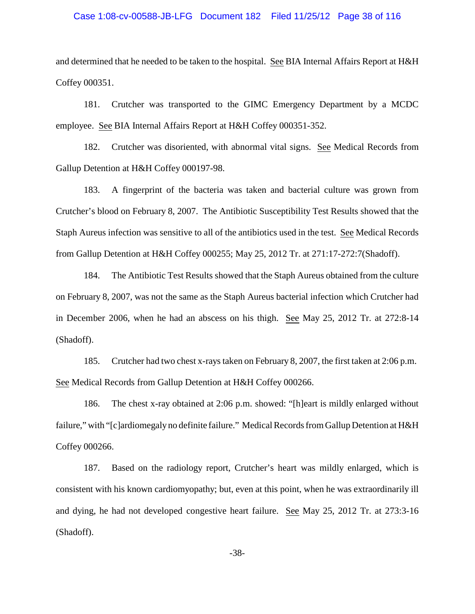#### Case 1:08-cv-00588-JB-LFG Document 182 Filed 11/25/12 Page 38 of 116

and determined that he needed to be taken to the hospital. See BIA Internal Affairs Report at H&H Coffey 000351.

181. Crutcher was transported to the GIMC Emergency Department by a MCDC employee. See BIA Internal Affairs Report at H&H Coffey 000351-352.

182. Crutcher was disoriented, with abnormal vital signs. See Medical Records from Gallup Detention at H&H Coffey 000197-98.

183. A fingerprint of the bacteria was taken and bacterial culture was grown from Crutcher's blood on February 8, 2007. The Antibiotic Susceptibility Test Results showed that the Staph Aureus infection was sensitive to all of the antibiotics used in the test. See Medical Records from Gallup Detention at H&H Coffey 000255; May 25, 2012 Tr. at 271:17-272:7(Shadoff).

184. The Antibiotic Test Results showed that the Staph Aureus obtained from the culture on February 8, 2007, was not the same as the Staph Aureus bacterial infection which Crutcher had in December 2006, when he had an abscess on his thigh. See May 25, 2012 Tr. at 272:8-14 (Shadoff).

185. Crutcher had two chest x-rays taken on February 8, 2007, the first taken at 2:06 p.m. See Medical Records from Gallup Detention at H&H Coffey 000266.

186. The chest x-ray obtained at 2:06 p.m. showed: "[h]eart is mildly enlarged without failure," with "[c]ardiomegaly no definite failure." Medical Records from Gallup Detention at H&H Coffey 000266.

187. Based on the radiology report, Crutcher's heart was mildly enlarged, which is consistent with his known cardiomyopathy; but, even at this point, when he was extraordinarily ill and dying, he had not developed congestive heart failure. See May 25, 2012 Tr. at 273:3-16 (Shadoff).

-38-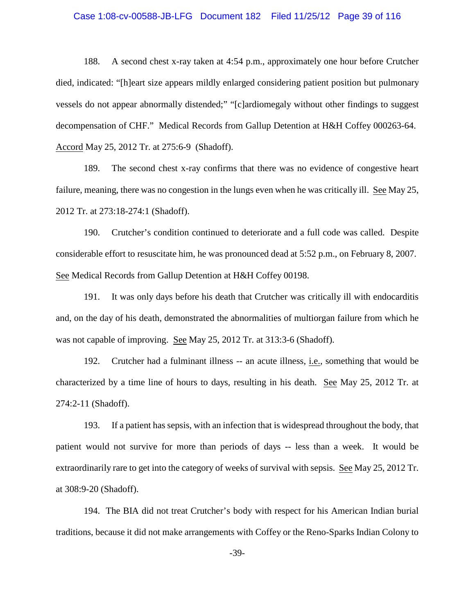#### Case 1:08-cv-00588-JB-LFG Document 182 Filed 11/25/12 Page 39 of 116

188. A second chest x-ray taken at 4:54 p.m., approximately one hour before Crutcher died, indicated: "[h]eart size appears mildly enlarged considering patient position but pulmonary vessels do not appear abnormally distended;" "[c]ardiomegaly without other findings to suggest decompensation of CHF." Medical Records from Gallup Detention at H&H Coffey 000263-64. Accord May 25, 2012 Tr. at 275:6-9 (Shadoff).

189. The second chest x-ray confirms that there was no evidence of congestive heart failure, meaning, there was no congestion in the lungs even when he was critically ill. See May 25, 2012 Tr. at 273:18-274:1 (Shadoff).

190. Crutcher's condition continued to deteriorate and a full code was called. Despite considerable effort to resuscitate him, he was pronounced dead at 5:52 p.m., on February 8, 2007. See Medical Records from Gallup Detention at H&H Coffey 00198.

191. It was only days before his death that Crutcher was critically ill with endocarditis and, on the day of his death, demonstrated the abnormalities of multiorgan failure from which he was not capable of improving. See May 25, 2012 Tr. at 313:3-6 (Shadoff).

192. Crutcher had a fulminant illness -- an acute illness, i.e., something that would be characterized by a time line of hours to days, resulting in his death. See May 25, 2012 Tr. at 274:2-11 (Shadoff).

193. If a patient has sepsis, with an infection that is widespread throughout the body, that patient would not survive for more than periods of days -- less than a week. It would be extraordinarily rare to get into the category of weeks of survival with sepsis. See May 25, 2012 Tr. at 308:9-20 (Shadoff).

194. The BIA did not treat Crutcher's body with respect for his American Indian burial traditions, because it did not make arrangements with Coffey or the Reno-Sparks Indian Colony to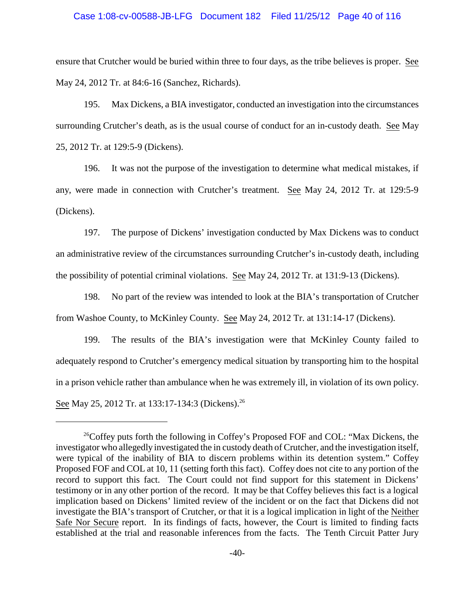#### Case 1:08-cv-00588-JB-LFG Document 182 Filed 11/25/12 Page 40 of 116

ensure that Crutcher would be buried within three to four days, as the tribe believes is proper. See May 24, 2012 Tr. at 84:6-16 (Sanchez, Richards).

195. Max Dickens, a BIA investigator, conducted an investigation into the circumstances surrounding Crutcher's death, as is the usual course of conduct for an in-custody death. See May 25, 2012 Tr. at 129:5-9 (Dickens).

196. It was not the purpose of the investigation to determine what medical mistakes, if any, were made in connection with Crutcher's treatment. See May 24, 2012 Tr. at 129:5-9 (Dickens).

197. The purpose of Dickens' investigation conducted by Max Dickens was to conduct an administrative review of the circumstances surrounding Crutcher's in-custody death, including the possibility of potential criminal violations. See May 24, 2012 Tr. at 131:9-13 (Dickens).

198. No part of the review was intended to look at the BIA's transportation of Crutcher from Washoe County, to McKinley County. See May 24, 2012 Tr. at 131:14-17 (Dickens).

199. The results of the BIA's investigation were that McKinley County failed to adequately respond to Crutcher's emergency medical situation by transporting him to the hospital in a prison vehicle rather than ambulance when he was extremely ill, in violation of its own policy. See May 25, 2012 Tr. at 133:17-134:3 (Dickens).<sup>26</sup>

<sup>&</sup>lt;sup>26</sup>Coffey puts forth the following in Coffey's Proposed FOF and COL: "Max Dickens, the investigator who allegedly investigated the in custody death of Crutcher, and the investigation itself, were typical of the inability of BIA to discern problems within its detention system." Coffey Proposed FOF and COL at 10, 11 (setting forth this fact). Coffey does not cite to any portion of the record to support this fact. The Court could not find support for this statement in Dickens' testimony or in any other portion of the record. It may be that Coffey believes this fact is a logical implication based on Dickens' limited review of the incident or on the fact that Dickens did not investigate the BIA's transport of Crutcher, or that it is a logical implication in light of the Neither Safe Nor Secure report. In its findings of facts, however, the Court is limited to finding facts established at the trial and reasonable inferences from the facts. The Tenth Circuit Patter Jury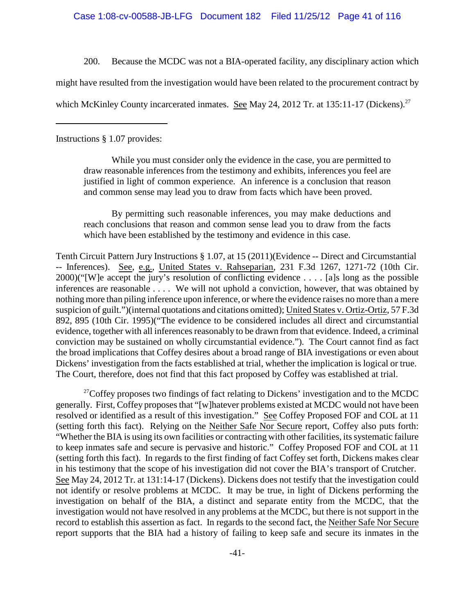Case 1:08-cv-00588-JB-LFG Document 182 Filed 11/25/12 Page 41 of 116

200. Because the MCDC was not a BIA-operated facility, any disciplinary action which

might have resulted from the investigation would have been related to the procurement contract by

which McKinley County incarcerated inmates. See May 24, 2012 Tr. at 135:11-17 (Dickens).<sup>27</sup>

Instructions § 1.07 provides:

While you must consider only the evidence in the case, you are permitted to draw reasonable inferences from the testimony and exhibits, inferences you feel are justified in light of common experience. An inference is a conclusion that reason and common sense may lead you to draw from facts which have been proved.

By permitting such reasonable inferences, you may make deductions and reach conclusions that reason and common sense lead you to draw from the facts which have been established by the testimony and evidence in this case.

Tenth Circuit Pattern Jury Instructions § 1.07, at 15 (2011)(Evidence -- Direct and Circumstantial -- Inferences). See, e.g., United States v. Rahseparian, 231 F.3d 1267, 1271-72 (10th Cir. 2000)("[W]e accept the jury's resolution of conflicting evidence . . . . [a]s long as the possible inferences are reasonable . . . . We will not uphold a conviction, however, that was obtained by nothing more than piling inference upon inference, or where the evidence raises no more than a mere suspicion of guilt.")(internal quotations and citations omitted); United States v. Ortiz-Ortiz, 57 F.3d 892, 895 (10th Cir. 1995)("The evidence to be considered includes all direct and circumstantial evidence, together with all inferences reasonably to be drawn from that evidence. Indeed, a criminal conviction may be sustained on wholly circumstantial evidence."). The Court cannot find as fact the broad implications that Coffey desires about a broad range of BIA investigations or even about Dickens' investigation from the facts established at trial, whether the implication is logical or true. The Court, therefore, does not find that this fact proposed by Coffey was established at trial.

<sup>27</sup> Coffey proposes two findings of fact relating to Dickens' investigation and to the MCDC generally. First, Coffey proposes that "[w]hatever problems existed at MCDC would not have been resolved or identified as a result of this investigation." See Coffey Proposed FOF and COL at 11 (setting forth this fact). Relying on the Neither Safe Nor Secure report, Coffey also puts forth: "Whether the BIA is using its own facilities or contracting with other facilities, its systematic failure to keep inmates safe and secure is pervasive and historic." Coffey Proposed FOF and COL at 11 (setting forth this fact). In regards to the first finding of fact Coffey set forth, Dickens makes clear in his testimony that the scope of his investigation did not cover the BIA's transport of Crutcher. See May 24, 2012 Tr. at 131:14-17 (Dickens). Dickens does not testify that the investigation could not identify or resolve problems at MCDC. It may be true, in light of Dickens performing the investigation on behalf of the BIA, a distinct and separate entity from the MCDC, that the investigation would not have resolved in any problems at the MCDC, but there is not support in the record to establish this assertion as fact. In regards to the second fact, the Neither Safe Nor Secure report supports that the BIA had a history of failing to keep safe and secure its inmates in the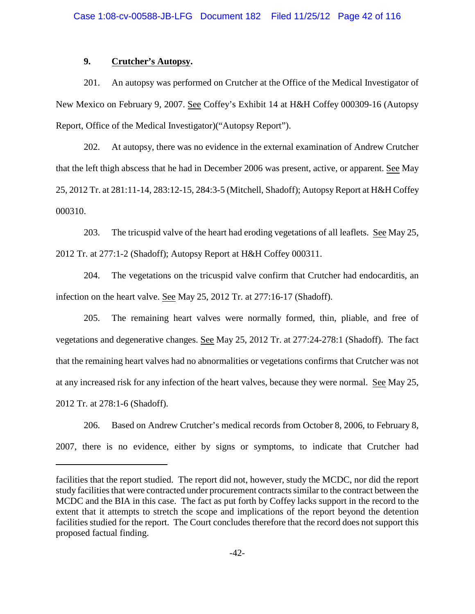## **9. Crutcher's Autopsy.**

201. An autopsy was performed on Crutcher at the Office of the Medical Investigator of New Mexico on February 9, 2007. See Coffey's Exhibit 14 at H&H Coffey 000309-16 (Autopsy Report, Office of the Medical Investigator)("Autopsy Report").

202. At autopsy, there was no evidence in the external examination of Andrew Crutcher that the left thigh abscess that he had in December 2006 was present, active, or apparent. See May 25, 2012 Tr. at 281:11-14, 283:12-15, 284:3-5 (Mitchell, Shadoff); AutopsyReport at H&H Coffey 000310.

203. The tricuspid valve of the heart had eroding vegetations of all leaflets. See May 25, 2012 Tr. at 277:1-2 (Shadoff); Autopsy Report at H&H Coffey 000311.

204. The vegetations on the tricuspid valve confirm that Crutcher had endocarditis, an infection on the heart valve. See May 25, 2012 Tr. at 277:16-17 (Shadoff).

205. The remaining heart valves were normally formed, thin, pliable, and free of vegetations and degenerative changes. See May 25, 2012 Tr. at 277:24-278:1 (Shadoff). The fact that the remaining heart valves had no abnormalities or vegetations confirms that Crutcher was not at any increased risk for any infection of the heart valves, because they were normal. See May 25, 2012 Tr. at 278:1-6 (Shadoff).

206. Based on Andrew Crutcher's medical records from October 8, 2006, to February 8, 2007, there is no evidence, either by signs or symptoms, to indicate that Crutcher had

facilities that the report studied. The report did not, however, study the MCDC, nor did the report study facilities that were contracted under procurement contracts similar to the contract between the MCDC and the BIA in this case. The fact as put forth by Coffey lacks support in the record to the extent that it attempts to stretch the scope and implications of the report beyond the detention facilities studied for the report. The Court concludes therefore that the record does not support this proposed factual finding.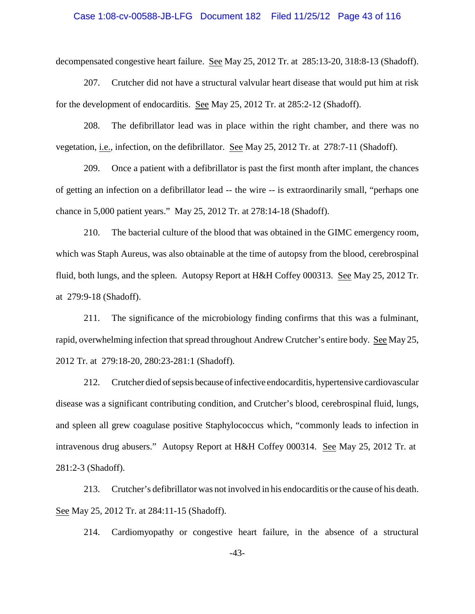#### Case 1:08-cv-00588-JB-LFG Document 182 Filed 11/25/12 Page 43 of 116

decompensated congestive heart failure. See May 25, 2012 Tr. at 285:13-20, 318:8-13 (Shadoff).

207. Crutcher did not have a structural valvular heart disease that would put him at risk for the development of endocarditis. See May 25, 2012 Tr. at 285:2-12 (Shadoff).

208. The defibrillator lead was in place within the right chamber, and there was no vegetation, i.e., infection, on the defibrillator. See May 25, 2012 Tr. at 278:7-11 (Shadoff).

209. Once a patient with a defibrillator is past the first month after implant, the chances of getting an infection on a defibrillator lead -- the wire -- is extraordinarily small, "perhaps one chance in 5,000 patient years." May 25, 2012 Tr. at 278:14-18 (Shadoff).

210. The bacterial culture of the blood that was obtained in the GIMC emergency room, which was Staph Aureus, was also obtainable at the time of autopsy from the blood, cerebrospinal fluid, both lungs, and the spleen. Autopsy Report at H&H Coffey 000313. See May 25, 2012 Tr. at 279:9-18 (Shadoff).

211. The significance of the microbiology finding confirms that this was a fulminant, rapid, overwhelming infection that spread throughout Andrew Crutcher's entire body. See May 25, 2012 Tr. at 279:18-20, 280:23-281:1 (Shadoff).

212. Crutcher died of sepsis because of infective endocarditis, hypertensive cardiovascular disease was a significant contributing condition, and Crutcher's blood, cerebrospinal fluid, lungs, and spleen all grew coagulase positive Staphylococcus which, "commonly leads to infection in intravenous drug abusers." Autopsy Report at H&H Coffey 000314. See May 25, 2012 Tr. at 281:2-3 (Shadoff).

213. Crutcher's defibrillator was not involved in his endocarditis or the cause of his death. See May 25, 2012 Tr. at 284:11-15 (Shadoff).

214. Cardiomyopathy or congestive heart failure, in the absence of a structural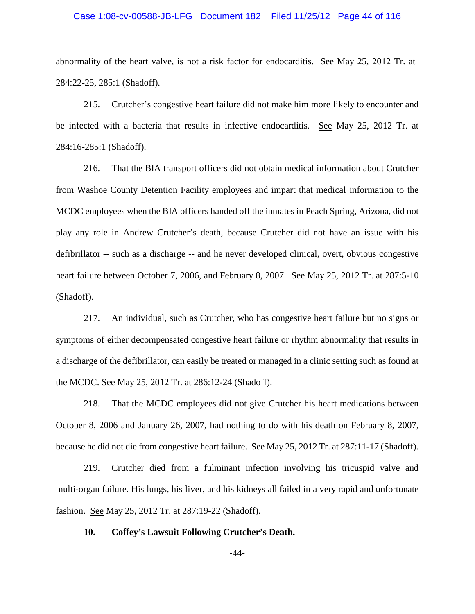#### Case 1:08-cv-00588-JB-LFG Document 182 Filed 11/25/12 Page 44 of 116

abnormality of the heart valve, is not a risk factor for endocarditis. See May 25, 2012 Tr. at 284:22-25, 285:1 (Shadoff).

215. Crutcher's congestive heart failure did not make him more likely to encounter and be infected with a bacteria that results in infective endocarditis. See May 25, 2012 Tr. at 284:16-285:1 (Shadoff).

216. That the BIA transport officers did not obtain medical information about Crutcher from Washoe County Detention Facility employees and impart that medical information to the MCDC employees when the BIA officers handed off the inmates in Peach Spring, Arizona, did not play any role in Andrew Crutcher's death, because Crutcher did not have an issue with his defibrillator -- such as a discharge -- and he never developed clinical, overt, obvious congestive heart failure between October 7, 2006, and February 8, 2007. See May 25, 2012 Tr. at 287:5-10 (Shadoff).

217. An individual, such as Crutcher, who has congestive heart failure but no signs or symptoms of either decompensated congestive heart failure or rhythm abnormality that results in a discharge of the defibrillator, can easily be treated or managed in a clinic setting such as found at the MCDC. See May 25, 2012 Tr. at 286:12-24 (Shadoff).

218. That the MCDC employees did not give Crutcher his heart medications between October 8, 2006 and January 26, 2007, had nothing to do with his death on February 8, 2007, because he did not die from congestive heart failure. See May 25, 2012 Tr. at 287:11-17 (Shadoff).

219. Crutcher died from a fulminant infection involving his tricuspid valve and multi-organ failure. His lungs, his liver, and his kidneys all failed in a very rapid and unfortunate fashion. See May 25, 2012 Tr. at 287:19-22 (Shadoff).

#### **10. Coffey's Lawsuit Following Crutcher's Death.**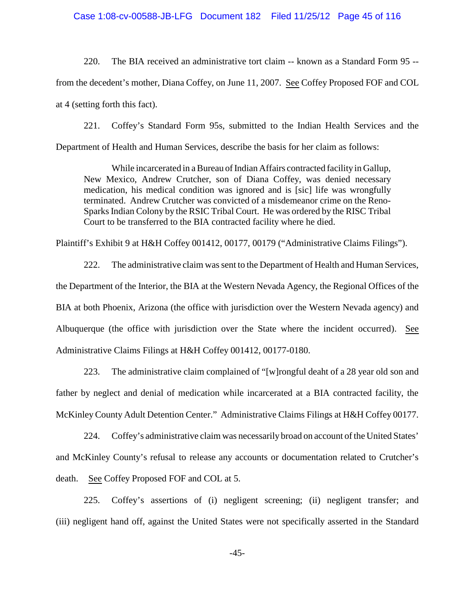#### Case 1:08-cv-00588-JB-LFG Document 182 Filed 11/25/12 Page 45 of 116

220. The BIA received an administrative tort claim -- known as a Standard Form 95 - from the decedent's mother, Diana Coffey, on June 11, 2007. See Coffey Proposed FOF and COL at 4 (setting forth this fact).

221. Coffey's Standard Form 95s, submitted to the Indian Health Services and the Department of Health and Human Services, describe the basis for her claim as follows:

While incarcerated in a Bureau of Indian Affairs contracted facility in Gallup, New Mexico, Andrew Crutcher, son of Diana Coffey, was denied necessary medication, his medical condition was ignored and is [sic] life was wrongfully terminated. Andrew Crutcher was convicted of a misdemeanor crime on the Reno-Sparks Indian Colony by the RSIC Tribal Court. He was ordered by the RISC Tribal Court to be transferred to the BIA contracted facility where he died.

Plaintiff's Exhibit 9 at H&H Coffey 001412, 00177, 00179 ("Administrative Claims Filings").

222. The administrative claim was sent to the Department of Health and Human Services, the Department of the Interior, the BIA at the Western Nevada Agency, the Regional Offices of the BIA at both Phoenix, Arizona (the office with jurisdiction over the Western Nevada agency) and Albuquerque (the office with jurisdiction over the State where the incident occurred). See Administrative Claims Filings at H&H Coffey 001412, 00177-0180.

223. The administrative claim complained of "[w]rongful deaht of a 28 year old son and father by neglect and denial of medication while incarcerated at a BIA contracted facility, the McKinleyCounty Adult Detention Center." Administrative Claims Filings at H&H Coffey 00177.

224. Coffey's administrative claim was necessarily broad on account of the United States' and McKinley County's refusal to release any accounts or documentation related to Crutcher's death. See Coffey Proposed FOF and COL at 5.

225. Coffey's assertions of (i) negligent screening; (ii) negligent transfer; and (iii) negligent hand off, against the United States were not specifically asserted in the Standard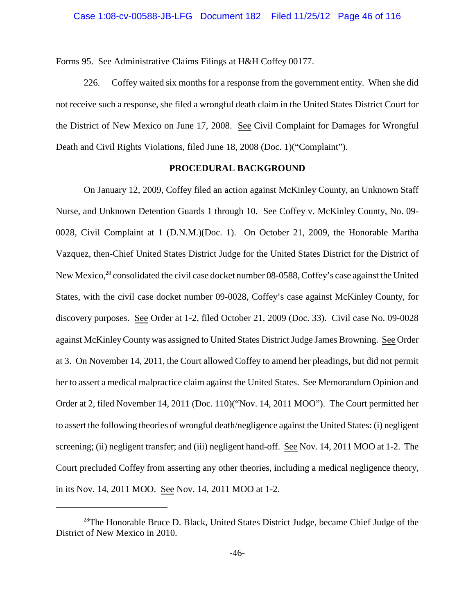Forms 95. See Administrative Claims Filings at H&H Coffey 00177.

226. Coffey waited six months for a response from the government entity. When she did not receive such a response, she filed a wrongful death claim in the United States District Court for the District of New Mexico on June 17, 2008. See Civil Complaint for Damages for Wrongful Death and Civil Rights Violations, filed June 18, 2008 (Doc. 1)("Complaint").

### **PROCEDURAL BACKGROUND**

On January 12, 2009, Coffey filed an action against McKinley County, an Unknown Staff Nurse, and Unknown Detention Guards 1 through 10. See Coffey v. McKinley County, No. 09- 0028, Civil Complaint at 1 (D.N.M.)(Doc. 1). On October 21, 2009, the Honorable Martha Vazquez, then-Chief United States District Judge for the United States District for the District of New Mexico,<sup>28</sup> consolidated the civil case docket number 08-0588, Coffey's case against the United States, with the civil case docket number 09-0028, Coffey's case against McKinley County, for discovery purposes. See Order at 1-2, filed October 21, 2009 (Doc. 33). Civil case No. 09-0028 against McKinleyCounty was assigned to United States District Judge James Browning. See Order at 3. On November 14, 2011, the Court allowed Coffey to amend her pleadings, but did not permit her to assert a medical malpractice claim against the United States. See Memorandum Opinion and Order at 2, filed November 14, 2011 (Doc. 110)("Nov. 14, 2011 MOO"). The Court permitted her to assert the following theories of wrongful death/negligence against the United States: (i) negligent screening; (ii) negligent transfer; and (iii) negligent hand-off. See Nov. 14, 2011 MOO at 1-2. The Court precluded Coffey from asserting any other theories, including a medical negligence theory, in its Nov. 14, 2011 MOO. See Nov. 14, 2011 MOO at 1-2.

 $28$ The Honorable Bruce D. Black, United States District Judge, became Chief Judge of the District of New Mexico in 2010.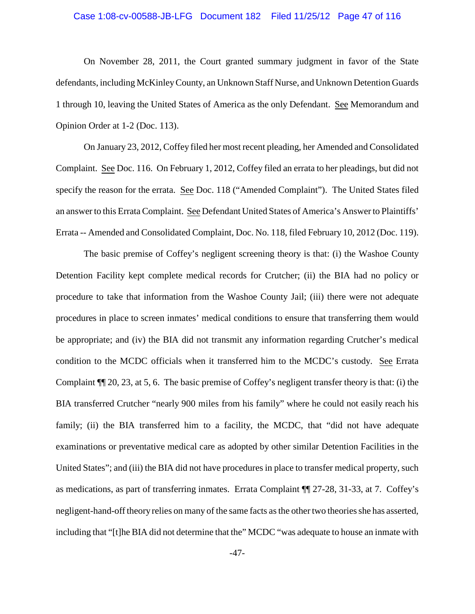#### Case 1:08-cv-00588-JB-LFG Document 182 Filed 11/25/12 Page 47 of 116

On November 28, 2011, the Court granted summary judgment in favor of the State defendants, including McKinleyCounty, an Unknown Staff Nurse, and Unknown Detention Guards 1 through 10, leaving the United States of America as the only Defendant. See Memorandum and Opinion Order at 1-2 (Doc. 113).

On January 23, 2012, Coffey filed her most recent pleading, her Amended and Consolidated Complaint. See Doc. 116. On February 1, 2012, Coffey filed an errata to her pleadings, but did not specify the reason for the errata. See Doc. 118 ("Amended Complaint"). The United States filed an answer to this Errata Complaint. See Defendant United States of America's Answerto Plaintiffs' Errata -- Amended and Consolidated Complaint, Doc. No. 118, filed February 10, 2012 (Doc. 119).

The basic premise of Coffey's negligent screening theory is that: (i) the Washoe County Detention Facility kept complete medical records for Crutcher; (ii) the BIA had no policy or procedure to take that information from the Washoe County Jail; (iii) there were not adequate procedures in place to screen inmates' medical conditions to ensure that transferring them would be appropriate; and (iv) the BIA did not transmit any information regarding Crutcher's medical condition to the MCDC officials when it transferred him to the MCDC's custody. See Errata Complaint ¶¶ 20, 23, at 5, 6. The basic premise of Coffey's negligent transfer theory is that: (i) the BIA transferred Crutcher "nearly 900 miles from his family" where he could not easily reach his family; (ii) the BIA transferred him to a facility, the MCDC, that "did not have adequate examinations or preventative medical care as adopted by other similar Detention Facilities in the United States"; and (iii) the BIA did not have procedures in place to transfer medical property, such as medications, as part of transferring inmates. Errata Complaint ¶¶ 27-28, 31-33, at 7. Coffey's negligent-hand-off theory relies on many of the same facts as the other two theories she has asserted, including that "[t]he BIA did not determine that the" MCDC "was adequate to house an inmate with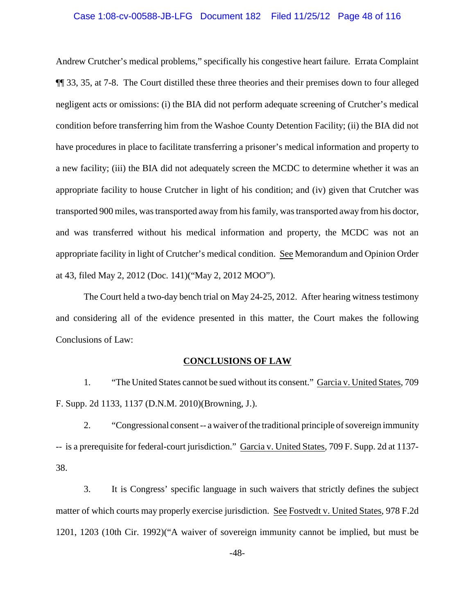#### Case 1:08-cv-00588-JB-LFG Document 182 Filed 11/25/12 Page 48 of 116

Andrew Crutcher's medical problems," specifically his congestive heart failure. Errata Complaint ¶¶ 33, 35, at 7-8. The Court distilled these three theories and their premises down to four alleged negligent acts or omissions: (i) the BIA did not perform adequate screening of Crutcher's medical condition before transferring him from the Washoe County Detention Facility; (ii) the BIA did not have procedures in place to facilitate transferring a prisoner's medical information and property to a new facility; (iii) the BIA did not adequately screen the MCDC to determine whether it was an appropriate facility to house Crutcher in light of his condition; and (iv) given that Crutcher was transported 900 miles, was transported away from his family, was transported away from his doctor, and was transferred without his medical information and property, the MCDC was not an appropriate facility in light of Crutcher's medical condition. See Memorandum and Opinion Order at 43, filed May 2, 2012 (Doc. 141)("May 2, 2012 MOO").

The Court held a two-day bench trial on May 24-25, 2012. After hearing witness testimony and considering all of the evidence presented in this matter, the Court makes the following Conclusions of Law:

### **CONCLUSIONS OF LAW**

1. "The United States cannot be sued without its consent." Garcia v. United States, 709 F. Supp. 2d 1133, 1137 (D.N.M. 2010)(Browning, J.).

2. "Congressional consent -- a waiver of the traditional principle of sovereign immunity -- is a prerequisite for federal-court jurisdiction." Garcia v. United States, 709 F. Supp. 2d at 1137- 38.

3. It is Congress' specific language in such waivers that strictly defines the subject matter of which courts may properly exercise jurisdiction. See Fostvedt v. United States, 978 F.2d 1201, 1203 (10th Cir. 1992)("A waiver of sovereign immunity cannot be implied, but must be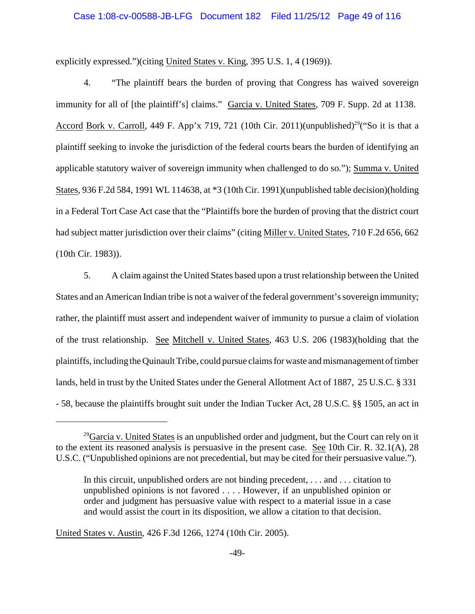#### Case 1:08-cv-00588-JB-LFG Document 182 Filed 11/25/12 Page 49 of 116

explicitly expressed.")(citing United States v. King, 395 U.S. 1, 4 (1969)).

4. "The plaintiff bears the burden of proving that Congress has waived sovereign immunity for all of [the plaintiff's] claims." Garcia v. United States, 709 F. Supp. 2d at 1138. Accord Bork v. Carroll, 449 F. App'x 719, 721 (10th Cir. 2011)(unpublished)<sup>29</sup> ("So it is that a plaintiff seeking to invoke the jurisdiction of the federal courts bears the burden of identifying an applicable statutory waiver of sovereign immunity when challenged to do so."); Summa v. United States, 936 F.2d 584, 1991 WL 114638, at \*3 (10th Cir. 1991)(unpublished table decision)(holding in a Federal Tort Case Act case that the "Plaintiffs bore the burden of proving that the district court had subject matter jurisdiction over their claims" (citing Miller v. United States, 710 F.2d 656, 662 (10th Cir. 1983)).

5. A claim against the United States based upon a trust relationship between the United States and an American Indian tribe is not a waiver of the federal government's sovereign immunity; rather, the plaintiff must assert and independent waiver of immunity to pursue a claim of violation of the trust relationship. See Mitchell v. United States, 463 U.S. 206 (1983)(holding that the plaintiffs, including the Quinault Tribe, could pursue claimsfor waste and mismanagement of timber lands, held in trust by the United States under the General Allotment Act of 1887, 25 U.S.C. § 331 - 58, because the plaintiffs brought suit under the Indian Tucker Act, 28 U.S.C. §§ 1505, an act in

United States v. Austin, 426 F.3d 1266, 1274 (10th Cir. 2005).

<sup>&</sup>lt;sup>29</sup> Garcia v. United States is an unpublished order and judgment, but the Court can rely on it to the extent its reasoned analysis is persuasive in the present case. See 10th Cir. R. 32.1(A), 28 U.S.C. ("Unpublished opinions are not precedential, but may be cited for their persuasive value.").

In this circuit, unpublished orders are not binding precedent, . . . and . . . citation to unpublished opinions is not favored . . . . However, if an unpublished opinion or order and judgment has persuasive value with respect to a material issue in a case and would assist the court in its disposition, we allow a citation to that decision.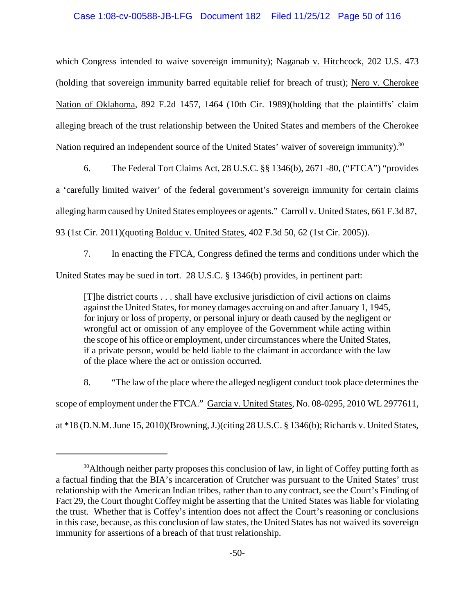## Case 1:08-cv-00588-JB-LFG Document 182 Filed 11/25/12 Page 50 of 116

which Congress intended to waive sovereign immunity); Naganab v. Hitchcock, 202 U.S. 473 (holding that sovereign immunity barred equitable relief for breach of trust); Nero v. Cherokee Nation of Oklahoma, 892 F.2d 1457, 1464 (10th Cir. 1989)(holding that the plaintiffs' claim alleging breach of the trust relationship between the United States and members of the Cherokee Nation required an independent source of the United States' waiver of sovereign immunity).<sup>30</sup>

6. The Federal Tort Claims Act, 28 U.S.C. §§ 1346(b), 2671 -80, ("FTCA") "provides a 'carefully limited waiver' of the federal government's sovereign immunity for certain claims alleging harm caused by United States employees or agents." Carroll v. United States, 661 F.3d 87, 93 (1st Cir. 2011)(quoting Bolduc v. United States, 402 F.3d 50, 62 (1st Cir. 2005)).

7. In enacting the FTCA, Congress defined the terms and conditions under which the United States may be sued in tort. 28 U.S.C. § 1346(b) provides, in pertinent part:

[T]he district courts . . . shall have exclusive jurisdiction of civil actions on claims against the United States, for money damages accruing on and after January 1, 1945, for injury or loss of property, or personal injury or death caused by the negligent or wrongful act or omission of any employee of the Government while acting within the scope of his office or employment, under circumstances where the United States, if a private person, would be held liable to the claimant in accordance with the law of the place where the act or omission occurred.

8. "The law of the place where the alleged negligent conduct took place determines the scope of employment under the FTCA." Garcia v. United States, No. 08-0295, 2010 WL 2977611, at \*18 (D.N.M. June 15, 2010)(Browning, J.)(citing 28 U.S.C. § 1346(b); Richards v. United States,

 $30$ Although neither party proposes this conclusion of law, in light of Coffey putting forth as a factual finding that the BIA's incarceration of Crutcher was pursuant to the United States' trust relationship with the American Indian tribes, rather than to any contract, see the Court's Finding of Fact 29, the Court thought Coffey might be asserting that the United States was liable for violating the trust. Whether that is Coffey's intention does not affect the Court's reasoning or conclusions in this case, because, as this conclusion of law states, the United States has not waived its sovereign immunity for assertions of a breach of that trust relationship.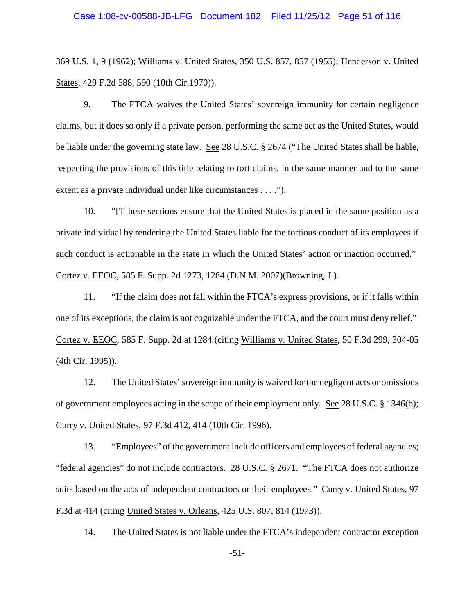369 U.S. 1, 9 (1962); Williams v. United States, 350 U.S. 857, 857 (1955); Henderson v. United States, 429 F.2d 588, 590 (10th Cir.1970)).

9. The FTCA waives the United States' sovereign immunity for certain negligence claims, but it does so only if a private person, performing the same act as the United States, would be liable under the governing state law. See 28 U.S.C. § 2674 ("The United States shall be liable, respecting the provisions of this title relating to tort claims, in the same manner and to the same extent as a private individual under like circumstances . . . .").

10. "[T]hese sections ensure that the United States is placed in the same position as a private individual by rendering the United States liable for the tortious conduct of its employees if such conduct is actionable in the state in which the United States' action or inaction occurred." Cortez v. EEOC, 585 F. Supp. 2d 1273, 1284 (D.N.M. 2007)(Browning, J.).

11. "If the claim does not fall within the FTCA's express provisions, or if it falls within one of its exceptions, the claim is not cognizable under the FTCA, and the court must deny relief." Cortez v. EEOC, 585 F. Supp. 2d at 1284 (citing Williams v. United States, 50 F.3d 299, 304-05 (4th Cir. 1995)).

12. The United States' sovereign immunity is waived for the negligent acts or omissions of government employees acting in the scope of their employment only. See 28 U.S.C. § 1346(b); Curry v. United States, 97 F.3d 412, 414 (10th Cir. 1996).

13. "Employees" of the government include officers and employees of federal agencies; "federal agencies" do not include contractors. 28 U.S.C. § 2671. "The FTCA does not authorize suits based on the acts of independent contractors or their employees." Curry v. United States, 97 F.3d at 414 (citing United States v. Orleans, 425 U.S. 807, 814 (1973)).

14. The United States is not liable under the FTCA's independent contractor exception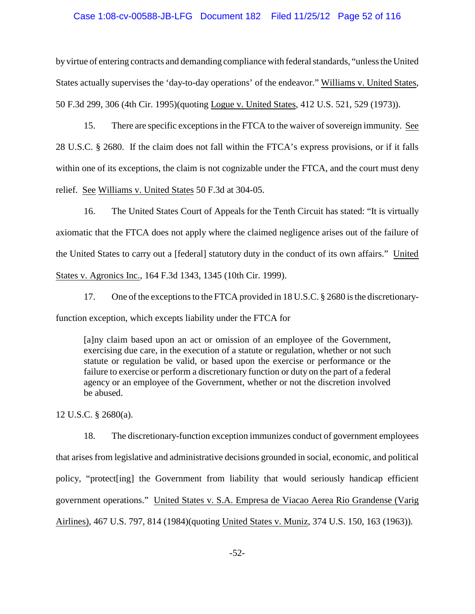### Case 1:08-cv-00588-JB-LFG Document 182 Filed 11/25/12 Page 52 of 116

by virtue of entering contracts and demanding compliance with federal standards, "unless the United States actually supervises the 'day-to-day operations' of the endeavor." Williams v. United States, 50 F.3d 299, 306 (4th Cir. 1995)(quoting Logue v. United States, 412 U.S. 521, 529 (1973)).

15. There are specific exceptions in the FTCA to the waiver of sovereign immunity. See 28 U.S.C. § 2680. If the claim does not fall within the FTCA's express provisions, or if it falls within one of its exceptions, the claim is not cognizable under the FTCA, and the court must deny relief. See Williams v. United States 50 F.3d at 304-05.

16. The United States Court of Appeals for the Tenth Circuit has stated: "It is virtually axiomatic that the FTCA does not apply where the claimed negligence arises out of the failure of the United States to carry out a [federal] statutory duty in the conduct of its own affairs." United States v. Agronics Inc., 164 F.3d 1343, 1345 (10th Cir. 1999).

17. One of the exceptions to the FTCA provided in 18 U.S.C. § 2680 is the discretionaryfunction exception, which excepts liability under the FTCA for

[a]ny claim based upon an act or omission of an employee of the Government, exercising due care, in the execution of a statute or regulation, whether or not such statute or regulation be valid, or based upon the exercise or performance or the failure to exercise or perform a discretionary function or duty on the part of a federal agency or an employee of the Government, whether or not the discretion involved be abused.

12 U.S.C. § 2680(a).

18. The discretionary-function exception immunizes conduct of government employees that arises from legislative and administrative decisions grounded in social, economic, and political policy, "protect[ing] the Government from liability that would seriously handicap efficient government operations." United States v. S.A. Empresa de Viacao Aerea Rio Grandense (Varig Airlines), 467 U.S. 797, 814 (1984)(quoting United States v. Muniz, 374 U.S. 150, 163 (1963)).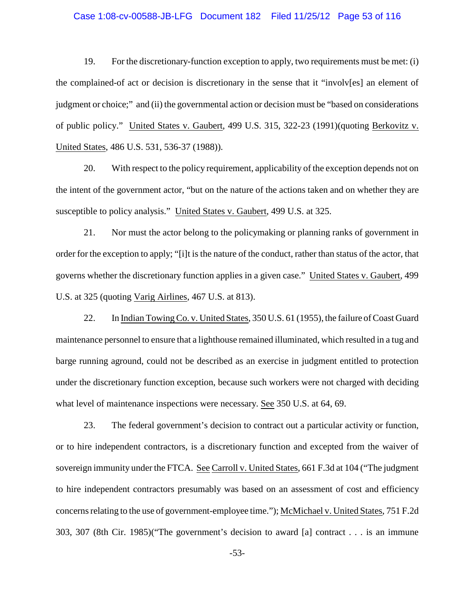### Case 1:08-cv-00588-JB-LFG Document 182 Filed 11/25/12 Page 53 of 116

19. For the discretionary-function exception to apply, two requirements must be met: (i) the complained-of act or decision is discretionary in the sense that it "involv[es] an element of judgment or choice;" and (ii) the governmental action or decision must be "based on considerations of public policy." United States v. Gaubert, 499 U.S. 315, 322-23 (1991)(quoting Berkovitz v. United States, 486 U.S. 531, 536-37 (1988)).

20. With respect to the policy requirement, applicability of the exception depends not on the intent of the government actor, "but on the nature of the actions taken and on whether they are susceptible to policy analysis." United States v. Gaubert, 499 U.S. at 325.

21. Nor must the actor belong to the policymaking or planning ranks of government in order for the exception to apply; "[i]t is the nature of the conduct, rather than status of the actor, that governs whether the discretionary function applies in a given case." United States v. Gaubert, 499 U.S. at 325 (quoting Varig Airlines, 467 U.S. at 813).

22. In Indian Towing Co. v. United States, 350 U.S. 61 (1955), the failure of Coast Guard maintenance personnel to ensure that a lighthouse remained illuminated, which resulted in a tug and barge running aground, could not be described as an exercise in judgment entitled to protection under the discretionary function exception, because such workers were not charged with deciding what level of maintenance inspections were necessary. See 350 U.S. at 64, 69.

23. The federal government's decision to contract out a particular activity or function, or to hire independent contractors, is a discretionary function and excepted from the waiver of sovereign immunity under the FTCA. See Carroll v. United States, 661 F.3d at 104 ("The judgment to hire independent contractors presumably was based on an assessment of cost and efficiency concerns relating to the use of government-employee time."); McMichael v. United States, 751 F.2d 303, 307 (8th Cir. 1985)("The government's decision to award [a] contract . . . is an immune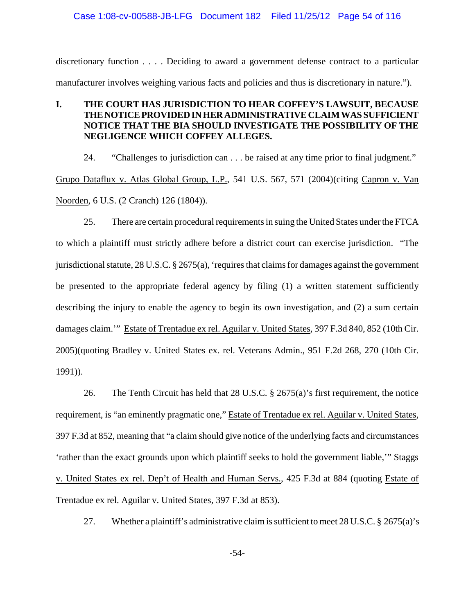### Case 1:08-cv-00588-JB-LFG Document 182 Filed 11/25/12 Page 54 of 116

discretionary function . . . . Deciding to award a government defense contract to a particular manufacturer involves weighing various facts and policies and thus is discretionary in nature.").

# **I. THE COURT HAS JURISDICTION TO HEAR COFFEY'S LAWSUIT, BECAUSE THENOTICEPROVIDEDINHERADMINISTRATIVE CLAIMWAS SUFFICIENT NOTICE THAT THE BIA SHOULD INVESTIGATE THE POSSIBILITY OF THE NEGLIGENCE WHICH COFFEY ALLEGES.**

24. "Challenges to jurisdiction can . . . be raised at any time prior to final judgment." Grupo Dataflux v. Atlas Global Group, L.P., 541 U.S. 567, 571 (2004)(citing Capron v. Van Noorden, 6 U.S. (2 Cranch) 126 (1804)).

25. There are certain procedural requirements in suing the United States under the FTCA to which a plaintiff must strictly adhere before a district court can exercise jurisdiction. "The jurisdictional statute, 28 U.S.C. § 2675(a), 'requires that claims for damages against the government be presented to the appropriate federal agency by filing (1) a written statement sufficiently describing the injury to enable the agency to begin its own investigation, and (2) a sum certain damages claim.'" Estate of Trentadue ex rel. Aguilar v. United States, 397 F.3d 840, 852 (10th Cir. 2005)(quoting Bradley v. United States ex. rel. Veterans Admin., 951 F.2d 268, 270 (10th Cir. 1991)).

26. The Tenth Circuit has held that 28 U.S.C. § 2675(a)'s first requirement, the notice requirement, is "an eminently pragmatic one," Estate of Trentadue ex rel. Aguilar v. United States, 397 F.3d at 852, meaning that "a claim should give notice of the underlying facts and circumstances 'rather than the exact grounds upon which plaintiff seeks to hold the government liable,'" Staggs v. United States ex rel. Dep't of Health and Human Servs., 425 F.3d at 884 (quoting Estate of Trentadue ex rel. Aguilar v. United States, 397 F.3d at 853).

27. Whether a plaintiff's administrative claim is sufficient to meet 28 U.S.C. § 2675(a)'s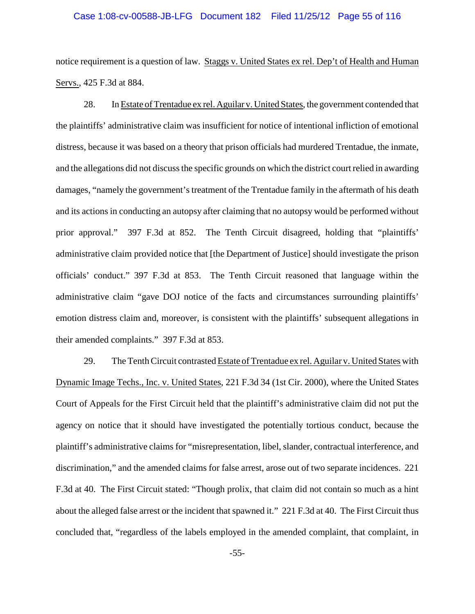#### Case 1:08-cv-00588-JB-LFG Document 182 Filed 11/25/12 Page 55 of 116

notice requirement is a question of law. Staggs v. United States ex rel. Dep't of Health and Human Servs., 425 F.3d at 884.

28. In Estate of Trentadue ex rel. Aguilar v. United States, the government contended that the plaintiffs' administrative claim was insufficient for notice of intentional infliction of emotional distress, because it was based on a theory that prison officials had murdered Trentadue, the inmate, and the allegations did not discuss the specific grounds on which the district court relied in awarding damages, "namely the government's treatment of the Trentadue family in the aftermath of his death and its actions in conducting an autopsy after claiming that no autopsy would be performed without prior approval." 397 F.3d at 852. The Tenth Circuit disagreed, holding that "plaintiffs' administrative claim provided notice that [the Department of Justice] should investigate the prison officials' conduct." 397 F.3d at 853. The Tenth Circuit reasoned that language within the administrative claim "gave DOJ notice of the facts and circumstances surrounding plaintiffs' emotion distress claim and, moreover, is consistent with the plaintiffs' subsequent allegations in their amended complaints." 397 F.3d at 853.

29. The Tenth Circuit contrasted Estate of Trentadue ex rel. Aguilar v. United States with Dynamic Image Techs., Inc. v. United States, 221 F.3d 34 (1st Cir. 2000), where the United States Court of Appeals for the First Circuit held that the plaintiff's administrative claim did not put the agency on notice that it should have investigated the potentially tortious conduct, because the plaintiff's administrative claims for "misrepresentation, libel, slander, contractual interference, and discrimination," and the amended claims for false arrest, arose out of two separate incidences. 221 F.3d at 40. The First Circuit stated: "Though prolix, that claim did not contain so much as a hint about the alleged false arrest or the incident that spawned it." 221 F.3d at 40. The First Circuit thus concluded that, "regardless of the labels employed in the amended complaint, that complaint, in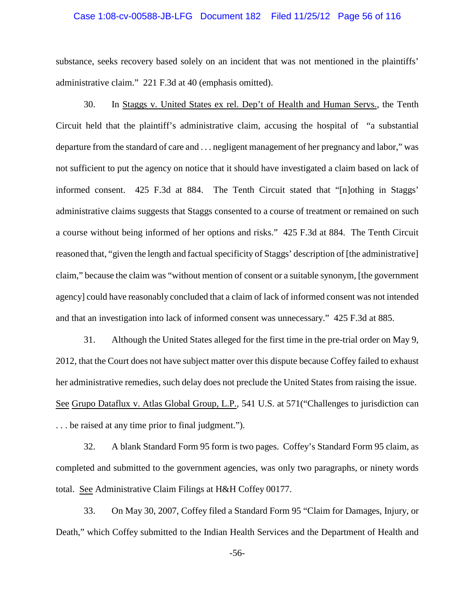#### Case 1:08-cv-00588-JB-LFG Document 182 Filed 11/25/12 Page 56 of 116

substance, seeks recovery based solely on an incident that was not mentioned in the plaintiffs' administrative claim." 221 F.3d at 40 (emphasis omitted).

30. In Staggs v. United States ex rel. Dep't of Health and Human Servs., the Tenth Circuit held that the plaintiff's administrative claim, accusing the hospital of "a substantial departure from the standard of care and . . . negligent management of her pregnancy and labor," was not sufficient to put the agency on notice that it should have investigated a claim based on lack of informed consent. 425 F.3d at 884. The Tenth Circuit stated that "[n]othing in Staggs' administrative claims suggests that Staggs consented to a course of treatment or remained on such a course without being informed of her options and risks." 425 F.3d at 884. The Tenth Circuit reasoned that, "given the length and factual specificity of Staggs' description of [the administrative] claim," because the claim was "without mention of consent or a suitable synonym, [the government agency] could have reasonably concluded that a claim of lack of informed consent was not intended and that an investigation into lack of informed consent was unnecessary." 425 F.3d at 885.

31. Although the United States alleged for the first time in the pre-trial order on May 9, 2012, that the Court does not have subject matter over this dispute because Coffey failed to exhaust her administrative remedies, such delay does not preclude the United States from raising the issue. See Grupo Dataflux v. Atlas Global Group, L.P., 541 U.S. at 571("Challenges to jurisdiction can . . . be raised at any time prior to final judgment.").

32. A blank Standard Form 95 form is two pages. Coffey's Standard Form 95 claim, as completed and submitted to the government agencies, was only two paragraphs, or ninety words total. See Administrative Claim Filings at H&H Coffey 00177.

33. On May 30, 2007, Coffey filed a Standard Form 95 "Claim for Damages, Injury, or Death," which Coffey submitted to the Indian Health Services and the Department of Health and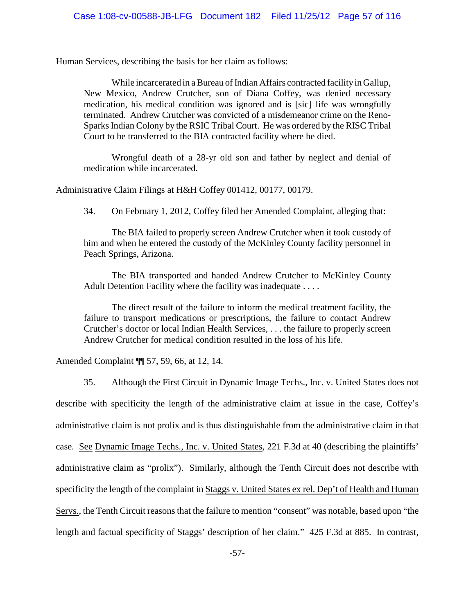Human Services, describing the basis for her claim as follows:

While incarcerated in a Bureau of Indian Affairs contracted facility in Gallup, New Mexico, Andrew Crutcher, son of Diana Coffey, was denied necessary medication, his medical condition was ignored and is [sic] life was wrongfully terminated. Andrew Crutcher was convicted of a misdemeanor crime on the Reno-Sparks Indian Colony by the RSIC Tribal Court. He was ordered by the RISC Tribal Court to be transferred to the BIA contracted facility where he died.

Wrongful death of a 28-yr old son and father by neglect and denial of medication while incarcerated.

Administrative Claim Filings at H&H Coffey 001412, 00177, 00179.

34. On February 1, 2012, Coffey filed her Amended Complaint, alleging that:

The BIA failed to properly screen Andrew Crutcher when it took custody of him and when he entered the custody of the McKinley County facility personnel in Peach Springs, Arizona.

The BIA transported and handed Andrew Crutcher to McKinley County Adult Detention Facility where the facility was inadequate . . . .

The direct result of the failure to inform the medical treatment facility, the failure to transport medications or prescriptions, the failure to contact Andrew Crutcher's doctor or local Indian Health Services, . . . the failure to properly screen Andrew Crutcher for medical condition resulted in the loss of his life.

Amended Complaint ¶¶ 57, 59, 66, at 12, 14.

35. Although the First Circuit in Dynamic Image Techs., Inc. v. United States does not describe with specificity the length of the administrative claim at issue in the case, Coffey's administrative claim is not prolix and is thus distinguishable from the administrative claim in that case. See Dynamic Image Techs., Inc. v. United States, 221 F.3d at 40 (describing the plaintiffs' administrative claim as "prolix"). Similarly, although the Tenth Circuit does not describe with specificity the length of the complaint in Staggs v. United States ex rel. Dep't of Health and Human Servs., the Tenth Circuit reasons that the failure to mention "consent" was notable, based upon "the length and factual specificity of Staggs' description of her claim." 425 F.3d at 885. In contrast,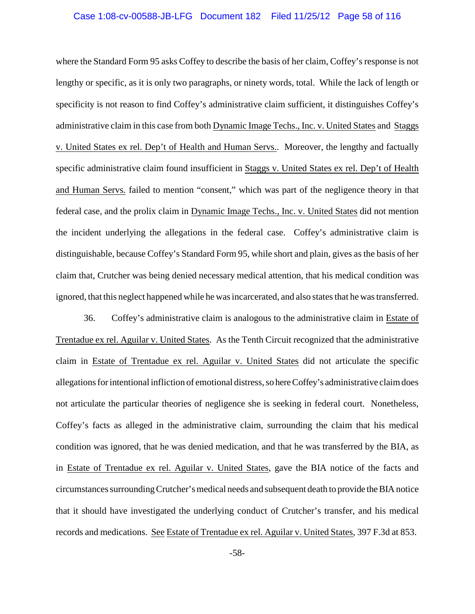#### Case 1:08-cv-00588-JB-LFG Document 182 Filed 11/25/12 Page 58 of 116

where the Standard Form 95 asks Coffey to describe the basis of her claim, Coffey's response is not lengthy or specific, as it is only two paragraphs, or ninety words, total. While the lack of length or specificity is not reason to find Coffey's administrative claim sufficient, it distinguishes Coffey's administrative claim in this case from both Dynamic Image Techs., Inc. v. United States and Staggs v. United States ex rel. Dep't of Health and Human Servs.. Moreover, the lengthy and factually specific administrative claim found insufficient in Staggs v. United States ex rel. Dep't of Health and Human Servs. failed to mention "consent," which was part of the negligence theory in that federal case, and the prolix claim in Dynamic Image Techs., Inc. v. United States did not mention the incident underlying the allegations in the federal case. Coffey's administrative claim is distinguishable, because Coffey's Standard Form 95, while short and plain, gives as the basis of her claim that, Crutcher was being denied necessary medical attention, that his medical condition was ignored, that this neglect happened while he was incarcerated, and also states that he was transferred.

36. Coffey's administrative claim is analogous to the administrative claim in Estate of Trentadue ex rel. Aguilar v. United States. As the Tenth Circuit recognized that the administrative claim in Estate of Trentadue ex rel. Aguilar v. United States did not articulate the specific allegations for intentional infliction of emotional distress, so hereCoffey's administrative claim does not articulate the particular theories of negligence she is seeking in federal court. Nonetheless, Coffey's facts as alleged in the administrative claim, surrounding the claim that his medical condition was ignored, that he was denied medication, and that he was transferred by the BIA, as in Estate of Trentadue ex rel. Aguilar v. United States, gave the BIA notice of the facts and circumstances surroundingCrutcher's medical needs and subsequent death to provide theBIA notice that it should have investigated the underlying conduct of Crutcher's transfer, and his medical records and medications. See Estate of Trentadue ex rel. Aguilar v. United States, 397 F.3d at 853.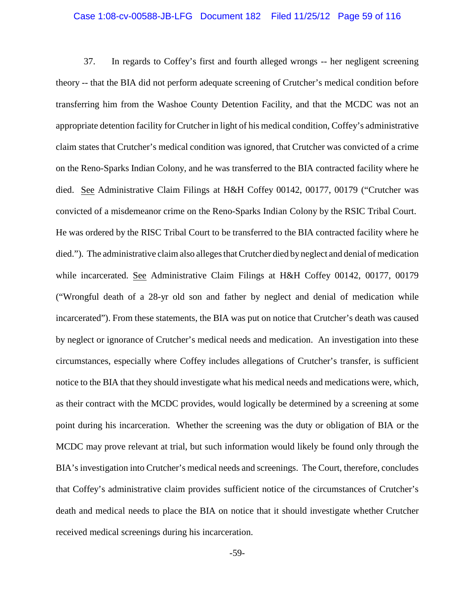#### Case 1:08-cv-00588-JB-LFG Document 182 Filed 11/25/12 Page 59 of 116

37. In regards to Coffey's first and fourth alleged wrongs -- her negligent screening theory -- that the BIA did not perform adequate screening of Crutcher's medical condition before transferring him from the Washoe County Detention Facility, and that the MCDC was not an appropriate detention facility for Crutcher in light of his medical condition, Coffey's administrative claim states that Crutcher's medical condition was ignored, that Crutcher was convicted of a crime on the Reno-Sparks Indian Colony, and he was transferred to the BIA contracted facility where he died. See Administrative Claim Filings at H&H Coffey 00142, 00177, 00179 ("Crutcher was convicted of a misdemeanor crime on the Reno-Sparks Indian Colony by the RSIC Tribal Court. He was ordered by the RISC Tribal Court to be transferred to the BIA contracted facility where he died."). The administrative claim also alleges that Crutcher died by neglect and denial of medication while incarcerated. See Administrative Claim Filings at H&H Coffey 00142, 00177, 00179 ("Wrongful death of a 28-yr old son and father by neglect and denial of medication while incarcerated"). From these statements, the BIA was put on notice that Crutcher's death was caused by neglect or ignorance of Crutcher's medical needs and medication. An investigation into these circumstances, especially where Coffey includes allegations of Crutcher's transfer, is sufficient notice to the BIA that they should investigate what his medical needs and medications were, which, as their contract with the MCDC provides, would logically be determined by a screening at some point during his incarceration. Whether the screening was the duty or obligation of BIA or the MCDC may prove relevant at trial, but such information would likely be found only through the BIA's investigation into Crutcher's medical needs and screenings. The Court, therefore, concludes that Coffey's administrative claim provides sufficient notice of the circumstances of Crutcher's death and medical needs to place the BIA on notice that it should investigate whether Crutcher received medical screenings during his incarceration.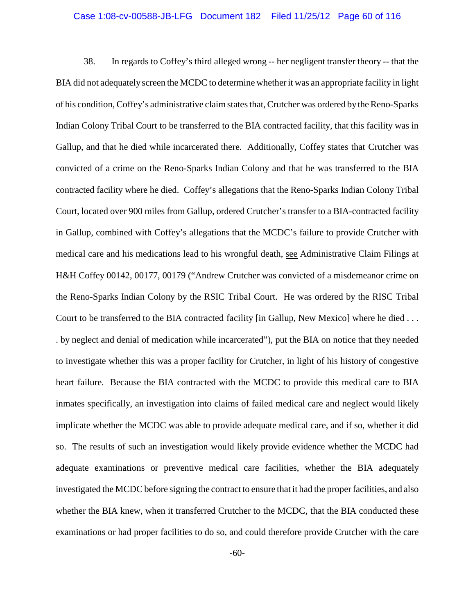#### Case 1:08-cv-00588-JB-LFG Document 182 Filed 11/25/12 Page 60 of 116

38. In regards to Coffey's third alleged wrong -- her negligent transfer theory -- that the BIA did not adequately screen the MCDC to determine whetherit was an appropriate facility in light of his condition, Coffey's administrative claim states that, Crutcher was ordered bythe Reno-Sparks Indian Colony Tribal Court to be transferred to the BIA contracted facility, that this facility was in Gallup, and that he died while incarcerated there. Additionally, Coffey states that Crutcher was convicted of a crime on the Reno-Sparks Indian Colony and that he was transferred to the BIA contracted facility where he died. Coffey's allegations that the Reno-Sparks Indian Colony Tribal Court, located over 900 miles from Gallup, ordered Crutcher's transfer to a BIA-contracted facility in Gallup, combined with Coffey's allegations that the MCDC's failure to provide Crutcher with medical care and his medications lead to his wrongful death, see Administrative Claim Filings at H&H Coffey 00142, 00177, 00179 ("Andrew Crutcher was convicted of a misdemeanor crime on the Reno-Sparks Indian Colony by the RSIC Tribal Court. He was ordered by the RISC Tribal Court to be transferred to the BIA contracted facility [in Gallup, New Mexico] where he died . . . . by neglect and denial of medication while incarcerated"), put the BIA on notice that they needed to investigate whether this was a proper facility for Crutcher, in light of his history of congestive heart failure. Because the BIA contracted with the MCDC to provide this medical care to BIA inmates specifically, an investigation into claims of failed medical care and neglect would likely implicate whether the MCDC was able to provide adequate medical care, and if so, whether it did so. The results of such an investigation would likely provide evidence whether the MCDC had adequate examinations or preventive medical care facilities, whether the BIA adequately investigated the MCDC before signing the contract to ensure that it had the properfacilities, and also whether the BIA knew, when it transferred Crutcher to the MCDC, that the BIA conducted these examinations or had proper facilities to do so, and could therefore provide Crutcher with the care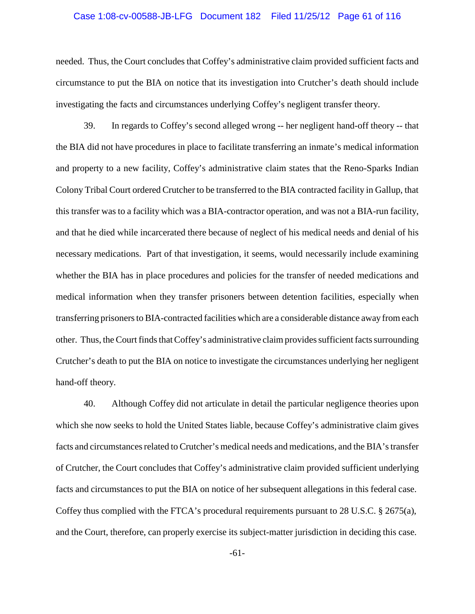#### Case 1:08-cv-00588-JB-LFG Document 182 Filed 11/25/12 Page 61 of 116

needed. Thus, the Court concludes that Coffey's administrative claim provided sufficient facts and circumstance to put the BIA on notice that its investigation into Crutcher's death should include investigating the facts and circumstances underlying Coffey's negligent transfer theory.

39. In regards to Coffey's second alleged wrong -- her negligent hand-off theory -- that the BIA did not have procedures in place to facilitate transferring an inmate's medical information and property to a new facility, Coffey's administrative claim states that the Reno-Sparks Indian Colony Tribal Court ordered Crutcher to be transferred to the BIA contracted facility in Gallup, that this transfer was to a facility which was a BIA-contractor operation, and was not a BIA-run facility, and that he died while incarcerated there because of neglect of his medical needs and denial of his necessary medications. Part of that investigation, it seems, would necessarily include examining whether the BIA has in place procedures and policies for the transfer of needed medications and medical information when they transfer prisoners between detention facilities, especially when transferring prisoners to BIA-contracted facilities which are a considerable distance away from each other. Thus, the Court finds that Coffey's administrative claim provides sufficient facts surrounding Crutcher's death to put the BIA on notice to investigate the circumstances underlying her negligent hand-off theory.

40. Although Coffey did not articulate in detail the particular negligence theories upon which she now seeks to hold the United States liable, because Coffey's administrative claim gives facts and circumstances related to Crutcher's medical needs and medications, and the BIA's transfer of Crutcher, the Court concludes that Coffey's administrative claim provided sufficient underlying facts and circumstances to put the BIA on notice of her subsequent allegations in this federal case. Coffey thus complied with the FTCA's procedural requirements pursuant to 28 U.S.C. § 2675(a), and the Court, therefore, can properly exercise its subject-matter jurisdiction in deciding this case.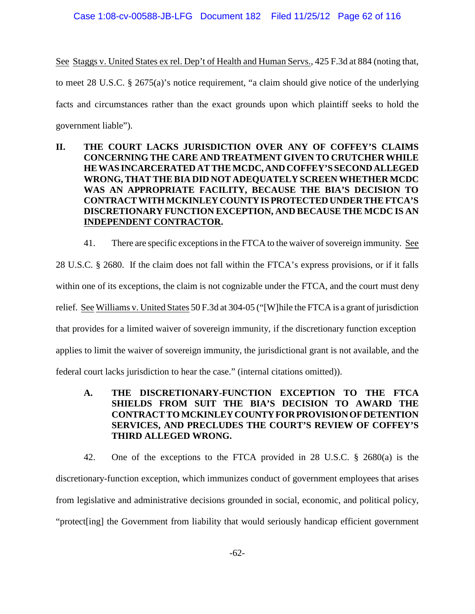See Staggs v. United States ex rel. Dep't of Health and Human Servs., 425 F.3d at 884 (noting that, to meet 28 U.S.C. § 2675(a)'s notice requirement, "a claim should give notice of the underlying facts and circumstances rather than the exact grounds upon which plaintiff seeks to hold the government liable").

- **II. THE COURT LACKS JURISDICTION OVER ANY OF COFFEY'S CLAIMS CONCERNING THE CARE AND TREATMENT GIVEN TO CRUTCHER WHILE HEWAS INCARCERATED AT THE MCDC, AND COFFEY'S SECONDALLEGED WRONG, THAT THE BIA DID NOT ADEQUATELY SCREEN WHETHER MCDC WAS AN APPROPRIATE FACILITY, BECAUSE THE BIA'S DECISION TO CONTRACT WITH MCKINLEYCOUNTYIS PROTECTED UNDER THE FTCA'S DISCRETIONARY FUNCTION EXCEPTION, AND BECAUSE THE MCDC IS AN INDEPENDENT CONTRACTOR.**
	- 41. There are specific exceptions in the FTCA to the waiver of sovereign immunity. See

28 U.S.C. § 2680. If the claim does not fall within the FTCA's express provisions, or if it falls within one of its exceptions, the claim is not cognizable under the FTCA, and the court must deny relief. See Williams v. United States 50 F.3d at 304-05 ("[W]hile the FTCA is a grant of jurisdiction that provides for a limited waiver of sovereign immunity, if the discretionary function exception applies to limit the waiver of sovereign immunity, the jurisdictional grant is not available, and the federal court lacks jurisdiction to hear the case." (internal citations omitted)).

**A. THE DISCRETIONARY-FUNCTION EXCEPTION TO THE FTCA SHIELDS FROM SUIT THE BIA'S DECISION TO AWARD THE CONTRACT TO MCKINLEYCOUNTYFORPROVISIONOFDETENTION SERVICES, AND PRECLUDES THE COURT'S REVIEW OF COFFEY'S THIRD ALLEGED WRONG.**

42. One of the exceptions to the FTCA provided in 28 U.S.C. § 2680(a) is the discretionary-function exception, which immunizes conduct of government employees that arises from legislative and administrative decisions grounded in social, economic, and political policy, "protect[ing] the Government from liability that would seriously handicap efficient government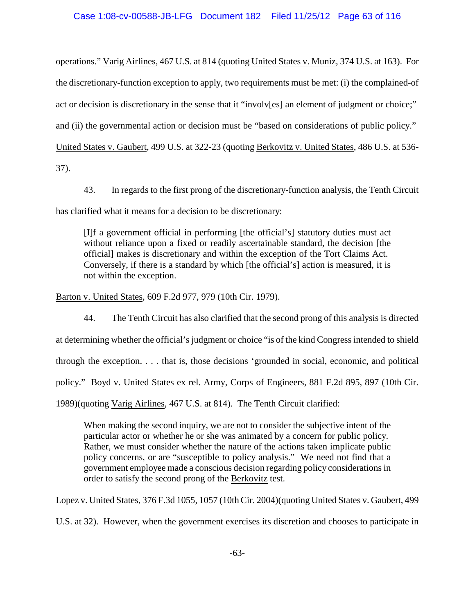operations." Varig Airlines, 467 U.S. at 814 (quoting United States v. Muniz, 374 U.S. at 163). For the discretionary-function exception to apply, two requirements must be met: (i) the complained-of act or decision is discretionary in the sense that it "involv[es] an element of judgment or choice;" and (ii) the governmental action or decision must be "based on considerations of public policy." United States v. Gaubert, 499 U.S. at 322-23 (quoting Berkovitz v. United States, 486 U.S. at 536- 37).

43. In regards to the first prong of the discretionary-function analysis, the Tenth Circuit has clarified what it means for a decision to be discretionary:

[I]f a government official in performing [the official's] statutory duties must act without reliance upon a fixed or readily ascertainable standard, the decision [the official] makes is discretionary and within the exception of the Tort Claims Act. Conversely, if there is a standard by which [the official's] action is measured, it is not within the exception.

Barton v. United States, 609 F.2d 977, 979 (10th Cir. 1979).

44. The Tenth Circuit has also clarified that the second prong of this analysis is directed at determining whether the official's judgment or choice "is of the kind Congress intended to shield through the exception. . . . that is, those decisions 'grounded in social, economic, and political policy." Boyd v. United States ex rel. Army, Corps of Engineers, 881 F.2d 895, 897 (10th Cir. 1989)(quoting Varig Airlines, 467 U.S. at 814). The Tenth Circuit clarified:

When making the second inquiry, we are not to consider the subjective intent of the particular actor or whether he or she was animated by a concern for public policy. Rather, we must consider whether the nature of the actions taken implicate public policy concerns, or are "susceptible to policy analysis." We need not find that a government employee made a conscious decision regarding policy considerations in order to satisfy the second prong of the Berkovitz test.

Lopez v. United States, 376 F.3d 1055, 1057 (10th Cir. 2004)(quoting United States v. Gaubert, 499

U.S. at 32). However, when the government exercises its discretion and chooses to participate in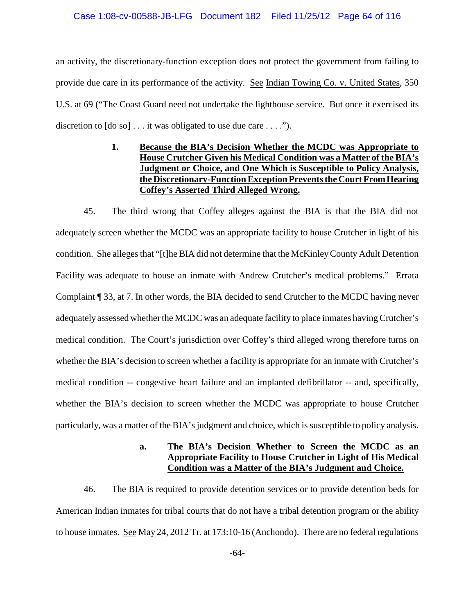### Case 1:08-cv-00588-JB-LFG Document 182 Filed 11/25/12 Page 64 of 116

an activity, the discretionary-function exception does not protect the government from failing to provide due care in its performance of the activity. See Indian Towing Co. v. United States, 350 U.S. at 69 ("The Coast Guard need not undertake the lighthouse service. But once it exercised its discretion to  $[do so] \dots$  it was obligated to use due care  $\dots$ .").

> **1. Because the BIA's Decision Whether the MCDC was Appropriate to House Crutcher Given his Medical Condition was a Matter of the BIA's Judgment or Choice, and One Which is Susceptible to Policy Analysis, the Discretionary-Function Exception Prevents the Court FromHearing Coffey's Asserted Third Alleged Wrong.**

45. The third wrong that Coffey alleges against the BIA is that the BIA did not adequately screen whether the MCDC was an appropriate facility to house Crutcher in light of his condition. She alleges that "[t]he BIA did not determine that the McKinleyCounty Adult Detention Facility was adequate to house an inmate with Andrew Crutcher's medical problems." Errata Complaint ¶ 33, at 7. In other words, the BIA decided to send Crutcher to the MCDC having never adequately assessed whether the MCDC was an adequate facility to place inmates having Crutcher's medical condition. The Court's jurisdiction over Coffey's third alleged wrong therefore turns on whether the BIA's decision to screen whether a facility is appropriate for an inmate with Crutcher's medical condition -- congestive heart failure and an implanted defibrillator -- and, specifically, whether the BIA's decision to screen whether the MCDC was appropriate to house Crutcher particularly, was a matter of the BIA's judgment and choice, which is susceptible to policy analysis.

### **a. The BIA's Decision Whether to Screen the MCDC as an Appropriate Facility to House Crutcher in Light of His Medical Condition was a Matter of the BIA's Judgment and Choice.**

46. The BIA is required to provide detention services or to provide detention beds for American Indian inmates for tribal courts that do not have a tribal detention program or the ability to house inmates. See May 24, 2012 Tr. at 173:10-16 (Anchondo). There are no federal regulations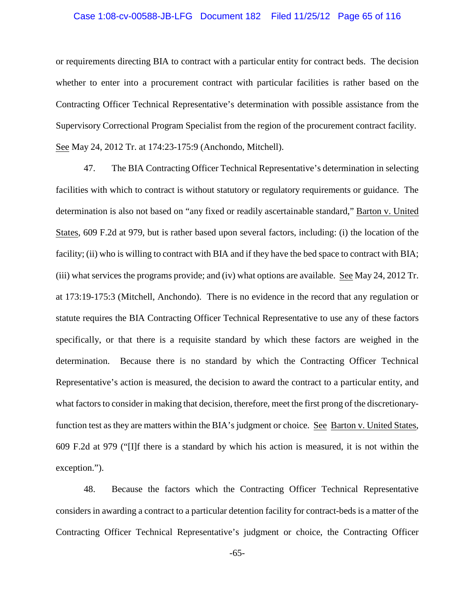#### Case 1:08-cv-00588-JB-LFG Document 182 Filed 11/25/12 Page 65 of 116

or requirements directing BIA to contract with a particular entity for contract beds. The decision whether to enter into a procurement contract with particular facilities is rather based on the Contracting Officer Technical Representative's determination with possible assistance from the Supervisory Correctional Program Specialist from the region of the procurement contract facility. See May 24, 2012 Tr. at 174:23-175:9 (Anchondo, Mitchell).

47. The BIA Contracting Officer Technical Representative's determination in selecting facilities with which to contract is without statutory or regulatory requirements or guidance. The determination is also not based on "any fixed or readily ascertainable standard," Barton v. United States, 609 F.2d at 979, but is rather based upon several factors, including: (i) the location of the facility; (ii) who is willing to contract with BIA and if they have the bed space to contract with BIA; (iii) what services the programs provide; and (iv) what options are available. See May 24, 2012 Tr. at 173:19-175:3 (Mitchell, Anchondo). There is no evidence in the record that any regulation or statute requires the BIA Contracting Officer Technical Representative to use any of these factors specifically, or that there is a requisite standard by which these factors are weighed in the determination. Because there is no standard by which the Contracting Officer Technical Representative's action is measured, the decision to award the contract to a particular entity, and what factors to consider in making that decision, therefore, meet the first prong of the discretionaryfunction test as they are matters within the BIA's judgment or choice. See Barton v. United States, 609 F.2d at 979 ("[I]f there is a standard by which his action is measured, it is not within the exception.").

48. Because the factors which the Contracting Officer Technical Representative considers in awarding a contract to a particular detention facility for contract-beds is a matter of the Contracting Officer Technical Representative's judgment or choice, the Contracting Officer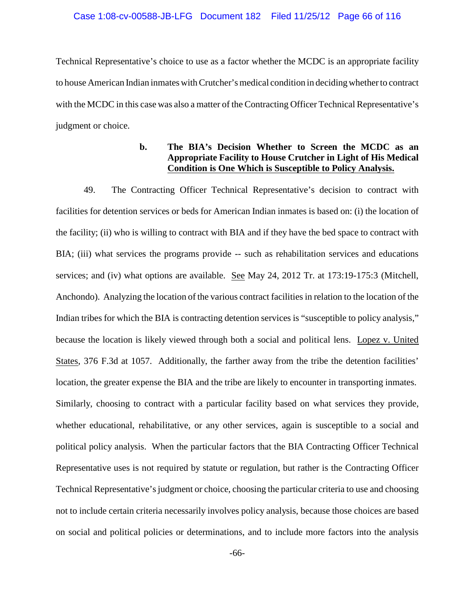#### Case 1:08-cv-00588-JB-LFG Document 182 Filed 11/25/12 Page 66 of 116

Technical Representative's choice to use as a factor whether the MCDC is an appropriate facility to house American Indian inmates with Crutcher's medical condition in decidingwhetherto contract with the MCDC in this case was also a matter of the Contracting Officer Technical Representative's judgment or choice.

# **b. The BIA's Decision Whether to Screen the MCDC as an Appropriate Facility to House Crutcher in Light of His Medical Condition is One Which is Susceptible to Policy Analysis.**

49. The Contracting Officer Technical Representative's decision to contract with facilities for detention services or beds for American Indian inmates is based on: (i) the location of the facility; (ii) who is willing to contract with BIA and if they have the bed space to contract with BIA; (iii) what services the programs provide -- such as rehabilitation services and educations services; and (iv) what options are available. See May 24, 2012 Tr. at 173:19-175:3 (Mitchell, Anchondo). Analyzing the location of the various contract facilities in relation to the location of the Indian tribes for which the BIA is contracting detention services is "susceptible to policy analysis," because the location is likely viewed through both a social and political lens. Lopez v. United States, 376 F.3d at 1057. Additionally, the farther away from the tribe the detention facilities' location, the greater expense the BIA and the tribe are likely to encounter in transporting inmates. Similarly, choosing to contract with a particular facility based on what services they provide, whether educational, rehabilitative, or any other services, again is susceptible to a social and political policy analysis. When the particular factors that the BIA Contracting Officer Technical Representative uses is not required by statute or regulation, but rather is the Contracting Officer Technical Representative's judgment or choice, choosing the particular criteria to use and choosing not to include certain criteria necessarily involves policy analysis, because those choices are based on social and political policies or determinations, and to include more factors into the analysis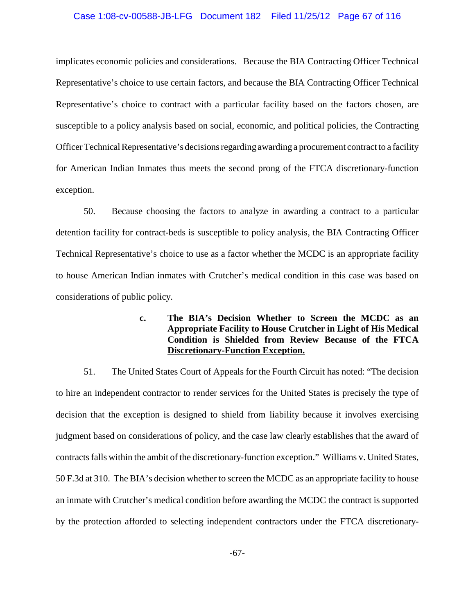#### Case 1:08-cv-00588-JB-LFG Document 182 Filed 11/25/12 Page 67 of 116

implicates economic policies and considerations. Because the BIA Contracting Officer Technical Representative's choice to use certain factors, and because the BIA Contracting Officer Technical Representative's choice to contract with a particular facility based on the factors chosen, are susceptible to a policy analysis based on social, economic, and political policies, the Contracting Officer Technical Representative's decisions regarding awarding a procurement contract to a facility for American Indian Inmates thus meets the second prong of the FTCA discretionary-function exception.

50. Because choosing the factors to analyze in awarding a contract to a particular detention facility for contract-beds is susceptible to policy analysis, the BIA Contracting Officer Technical Representative's choice to use as a factor whether the MCDC is an appropriate facility to house American Indian inmates with Crutcher's medical condition in this case was based on considerations of public policy.

> **c. The BIA's Decision Whether to Screen the MCDC as an Appropriate Facility to House Crutcher in Light of His Medical Condition is Shielded from Review Because of the FTCA Discretionary-Function Exception.**

51. The United States Court of Appeals for the Fourth Circuit has noted: "The decision to hire an independent contractor to render services for the United States is precisely the type of decision that the exception is designed to shield from liability because it involves exercising judgment based on considerations of policy, and the case law clearly establishes that the award of contracts falls within the ambit of the discretionary-function exception." Williams v. United States, 50 F.3d at 310. The BIA's decision whether to screen the MCDC as an appropriate facility to house an inmate with Crutcher's medical condition before awarding the MCDC the contract is supported by the protection afforded to selecting independent contractors under the FTCA discretionary-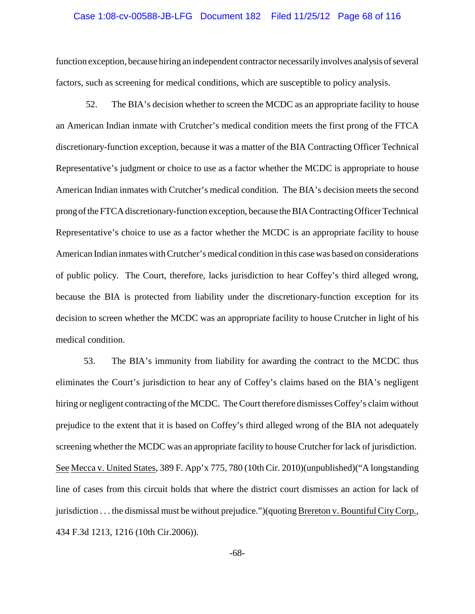#### Case 1:08-cv-00588-JB-LFG Document 182 Filed 11/25/12 Page 68 of 116

function exception, because hiring an independent contractor necessarily involves analysis of several factors, such as screening for medical conditions, which are susceptible to policy analysis.

52. The BIA's decision whether to screen the MCDC as an appropriate facility to house an American Indian inmate with Crutcher's medical condition meets the first prong of the FTCA discretionary-function exception, because it was a matter of the BIA Contracting Officer Technical Representative's judgment or choice to use as a factor whether the MCDC is appropriate to house American Indian inmates with Crutcher's medical condition. The BIA's decision meets the second prong of the FTCA discretionary-function exception, because the BIA ContractingOfficer Technical Representative's choice to use as a factor whether the MCDC is an appropriate facility to house American Indian inmates with Crutcher's medical condition in this casewas based on considerations of public policy. The Court, therefore, lacks jurisdiction to hear Coffey's third alleged wrong, because the BIA is protected from liability under the discretionary-function exception for its decision to screen whether the MCDC was an appropriate facility to house Crutcher in light of his medical condition.

53. The BIA's immunity from liability for awarding the contract to the MCDC thus eliminates the Court's jurisdiction to hear any of Coffey's claims based on the BIA's negligent hiring or negligent contracting of the MCDC. The Court therefore dismisses Coffey's claim without prejudice to the extent that it is based on Coffey's third alleged wrong of the BIA not adequately screening whether the MCDC was an appropriate facility to house Crutcher for lack of jurisdiction. See Mecca v. United States, 389 F. App'x 775, 780 (10th Cir. 2010)(unpublished)("A longstanding line of cases from this circuit holds that where the district court dismisses an action for lack of jurisdiction . . . the dismissal must be without prejudice.")(quoting Brereton v. Bountiful CityCorp., 434 F.3d 1213, 1216 (10th Cir.2006)).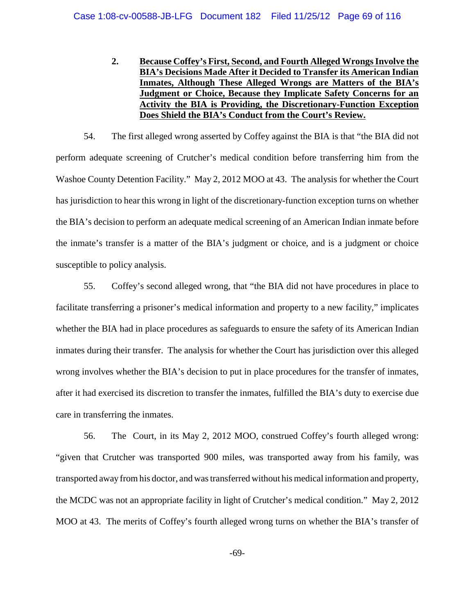**2. Because Coffey's First, Second, and Fourth Alleged Wrongs Involve the BIA's Decisions Made After it Decided to Transfer its American Indian Inmates, Although These Alleged Wrongs are Matters of the BIA's Judgment or Choice, Because they Implicate Safety Concerns for an Activity the BIA is Providing, the Discretionary-Function Exception Does Shield the BIA's Conduct from the Court's Review.**

54. The first alleged wrong asserted by Coffey against the BIA is that "the BIA did not perform adequate screening of Crutcher's medical condition before transferring him from the Washoe County Detention Facility." May 2, 2012 MOO at 43. The analysis for whether the Court has jurisdiction to hear this wrong in light of the discretionary-function exception turns on whether the BIA's decision to perform an adequate medical screening of an American Indian inmate before the inmate's transfer is a matter of the BIA's judgment or choice, and is a judgment or choice susceptible to policy analysis.

55. Coffey's second alleged wrong, that "the BIA did not have procedures in place to facilitate transferring a prisoner's medical information and property to a new facility," implicates whether the BIA had in place procedures as safeguards to ensure the safety of its American Indian inmates during their transfer. The analysis for whether the Court has jurisdiction over this alleged wrong involves whether the BIA's decision to put in place procedures for the transfer of inmates, after it had exercised its discretion to transfer the inmates, fulfilled the BIA's duty to exercise due care in transferring the inmates.

56. The Court, in its May 2, 2012 MOO, construed Coffey's fourth alleged wrong: "given that Crutcher was transported 900 miles, was transported away from his family, was transported away from his doctor, and was transferred without his medical information and property, the MCDC was not an appropriate facility in light of Crutcher's medical condition." May 2, 2012 MOO at 43. The merits of Coffey's fourth alleged wrong turns on whether the BIA's transfer of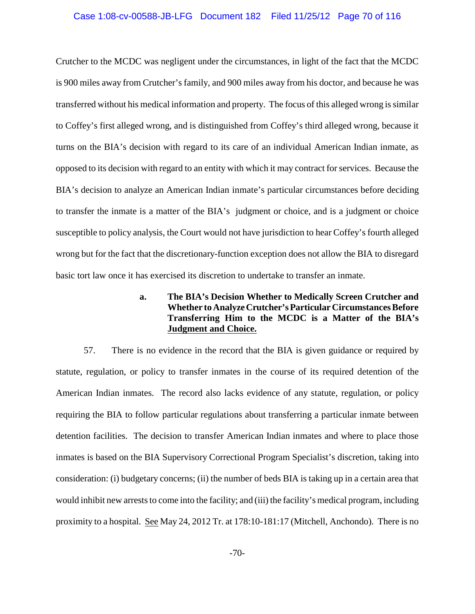#### Case 1:08-cv-00588-JB-LFG Document 182 Filed 11/25/12 Page 70 of 116

Crutcher to the MCDC was negligent under the circumstances, in light of the fact that the MCDC is 900 miles away from Crutcher's family, and 900 miles away from his doctor, and because he was transferred without his medical information and property. The focus of this alleged wrong is similar to Coffey's first alleged wrong, and is distinguished from Coffey's third alleged wrong, because it turns on the BIA's decision with regard to its care of an individual American Indian inmate, as opposed to its decision with regard to an entity with which it may contract for services. Because the BIA's decision to analyze an American Indian inmate's particular circumstances before deciding to transfer the inmate is a matter of the BIA's judgment or choice, and is a judgment or choice susceptible to policy analysis, the Court would not have jurisdiction to hear Coffey's fourth alleged wrong but for the fact that the discretionary-function exception does not allow the BIA to disregard basic tort law once it has exercised its discretion to undertake to transfer an inmate.

### **a. The BIA's Decision Whether to Medically Screen Crutcher and Whether to AnalyzeCrutcher's Particular Circumstances Before Transferring Him to the MCDC is a Matter of the BIA's Judgment and Choice.**

57. There is no evidence in the record that the BIA is given guidance or required by statute, regulation, or policy to transfer inmates in the course of its required detention of the American Indian inmates. The record also lacks evidence of any statute, regulation, or policy requiring the BIA to follow particular regulations about transferring a particular inmate between detention facilities. The decision to transfer American Indian inmates and where to place those inmates is based on the BIA Supervisory Correctional Program Specialist's discretion, taking into consideration: (i) budgetary concerns; (ii) the number of beds BIA is taking up in a certain area that would inhibit new arrests to come into the facility; and (iii) the facility's medical program, including proximity to a hospital. See May 24, 2012 Tr. at 178:10-181:17 (Mitchell, Anchondo). There is no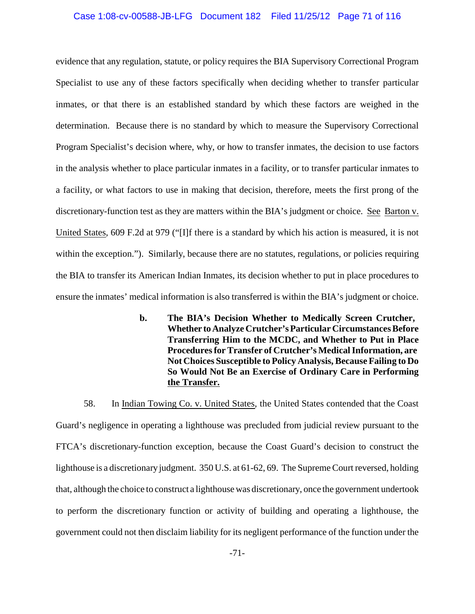### Case 1:08-cv-00588-JB-LFG Document 182 Filed 11/25/12 Page 71 of 116

evidence that any regulation, statute, or policy requires the BIA Supervisory Correctional Program Specialist to use any of these factors specifically when deciding whether to transfer particular inmates, or that there is an established standard by which these factors are weighed in the determination. Because there is no standard by which to measure the Supervisory Correctional Program Specialist's decision where, why, or how to transfer inmates, the decision to use factors in the analysis whether to place particular inmates in a facility, or to transfer particular inmates to a facility, or what factors to use in making that decision, therefore, meets the first prong of the discretionary-function test as they are matters within the BIA's judgment or choice. See Barton v. United States, 609 F.2d at 979 ("[I]f there is a standard by which his action is measured, it is not within the exception."). Similarly, because there are no statutes, regulations, or policies requiring the BIA to transfer its American Indian Inmates, its decision whether to put in place procedures to ensure the inmates' medical information is also transferred is within the BIA's judgment or choice.

> **b. The BIA's Decision Whether to Medically Screen Crutcher, Whether toAnalyze Crutcher's Particular Circumstances Before Transferring Him to the MCDC, and Whether to Put in Place Procedures for Transfer of Crutcher's Medical Information, are Not Choices Susceptible to Policy Analysis, Because Failing to Do So Would Not Be an Exercise of Ordinary Care in Performing the Transfer.**

58. In Indian Towing Co. v. United States, the United States contended that the Coast Guard's negligence in operating a lighthouse was precluded from judicial review pursuant to the FTCA's discretionary-function exception, because the Coast Guard's decision to construct the lighthouse is a discretionary judgment. 350 U.S. at 61-62, 69. The Supreme Court reversed, holding that, although the choice to construct a lighthouse was discretionary, once the government undertook to perform the discretionary function or activity of building and operating a lighthouse, the government could not then disclaim liability for its negligent performance of the function under the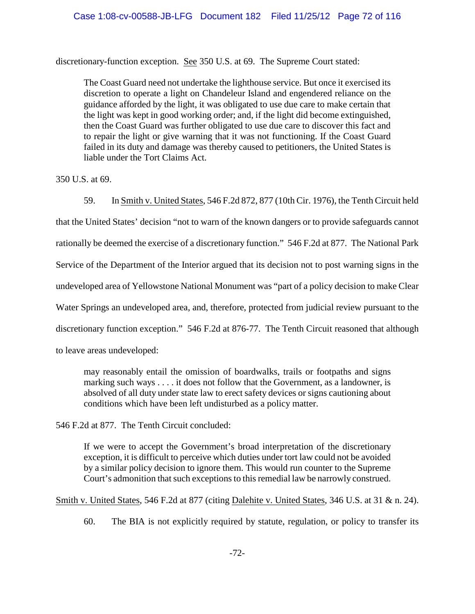discretionary-function exception. See 350 U.S. at 69. The Supreme Court stated:

The Coast Guard need not undertake the lighthouse service. But once it exercised its discretion to operate a light on Chandeleur Island and engendered reliance on the guidance afforded by the light, it was obligated to use due care to make certain that the light was kept in good working order; and, if the light did become extinguished, then the Coast Guard was further obligated to use due care to discover this fact and to repair the light or give warning that it was not functioning. If the Coast Guard failed in its duty and damage was thereby caused to petitioners, the United States is liable under the Tort Claims Act.

350 U.S. at 69.

59. In Smith v. United States, 546 F.2d 872, 877 (10th Cir. 1976), the Tenth Circuit held

that the United States' decision "not to warn of the known dangers or to provide safeguards cannot rationally be deemed the exercise of a discretionary function." 546 F.2d at 877. The National Park Service of the Department of the Interior argued that its decision not to post warning signs in the undeveloped area of Yellowstone National Monument was "part of a policy decision to make Clear Water Springs an undeveloped area, and, therefore, protected from judicial review pursuant to the discretionary function exception." 546 F.2d at 876-77. The Tenth Circuit reasoned that although

to leave areas undeveloped:

may reasonably entail the omission of boardwalks, trails or footpaths and signs marking such ways . . . . it does not follow that the Government, as a landowner, is absolved of all duty under state law to erect safety devices or signs cautioning about conditions which have been left undisturbed as a policy matter.

546 F.2d at 877. The Tenth Circuit concluded:

If we were to accept the Government's broad interpretation of the discretionary exception, it is difficult to perceive which duties under tort law could not be avoided by a similar policy decision to ignore them. This would run counter to the Supreme Court's admonition that such exceptions to this remedial law be narrowly construed.

Smith v. United States, 546 F.2d at 877 (citing Dalehite v. United States, 346 U.S. at 31 & n. 24).

60. The BIA is not explicitly required by statute, regulation, or policy to transfer its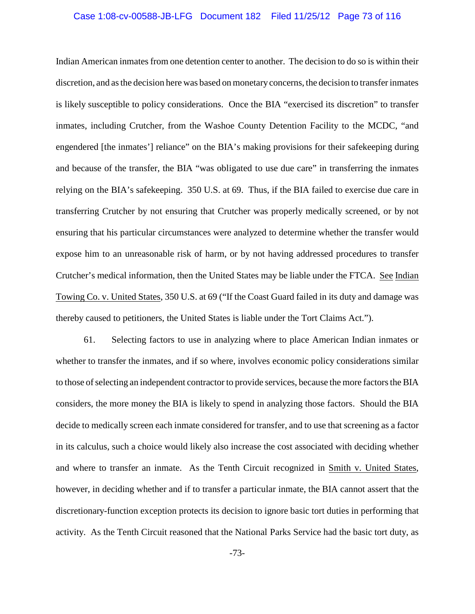#### Case 1:08-cv-00588-JB-LFG Document 182 Filed 11/25/12 Page 73 of 116

Indian American inmates from one detention center to another. The decision to do so is within their discretion, and as the decision here was based on monetaryconcerns, the decision to transfer inmates is likely susceptible to policy considerations. Once the BIA "exercised its discretion" to transfer inmates, including Crutcher, from the Washoe County Detention Facility to the MCDC, "and engendered [the inmates'] reliance" on the BIA's making provisions for their safekeeping during and because of the transfer, the BIA "was obligated to use due care" in transferring the inmates relying on the BIA's safekeeping. 350 U.S. at 69. Thus, if the BIA failed to exercise due care in transferring Crutcher by not ensuring that Crutcher was properly medically screened, or by not ensuring that his particular circumstances were analyzed to determine whether the transfer would expose him to an unreasonable risk of harm, or by not having addressed procedures to transfer Crutcher's medical information, then the United States may be liable under the FTCA. See Indian Towing Co. v. United States, 350 U.S. at 69 ("If the Coast Guard failed in its duty and damage was thereby caused to petitioners, the United States is liable under the Tort Claims Act.").

61. Selecting factors to use in analyzing where to place American Indian inmates or whether to transfer the inmates, and if so where, involves economic policy considerations similar to those of selecting an independent contractor to provide services, because the more factors the BIA considers, the more money the BIA is likely to spend in analyzing those factors. Should the BIA decide to medically screen each inmate considered for transfer, and to use that screening as a factor in its calculus, such a choice would likely also increase the cost associated with deciding whether and where to transfer an inmate. As the Tenth Circuit recognized in Smith v. United States, however, in deciding whether and if to transfer a particular inmate, the BIA cannot assert that the discretionary-function exception protects its decision to ignore basic tort duties in performing that activity. As the Tenth Circuit reasoned that the National Parks Service had the basic tort duty, as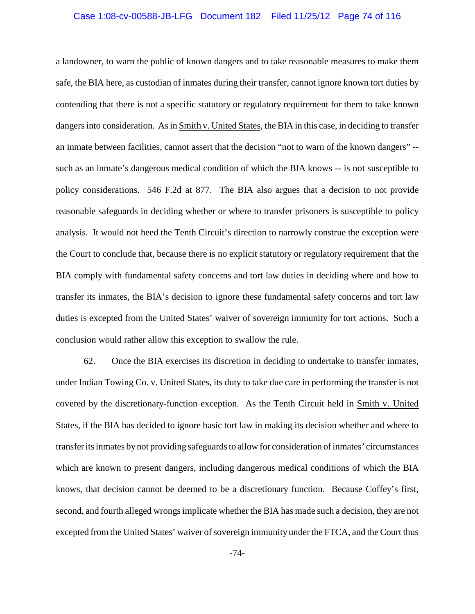#### Case 1:08-cv-00588-JB-LFG Document 182 Filed 11/25/12 Page 74 of 116

a landowner, to warn the public of known dangers and to take reasonable measures to make them safe, the BIA here, as custodian of inmates during their transfer, cannot ignore known tort duties by contending that there is not a specific statutory or regulatory requirement for them to take known dangers into consideration. As in Smith v. United States, the BIA in this case, in deciding to transfer an inmate between facilities, cannot assert that the decision "not to warn of the known dangers" - such as an inmate's dangerous medical condition of which the BIA knows -- is not susceptible to policy considerations. 546 F.2d at 877. The BIA also argues that a decision to not provide reasonable safeguards in deciding whether or where to transfer prisoners is susceptible to policy analysis. It would not heed the Tenth Circuit's direction to narrowly construe the exception were the Court to conclude that, because there is no explicit statutory or regulatory requirement that the BIA comply with fundamental safety concerns and tort law duties in deciding where and how to transfer its inmates, the BIA's decision to ignore these fundamental safety concerns and tort law duties is excepted from the United States' waiver of sovereign immunity for tort actions. Such a conclusion would rather allow this exception to swallow the rule.

62. Once the BIA exercises its discretion in deciding to undertake to transfer inmates, under Indian Towing Co. v. United States, its duty to take due care in performing the transfer is not covered by the discretionary-function exception. As the Tenth Circuit held in Smith v. United States, if the BIA has decided to ignore basic tort law in making its decision whether and where to transfer its inmates by not providing safeguards to allow for consideration of inmates' circumstances which are known to present dangers, including dangerous medical conditions of which the BIA knows, that decision cannot be deemed to be a discretionary function. Because Coffey's first, second, and fourth alleged wrongs implicate whether the BIA has made such a decision, they are not excepted from the United States' waiver of sovereign immunity under the FTCA, and the Court thus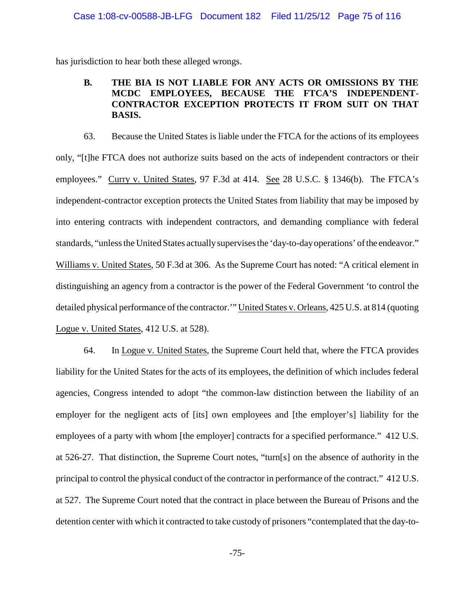has jurisdiction to hear both these alleged wrongs.

### **B. THE BIA IS NOT LIABLE FOR ANY ACTS OR OMISSIONS BY THE MCDC EMPLOYEES, BECAUSE THE FTCA'S INDEPENDENT-CONTRACTOR EXCEPTION PROTECTS IT FROM SUIT ON THAT BASIS.**

63. Because the United States is liable under the FTCA for the actions of its employees only, "[t]he FTCA does not authorize suits based on the acts of independent contractors or their employees." Curry v. United States, 97 F.3d at 414. See 28 U.S.C. § 1346(b). The FTCA's independent-contractor exception protects the United States from liability that may be imposed by into entering contracts with independent contractors, and demanding compliance with federal standards, "unless the United States actually supervises the 'day-to-day operations' of the endeavor." Williams v. United States, 50 F.3d at 306. As the Supreme Court has noted: "A critical element in distinguishing an agency from a contractor is the power of the Federal Government 'to control the detailed physical performance of the contractor.'" United States v. Orleans, 425 U.S. at 814 (quoting Logue v. United States, 412 U.S. at 528).

64. In Logue v. United States, the Supreme Court held that, where the FTCA provides liability for the United States for the acts of its employees, the definition of which includes federal agencies, Congress intended to adopt "the common-law distinction between the liability of an employer for the negligent acts of [its] own employees and [the employer's] liability for the employees of a party with whom [the employer] contracts for a specified performance." 412 U.S. at 526-27. That distinction, the Supreme Court notes, "turn[s] on the absence of authority in the principal to control the physical conduct of the contractor in performance of the contract." 412 U.S. at 527. The Supreme Court noted that the contract in place between the Bureau of Prisons and the detention center with which it contracted to take custody of prisoners "contemplated that the day-to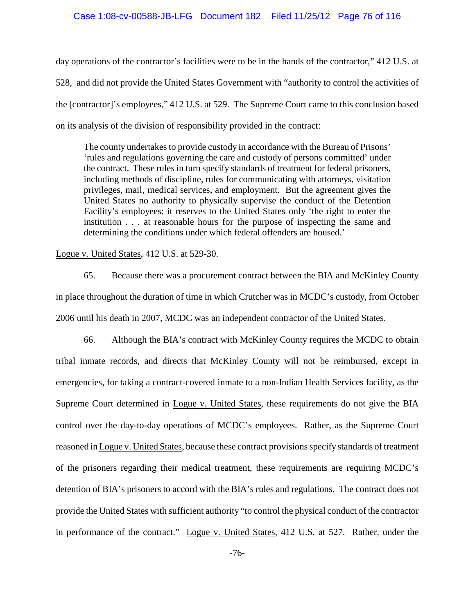day operations of the contractor's facilities were to be in the hands of the contractor," 412 U.S. at 528, and did not provide the United States Government with "authority to control the activities of the [contractor]'s employees," 412 U.S. at 529. The Supreme Court came to this conclusion based on its analysis of the division of responsibility provided in the contract:

The county undertakes to provide custody in accordance with the Bureau of Prisons' 'rules and regulations governing the care and custody of persons committed' under the contract. These rules in turn specify standards of treatment for federal prisoners, including methods of discipline, rules for communicating with attorneys, visitation privileges, mail, medical services, and employment. But the agreement gives the United States no authority to physically supervise the conduct of the Detention Facility's employees; it reserves to the United States only 'the right to enter the institution . . . at reasonable hours for the purpose of inspecting the same and determining the conditions under which federal offenders are housed.'

Logue v. United States, 412 U.S. at 529-30.

65. Because there was a procurement contract between the BIA and McKinley County in place throughout the duration of time in which Crutcher was in MCDC's custody, from October 2006 until his death in 2007, MCDC was an independent contractor of the United States.

66. Although the BIA's contract with McKinley County requires the MCDC to obtain tribal inmate records, and directs that McKinley County will not be reimbursed, except in emergencies, for taking a contract-covered inmate to a non-Indian Health Services facility, as the Supreme Court determined in Logue v. United States, these requirements do not give the BIA control over the day-to-day operations of MCDC's employees. Rather, as the Supreme Court reasoned in Logue v. United States, because these contract provisions specify standards of treatment of the prisoners regarding their medical treatment, these requirements are requiring MCDC's detention of BIA's prisoners to accord with the BIA's rules and regulations. The contract does not provide the United States with sufficient authority "to control the physical conduct of the contractor in performance of the contract." Logue v. United States, 412 U.S. at 527. Rather, under the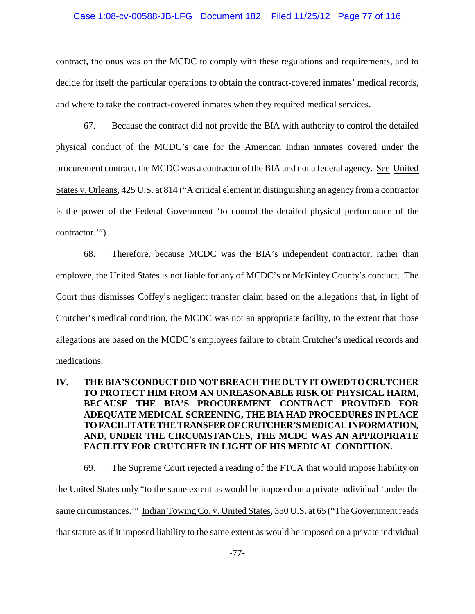#### Case 1:08-cv-00588-JB-LFG Document 182 Filed 11/25/12 Page 77 of 116

contract, the onus was on the MCDC to comply with these regulations and requirements, and to decide for itself the particular operations to obtain the contract-covered inmates' medical records, and where to take the contract-covered inmates when they required medical services.

67. Because the contract did not provide the BIA with authority to control the detailed physical conduct of the MCDC's care for the American Indian inmates covered under the procurement contract, the MCDC was a contractor of the BIA and not a federal agency. See United States v. Orleans, 425 U.S. at 814 ("A critical element in distinguishing an agency from a contractor is the power of the Federal Government 'to control the detailed physical performance of the contractor.'").

68. Therefore, because MCDC was the BIA's independent contractor, rather than employee, the United States is not liable for any of MCDC's or McKinley County's conduct. The Court thus dismisses Coffey's negligent transfer claim based on the allegations that, in light of Crutcher's medical condition, the MCDC was not an appropriate facility, to the extent that those allegations are based on the MCDC's employees failure to obtain Crutcher's medical records and medications.

## **IV. THE BIA'S CONDUCT DID NOT BREACH THE DUTY IT OWEDTOCRUTCHER TO PROTECT HIM FROM AN UNREASONABLE RISK OF PHYSICAL HARM, BECAUSE THE BIA'S PROCUREMENT CONTRACT PROVIDED FOR ADEQUATE MEDICAL SCREENING, THE BIA HAD PROCEDURES IN PLACE TOFACILITATETHETRANSFEROFCRUTCHER'S MEDICAL INFORMATION, AND, UNDER THE CIRCUMSTANCES, THE MCDC WAS AN APPROPRIATE FACILITY FOR CRUTCHER IN LIGHT OF HIS MEDICAL CONDITION.**

69. The Supreme Court rejected a reading of the FTCA that would impose liability on the United States only "to the same extent as would be imposed on a private individual 'under the same circumstances." Indian Towing Co. v. United States, 350 U.S. at 65 ("The Government reads that statute as if it imposed liability to the same extent as would be imposed on a private individual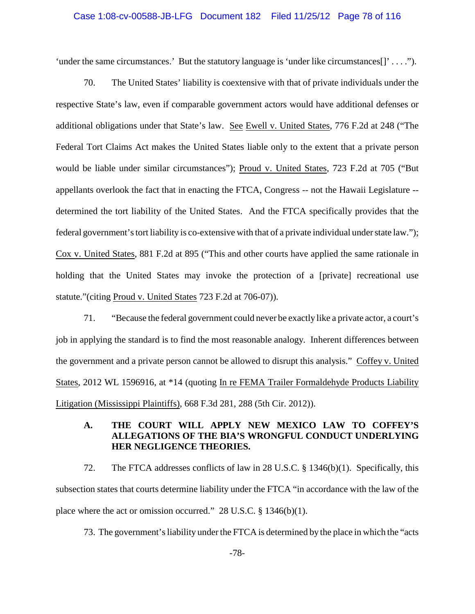#### Case 1:08-cv-00588-JB-LFG Document 182 Filed 11/25/12 Page 78 of 116

'under the same circumstances.' But the statutory language is 'under like circumstances $[1]$ ' . . . .").

70. The United States' liability is coextensive with that of private individuals under the respective State's law, even if comparable government actors would have additional defenses or additional obligations under that State's law. See Ewell v. United States, 776 F.2d at 248 ("The Federal Tort Claims Act makes the United States liable only to the extent that a private person would be liable under similar circumstances"); Proud v. United States, 723 F.2d at 705 ("But appellants overlook the fact that in enacting the FTCA, Congress -- not the Hawaii Legislature - determined the tort liability of the United States. And the FTCA specifically provides that the federal government's tort liability is co-extensive with that of a private individual under state law."); Cox v. United States, 881 F.2d at 895 ("This and other courts have applied the same rationale in holding that the United States may invoke the protection of a [private] recreational use statute."(citing Proud v. United States 723 F.2d at 706-07)).

71. "Because the federal government could never be exactly like a private actor, a court's job in applying the standard is to find the most reasonable analogy. Inherent differences between the government and a private person cannot be allowed to disrupt this analysis." Coffey v. United States, 2012 WL 1596916, at \*14 (quoting In re FEMA Trailer Formaldehyde Products Liability Litigation (Mississippi Plaintiffs), 668 F.3d 281, 288 (5th Cir. 2012)).

## **A. THE COURT WILL APPLY NEW MEXICO LAW TO COFFEY'S ALLEGATIONS OF THE BIA'S WRONGFUL CONDUCT UNDERLYING HER NEGLIGENCE THEORIES.**

72. The FTCA addresses conflicts of law in 28 U.S.C. § 1346(b)(1). Specifically, this subsection states that courts determine liability under the FTCA "in accordance with the law of the place where the act or omission occurred." 28 U.S.C. § 1346(b)(1).

73. The government's liability under the FTCA is determined by the place in which the "acts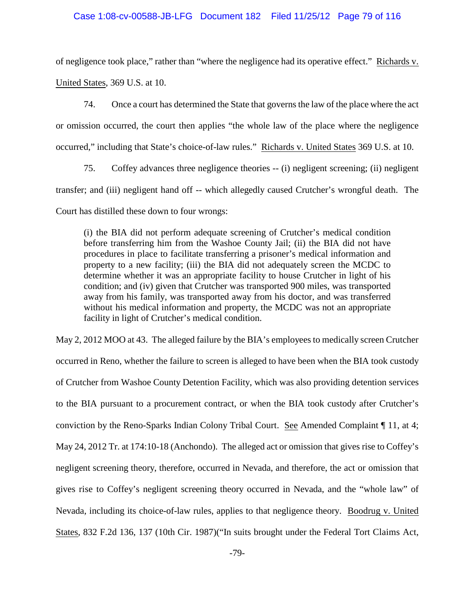# Case 1:08-cv-00588-JB-LFG Document 182 Filed 11/25/12 Page 79 of 116

of negligence took place," rather than "where the negligence had its operative effect." Richards v.

United States, 369 U.S. at 10.

74. Once a court has determined the State that governs the law of the place where the act or omission occurred, the court then applies "the whole law of the place where the negligence occurred," including that State's choice-of-law rules." Richards v. United States 369 U.S. at 10.

75. Coffey advances three negligence theories -- (i) negligent screening; (ii) negligent transfer; and (iii) negligent hand off -- which allegedly caused Crutcher's wrongful death. The Court has distilled these down to four wrongs:

(i) the BIA did not perform adequate screening of Crutcher's medical condition before transferring him from the Washoe County Jail; (ii) the BIA did not have procedures in place to facilitate transferring a prisoner's medical information and property to a new facility; (iii) the BIA did not adequately screen the MCDC to determine whether it was an appropriate facility to house Crutcher in light of his condition; and (iv) given that Crutcher was transported 900 miles, was transported away from his family, was transported away from his doctor, and was transferred without his medical information and property, the MCDC was not an appropriate facility in light of Crutcher's medical condition.

May 2, 2012 MOO at 43. The alleged failure by the BIA's employees to medically screen Crutcher occurred in Reno, whether the failure to screen is alleged to have been when the BIA took custody of Crutcher from Washoe County Detention Facility, which was also providing detention services to the BIA pursuant to a procurement contract, or when the BIA took custody after Crutcher's conviction by the Reno-Sparks Indian Colony Tribal Court. See Amended Complaint ¶ 11, at 4; May 24, 2012 Tr. at 174:10-18 (Anchondo). The alleged act or omission that gives rise to Coffey's negligent screening theory, therefore, occurred in Nevada, and therefore, the act or omission that gives rise to Coffey's negligent screening theory occurred in Nevada, and the "whole law" of Nevada, including its choice-of-law rules, applies to that negligence theory. Boodrug v. United States, 832 F.2d 136, 137 (10th Cir. 1987)("In suits brought under the Federal Tort Claims Act,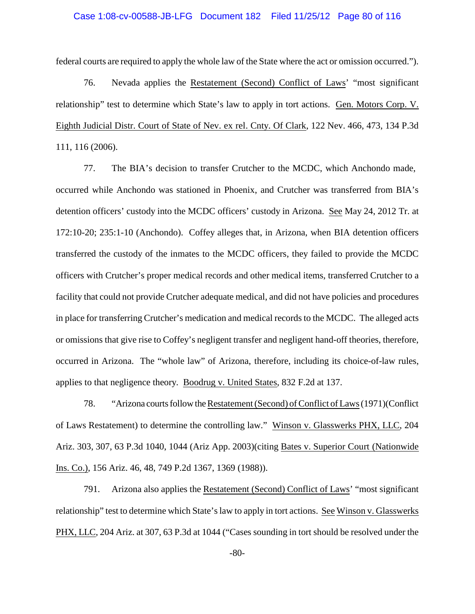#### Case 1:08-cv-00588-JB-LFG Document 182 Filed 11/25/12 Page 80 of 116

federal courts are required to apply the whole law of the State where the act or omission occurred.").

76. Nevada applies the Restatement (Second) Conflict of Laws' "most significant relationship" test to determine which State's law to apply in tort actions. Gen. Motors Corp. V. Eighth Judicial Distr. Court of State of Nev. ex rel. Cnty. Of Clark, 122 Nev. 466, 473, 134 P.3d 111, 116 (2006).

77. The BIA's decision to transfer Crutcher to the MCDC, which Anchondo made, occurred while Anchondo was stationed in Phoenix, and Crutcher was transferred from BIA's detention officers' custody into the MCDC officers' custody in Arizona. See May 24, 2012 Tr. at 172:10-20; 235:1-10 (Anchondo). Coffey alleges that, in Arizona, when BIA detention officers transferred the custody of the inmates to the MCDC officers, they failed to provide the MCDC officers with Crutcher's proper medical records and other medical items, transferred Crutcher to a facility that could not provide Crutcher adequate medical, and did not have policies and procedures in place for transferring Crutcher's medication and medical records to the MCDC. The alleged acts or omissions that give rise to Coffey's negligent transfer and negligent hand-off theories, therefore, occurred in Arizona. The "whole law" of Arizona, therefore, including its choice-of-law rules, applies to that negligence theory. Boodrug v. United States, 832 F.2d at 137.

78. "Arizona courts follow the Restatement (Second) of Conflict of Laws (1971)(Conflict of Laws Restatement) to determine the controlling law." Winson v. Glasswerks PHX, LLC, 204 Ariz. 303, 307, 63 P.3d 1040, 1044 (Ariz App. 2003)(citing Bates v. Superior Court (Nationwide Ins. Co.), 156 Ariz. 46, 48, 749 P.2d 1367, 1369 (1988)).

791. Arizona also applies the Restatement (Second) Conflict of Laws' "most significant relationship" test to determine which State's law to apply in tort actions. See Winson v. Glasswerks PHX, LLC, 204 Ariz. at 307, 63 P.3d at 1044 ("Cases sounding in tort should be resolved under the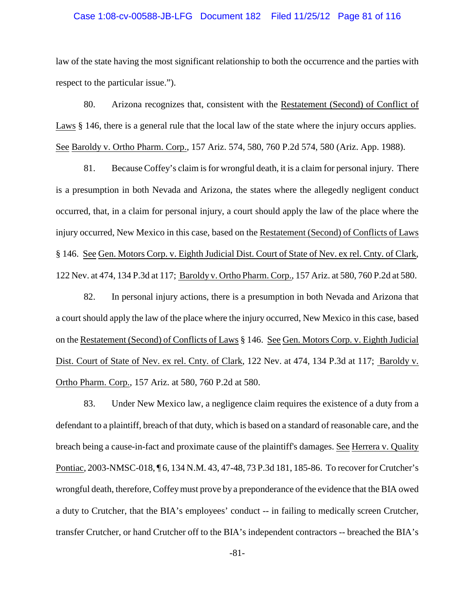#### Case 1:08-cv-00588-JB-LFG Document 182 Filed 11/25/12 Page 81 of 116

law of the state having the most significant relationship to both the occurrence and the parties with respect to the particular issue.").

80. Arizona recognizes that, consistent with the Restatement (Second) of Conflict of Laws § 146, there is a general rule that the local law of the state where the injury occurs applies. See Baroldy v. Ortho Pharm. Corp., 157 Ariz. 574, 580, 760 P.2d 574, 580 (Ariz. App. 1988).

81. Because Coffey's claim is for wrongful death, it is a claim for personal injury. There is a presumption in both Nevada and Arizona, the states where the allegedly negligent conduct occurred, that, in a claim for personal injury, a court should apply the law of the place where the injury occurred, New Mexico in this case, based on the Restatement (Second) of Conflicts of Laws § 146. See Gen. Motors Corp. v. Eighth Judicial Dist. Court of State of Nev. ex rel. Cnty. of Clark, 122 Nev. at 474, 134 P.3d at 117; Baroldy v. Ortho Pharm. Corp., 157 Ariz. at 580, 760 P.2d at 580.

82. In personal injury actions, there is a presumption in both Nevada and Arizona that a court should apply the law of the place where the injury occurred, New Mexico in this case, based on the Restatement (Second) of Conflicts of Laws § 146. See Gen. Motors Corp. v. Eighth Judicial Dist. Court of State of Nev. ex rel. Cnty. of Clark, 122 Nev. at 474, 134 P.3d at 117; Baroldy v. Ortho Pharm. Corp., 157 Ariz. at 580, 760 P.2d at 580.

83. Under New Mexico law, a negligence claim requires the existence of a duty from a defendant to a plaintiff, breach of that duty, which is based on a standard of reasonable care, and the breach being a cause-in-fact and proximate cause of the plaintiff's damages. See Herrera v. Quality Pontiac, 2003-NMSC-018, ¶ 6, 134 N.M. 43, 47-48, 73 P.3d 181, 185-86. To recover for Crutcher's wrongful death, therefore, Coffeymust prove by a preponderance of the evidence that the BIA owed a duty to Crutcher, that the BIA's employees' conduct -- in failing to medically screen Crutcher, transfer Crutcher, or hand Crutcher off to the BIA's independent contractors -- breached the BIA's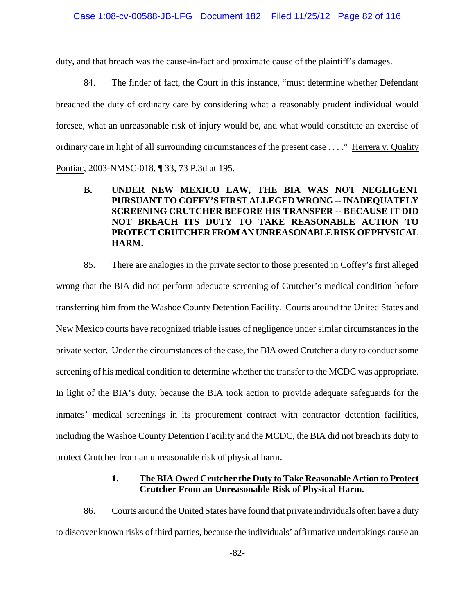duty, and that breach was the cause-in-fact and proximate cause of the plaintiff's damages.

84. The finder of fact, the Court in this instance, "must determine whether Defendant breached the duty of ordinary care by considering what a reasonably prudent individual would foresee, what an unreasonable risk of injury would be, and what would constitute an exercise of ordinary care in light of all surrounding circumstances of the present case . . . ." Herrera v. Quality Pontiac, 2003-NMSC-018, ¶ 33, 73 P.3d at 195.

**B. UNDER NEW MEXICO LAW, THE BIA WAS NOT NEGLIGENT PURSUANT TO COFFY'S FIRST ALLEGED WRONG -- INADEQUATELY SCREENING CRUTCHER BEFORE HIS TRANSFER -- BECAUSE IT DID NOT BREACH ITS DUTY TO TAKE REASONABLE ACTION TO PROTECT CRUTCHERFROMANUNREASONABLE RISKOFPHYSICAL HARM.**

85. There are analogies in the private sector to those presented in Coffey's first alleged wrong that the BIA did not perform adequate screening of Crutcher's medical condition before transferring him from the Washoe County Detention Facility. Courts around the United States and New Mexico courts have recognized triable issues of negligence under simlar circumstances in the private sector. Under the circumstances of the case, the BIA owed Crutcher a duty to conduct some screening of his medical condition to determine whether the transfer to the MCDC was appropriate. In light of the BIA's duty, because the BIA took action to provide adequate safeguards for the inmates' medical screenings in its procurement contract with contractor detention facilities, including the Washoe County Detention Facility and the MCDC, the BIA did not breach its duty to protect Crutcher from an unreasonable risk of physical harm.

### **1. The BIA Owed Crutcher the Duty to Take Reasonable Action to Protect Crutcher From an Unreasonable Risk of Physical Harm.**

86. Courts around the United States have found that private individuals often have a duty to discover known risks of third parties, because the individuals' affirmative undertakings cause an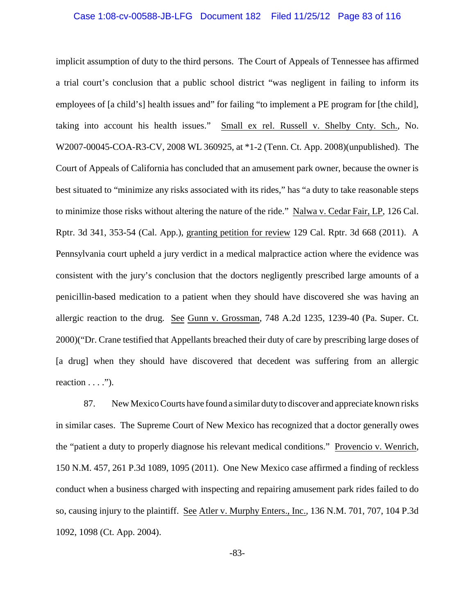#### Case 1:08-cv-00588-JB-LFG Document 182 Filed 11/25/12 Page 83 of 116

implicit assumption of duty to the third persons. The Court of Appeals of Tennessee has affirmed a trial court's conclusion that a public school district "was negligent in failing to inform its employees of [a child's] health issues and" for failing "to implement a PE program for [the child], taking into account his health issues." Small ex rel. Russell v. Shelby Cnty. Sch., No. W2007-00045-COA-R3-CV, 2008 WL 360925, at \*1-2 (Tenn. Ct. App. 2008)(unpublished). The Court of Appeals of California has concluded that an amusement park owner, because the owner is best situated to "minimize any risks associated with its rides," has "a duty to take reasonable steps to minimize those risks without altering the nature of the ride." Nalwa v. Cedar Fair, LP, 126 Cal. Rptr. 3d 341, 353-54 (Cal. App.), granting petition for review 129 Cal. Rptr. 3d 668 (2011). A Pennsylvania court upheld a jury verdict in a medical malpractice action where the evidence was consistent with the jury's conclusion that the doctors negligently prescribed large amounts of a penicillin-based medication to a patient when they should have discovered she was having an allergic reaction to the drug. See Gunn v. Grossman, 748 A.2d 1235, 1239-40 (Pa. Super. Ct. 2000)("Dr. Crane testified that Appellants breached their duty of care by prescribing large doses of [a drug] when they should have discovered that decedent was suffering from an allergic reaction  $\dots$ ").

87. New Mexico Courts have found a similar dutyto discover and appreciate known risks in similar cases. The Supreme Court of New Mexico has recognized that a doctor generally owes the "patient a duty to properly diagnose his relevant medical conditions." Provencio v. Wenrich, 150 N.M. 457, 261 P.3d 1089, 1095 (2011). One New Mexico case affirmed a finding of reckless conduct when a business charged with inspecting and repairing amusement park rides failed to do so, causing injury to the plaintiff. See Atler v. Murphy Enters., Inc., 136 N.M. 701, 707, 104 P.3d 1092, 1098 (Ct. App. 2004).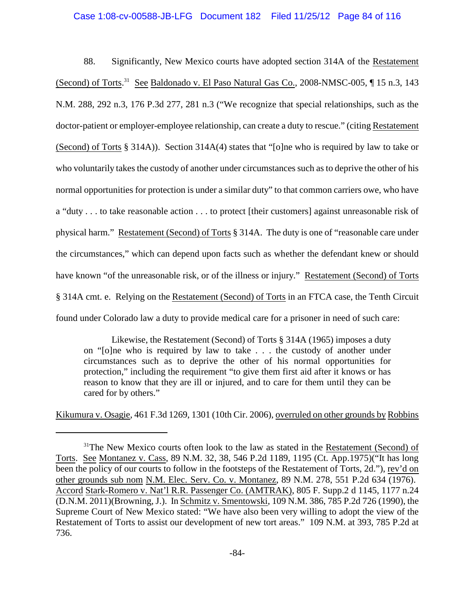### Case 1:08-cv-00588-JB-LFG Document 182 Filed 11/25/12 Page 84 of 116

88. Significantly, New Mexico courts have adopted section 314A of the Restatement (Second) of Torts.<sup>31</sup> See Baldonado v. El Paso Natural Gas Co., 2008-NMSC-005,  $\P$  15 n.3, 143 N.M. 288, 292 n.3, 176 P.3d 277, 281 n.3 ("We recognize that special relationships, such as the doctor-patient or employer-employee relationship, can create a duty to rescue." (citing Restatement (Second) of Torts § 314A)). Section 314A(4) states that "[o]ne who is required by law to take or who voluntarily takes the custody of another under circumstances such as to deprive the other of his normal opportunities for protection is under a similar duty" to that common carriers owe, who have a "duty . . . to take reasonable action . . . to protect [their customers] against unreasonable risk of physical harm." Restatement (Second) of Torts § 314A. The duty is one of "reasonable care under the circumstances," which can depend upon facts such as whether the defendant knew or should have known "of the unreasonable risk, or of the illness or injury." Restatement (Second) of Torts § 314A cmt. e. Relying on the Restatement (Second) of Torts in an FTCA case, the Tenth Circuit found under Colorado law a duty to provide medical care for a prisoner in need of such care:

Likewise, the Restatement (Second) of Torts § 314A (1965) imposes a duty on "[o]ne who is required by law to take . . . the custody of another under circumstances such as to deprive the other of his normal opportunities for protection," including the requirement "to give them first aid after it knows or has reason to know that they are ill or injured, and to care for them until they can be cared for by others."

Kikumura v. Osagie, 461 F.3d 1269, 1301 (10th Cir. 2006), overruled on other grounds by Robbins

 $31$ <sup>1</sup>The New Mexico courts often look to the law as stated in the Restatement (Second) of Torts. See Montanez v. Cass, 89 N.M. 32, 38, 546 P.2d 1189, 1195 (Ct. App.1975)("It has long been the policy of our courts to follow in the footsteps of the Restatement of Torts, 2d."), rev'd on other grounds sub nom N.M. Elec. Serv. Co. v. Montanez, 89 N.M. 278, 551 P.2d 634 (1976). Accord Stark-Romero v. Nat'l R.R. Passenger Co. (AMTRAK), 805 F. Supp.2 d 1145, 1177 n.24 (D.N.M. 2011)(Browning, J.). In Schmitz v. Smentowski, 109 N.M. 386, 785 P.2d 726 (1990), the Supreme Court of New Mexico stated: "We have also been very willing to adopt the view of the Restatement of Torts to assist our development of new tort areas." 109 N.M. at 393, 785 P.2d at 736.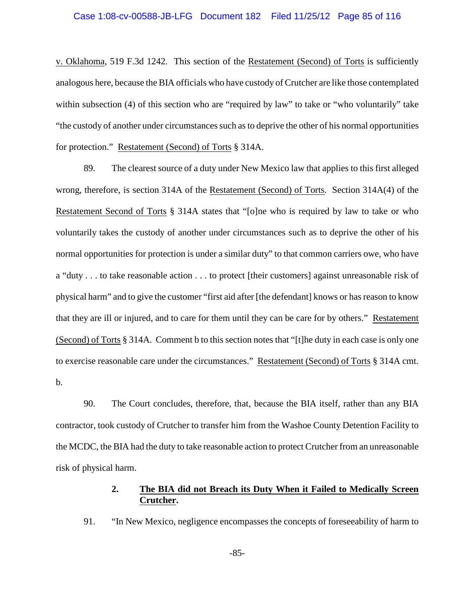v. Oklahoma, 519 F.3d 1242. This section of the Restatement (Second) of Torts is sufficiently analogous here, because the BIA officials who have custody of Crutcher are like those contemplated within subsection (4) of this section who are "required by law" to take or "who voluntarily" take "the custody of another under circumstances such as to deprive the other of his normal opportunities for protection." Restatement (Second) of Torts § 314A.

89. The clearest source of a duty under New Mexico law that applies to this first alleged wrong, therefore, is section 314A of the Restatement (Second) of Torts. Section 314A(4) of the Restatement Second of Torts § 314A states that "[o]ne who is required by law to take or who voluntarily takes the custody of another under circumstances such as to deprive the other of his normal opportunities for protection is under a similar duty" to that common carriers owe, who have a "duty . . . to take reasonable action . . . to protect [their customers] against unreasonable risk of physical harm" and to give the customer "first aid after [the defendant] knows or has reason to know that they are ill or injured, and to care for them until they can be care for by others." Restatement (Second) of Torts § 314A. Comment b to this section notes that "[t]he duty in each case is only one to exercise reasonable care under the circumstances." Restatement (Second) of Torts § 314A cmt. b.

90. The Court concludes, therefore, that, because the BIA itself, rather than any BIA contractor, took custody of Crutcher to transfer him from the Washoe County Detention Facility to the MCDC, the BIA had the duty to take reasonable action to protect Crutcher from an unreasonable risk of physical harm.

### **2. The BIA did not Breach its Duty When it Failed to Medically Screen Crutcher.**

91. "In New Mexico, negligence encompasses the concepts of foreseeability of harm to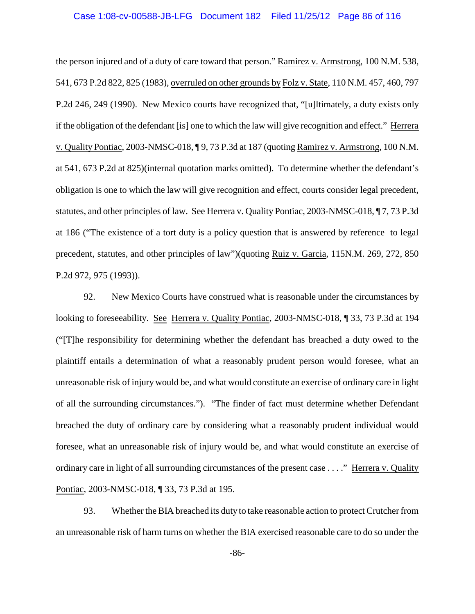#### Case 1:08-cv-00588-JB-LFG Document 182 Filed 11/25/12 Page 86 of 116

the person injured and of a duty of care toward that person." Ramirez v. Armstrong, 100 N.M. 538, 541, 673 P.2d 822, 825 (1983), overruled on other grounds by Folz v. State, 110 N.M. 457, 460, 797 P.2d 246, 249 (1990). New Mexico courts have recognized that, "[u]ltimately, a duty exists only if the obligation of the defendant [is] one to which the law will give recognition and effect." Herrera v. Quality Pontiac, 2003-NMSC-018, ¶ 9, 73 P.3d at 187 (quoting Ramirez v. Armstrong, 100 N.M. at 541, 673 P.2d at 825)(internal quotation marks omitted). To determine whether the defendant's obligation is one to which the law will give recognition and effect, courts consider legal precedent, statutes, and other principles of law. See Herrera v. Quality Pontiac, 2003-NMSC-018, ¶ 7, 73 P.3d at 186 ("The existence of a tort duty is a policy question that is answered by reference to legal precedent, statutes, and other principles of law")(quoting Ruiz v. Garcia, 115N.M. 269, 272, 850 P.2d 972, 975 (1993)).

92. New Mexico Courts have construed what is reasonable under the circumstances by looking to foreseeability. See Herrera v. Quality Pontiac, 2003-NMSC-018, ¶ 33, 73 P.3d at 194 ("[T]he responsibility for determining whether the defendant has breached a duty owed to the plaintiff entails a determination of what a reasonably prudent person would foresee, what an unreasonable risk of injury would be, and what would constitute an exercise of ordinary care in light of all the surrounding circumstances."). "The finder of fact must determine whether Defendant breached the duty of ordinary care by considering what a reasonably prudent individual would foresee, what an unreasonable risk of injury would be, and what would constitute an exercise of ordinary care in light of all surrounding circumstances of the present case . . . ." Herrera v. Quality Pontiac, 2003-NMSC-018, ¶ 33, 73 P.3d at 195.

93. Whether the BIA breached its duty to take reasonable action to protect Crutcherfrom an unreasonable risk of harm turns on whether the BIA exercised reasonable care to do so under the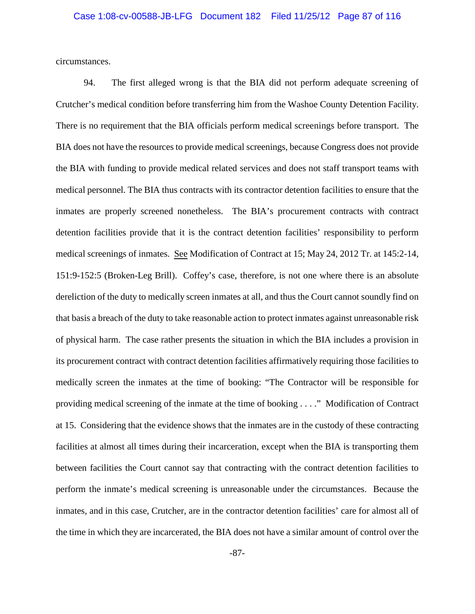circumstances.

94. The first alleged wrong is that the BIA did not perform adequate screening of Crutcher's medical condition before transferring him from the Washoe County Detention Facility. There is no requirement that the BIA officials perform medical screenings before transport. The BIA does not have the resources to provide medical screenings, because Congress does not provide the BIA with funding to provide medical related services and does not staff transport teams with medical personnel. The BIA thus contracts with its contractor detention facilities to ensure that the inmates are properly screened nonetheless. The BIA's procurement contracts with contract detention facilities provide that it is the contract detention facilities' responsibility to perform medical screenings of inmates. See Modification of Contract at 15; May 24, 2012 Tr. at 145:2-14, 151:9-152:5 (Broken-Leg Brill). Coffey's case, therefore, is not one where there is an absolute dereliction of the duty to medically screen inmates at all, and thus the Court cannot soundly find on that basis a breach of the duty to take reasonable action to protect inmates against unreasonable risk of physical harm. The case rather presents the situation in which the BIA includes a provision in its procurement contract with contract detention facilities affirmatively requiring those facilities to medically screen the inmates at the time of booking: "The Contractor will be responsible for providing medical screening of the inmate at the time of booking . . . ." Modification of Contract at 15. Considering that the evidence shows that the inmates are in the custody of these contracting facilities at almost all times during their incarceration, except when the BIA is transporting them between facilities the Court cannot say that contracting with the contract detention facilities to perform the inmate's medical screening is unreasonable under the circumstances. Because the inmates, and in this case, Crutcher, are in the contractor detention facilities' care for almost all of the time in which they are incarcerated, the BIA does not have a similar amount of control over the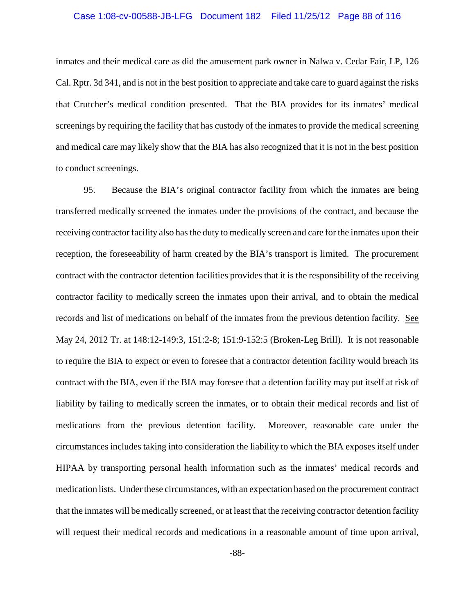#### Case 1:08-cv-00588-JB-LFG Document 182 Filed 11/25/12 Page 88 of 116

inmates and their medical care as did the amusement park owner in Nalwa v. Cedar Fair, LP, 126 Cal. Rptr. 3d 341, and is not in the best position to appreciate and take care to guard against the risks that Crutcher's medical condition presented. That the BIA provides for its inmates' medical screenings by requiring the facility that has custody of the inmates to provide the medical screening and medical care may likely show that the BIA has also recognized that it is not in the best position to conduct screenings.

95. Because the BIA's original contractor facility from which the inmates are being transferred medically screened the inmates under the provisions of the contract, and because the receiving contractor facility also has the duty to medically screen and care for the inmates upon their reception, the foreseeability of harm created by the BIA's transport is limited. The procurement contract with the contractor detention facilities provides that it is the responsibility of the receiving contractor facility to medically screen the inmates upon their arrival, and to obtain the medical records and list of medications on behalf of the inmates from the previous detention facility. See May 24, 2012 Tr. at 148:12-149:3, 151:2-8; 151:9-152:5 (Broken-Leg Brill). It is not reasonable to require the BIA to expect or even to foresee that a contractor detention facility would breach its contract with the BIA, even if the BIA may foresee that a detention facility may put itself at risk of liability by failing to medically screen the inmates, or to obtain their medical records and list of medications from the previous detention facility. Moreover, reasonable care under the circumstances includes taking into consideration the liability to which the BIA exposes itself under HIPAA by transporting personal health information such as the inmates' medical records and medication lists. Under these circumstances, with an expectation based on the procurement contract that the inmates will be medically screened, or at least that the receiving contractor detention facility will request their medical records and medications in a reasonable amount of time upon arrival,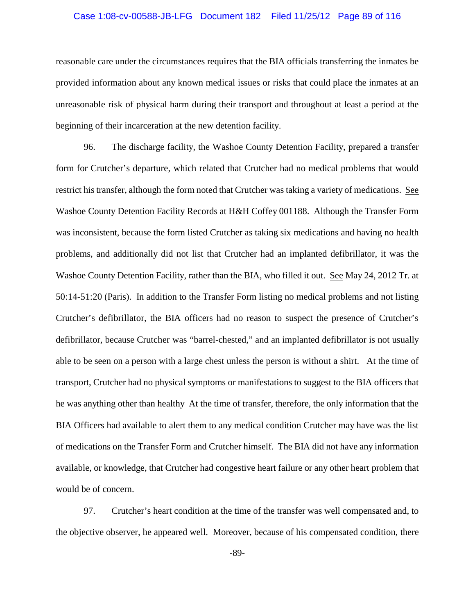#### Case 1:08-cv-00588-JB-LFG Document 182 Filed 11/25/12 Page 89 of 116

reasonable care under the circumstances requires that the BIA officials transferring the inmates be provided information about any known medical issues or risks that could place the inmates at an unreasonable risk of physical harm during their transport and throughout at least a period at the beginning of their incarceration at the new detention facility.

96. The discharge facility, the Washoe County Detention Facility, prepared a transfer form for Crutcher's departure, which related that Crutcher had no medical problems that would restrict his transfer, although the form noted that Crutcher was taking a variety of medications. See Washoe County Detention Facility Records at H&H Coffey 001188. Although the Transfer Form was inconsistent, because the form listed Crutcher as taking six medications and having no health problems, and additionally did not list that Crutcher had an implanted defibrillator, it was the Washoe County Detention Facility, rather than the BIA, who filled it out. See May 24, 2012 Tr. at 50:14-51:20 (Paris). In addition to the Transfer Form listing no medical problems and not listing Crutcher's defibrillator, the BIA officers had no reason to suspect the presence of Crutcher's defibrillator, because Crutcher was "barrel-chested," and an implanted defibrillator is not usually able to be seen on a person with a large chest unless the person is without a shirt. At the time of transport, Crutcher had no physical symptoms or manifestations to suggest to the BIA officers that he was anything other than healthy At the time of transfer, therefore, the only information that the BIA Officers had available to alert them to any medical condition Crutcher may have was the list of medications on the Transfer Form and Crutcher himself. The BIA did not have any information available, or knowledge, that Crutcher had congestive heart failure or any other heart problem that would be of concern.

97. Crutcher's heart condition at the time of the transfer was well compensated and, to the objective observer, he appeared well. Moreover, because of his compensated condition, there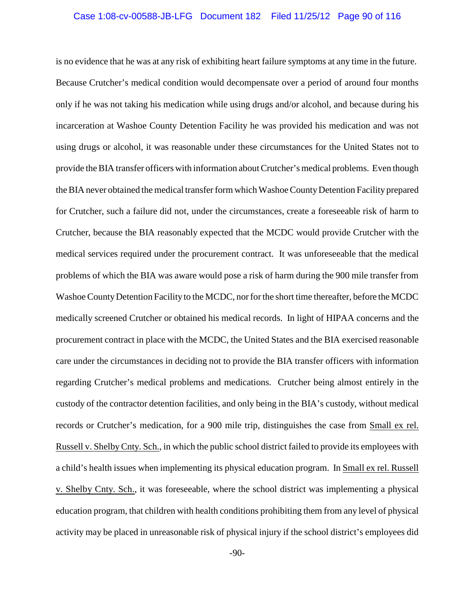#### Case 1:08-cv-00588-JB-LFG Document 182 Filed 11/25/12 Page 90 of 116

is no evidence that he was at any risk of exhibiting heart failure symptoms at any time in the future. Because Crutcher's medical condition would decompensate over a period of around four months only if he was not taking his medication while using drugs and/or alcohol, and because during his incarceration at Washoe County Detention Facility he was provided his medication and was not using drugs or alcohol, it was reasonable under these circumstances for the United States not to provide the BIA transfer officers with information about Crutcher's medical problems. Even though the BIA never obtained the medical transfer form which Washoe CountyDetention Facility prepared for Crutcher, such a failure did not, under the circumstances, create a foreseeable risk of harm to Crutcher, because the BIA reasonably expected that the MCDC would provide Crutcher with the medical services required under the procurement contract. It was unforeseeable that the medical problems of which the BIA was aware would pose a risk of harm during the 900 mile transfer from Washoe CountyDetention Facility to the MCDC, nor for the short time thereafter, before the MCDC medically screened Crutcher or obtained his medical records. In light of HIPAA concerns and the procurement contract in place with the MCDC, the United States and the BIA exercised reasonable care under the circumstances in deciding not to provide the BIA transfer officers with information regarding Crutcher's medical problems and medications. Crutcher being almost entirely in the custody of the contractor detention facilities, and only being in the BIA's custody, without medical records or Crutcher's medication, for a 900 mile trip, distinguishes the case from Small ex rel. Russell v. ShelbyCnty. Sch., in which the public school district failed to provide its employees with a child's health issues when implementing its physical education program. In Small ex rel. Russell v. Shelby Cnty. Sch., it was foreseeable, where the school district was implementing a physical education program, that children with health conditions prohibiting them from any level of physical activity may be placed in unreasonable risk of physical injury if the school district's employees did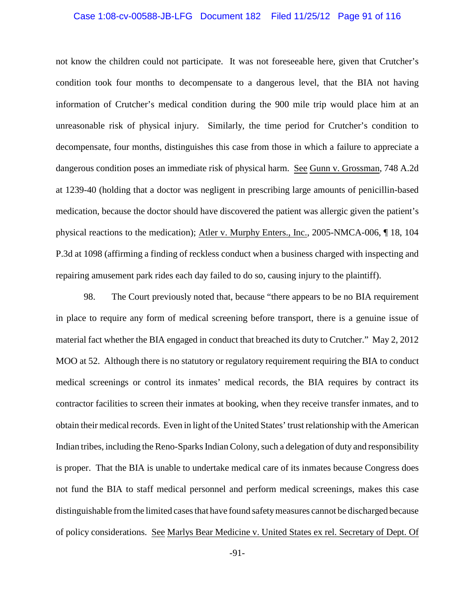#### Case 1:08-cv-00588-JB-LFG Document 182 Filed 11/25/12 Page 91 of 116

not know the children could not participate. It was not foreseeable here, given that Crutcher's condition took four months to decompensate to a dangerous level, that the BIA not having information of Crutcher's medical condition during the 900 mile trip would place him at an unreasonable risk of physical injury. Similarly, the time period for Crutcher's condition to decompensate, four months, distinguishes this case from those in which a failure to appreciate a dangerous condition poses an immediate risk of physical harm. See Gunn v. Grossman, 748 A.2d at 1239-40 (holding that a doctor was negligent in prescribing large amounts of penicillin-based medication, because the doctor should have discovered the patient was allergic given the patient's physical reactions to the medication); Atler v. Murphy Enters., Inc., 2005-NMCA-006, ¶ 18, 104 P.3d at 1098 (affirming a finding of reckless conduct when a business charged with inspecting and repairing amusement park rides each day failed to do so, causing injury to the plaintiff).

98. The Court previously noted that, because "there appears to be no BIA requirement in place to require any form of medical screening before transport, there is a genuine issue of material fact whether the BIA engaged in conduct that breached its duty to Crutcher." May 2, 2012 MOO at 52. Although there is no statutory or regulatory requirement requiring the BIA to conduct medical screenings or control its inmates' medical records, the BIA requires by contract its contractor facilities to screen their inmates at booking, when they receive transfer inmates, and to obtain their medical records. Even in light of the United States' trust relationship with the American Indian tribes, including the Reno-Sparks Indian Colony, such a delegation of duty and responsibility is proper. That the BIA is unable to undertake medical care of its inmates because Congress does not fund the BIA to staff medical personnel and perform medical screenings, makes this case distinguishable from the limited cases that have found safetymeasures cannot be discharged because of policy considerations. See Marlys Bear Medicine v. United States ex rel. Secretary of Dept. Of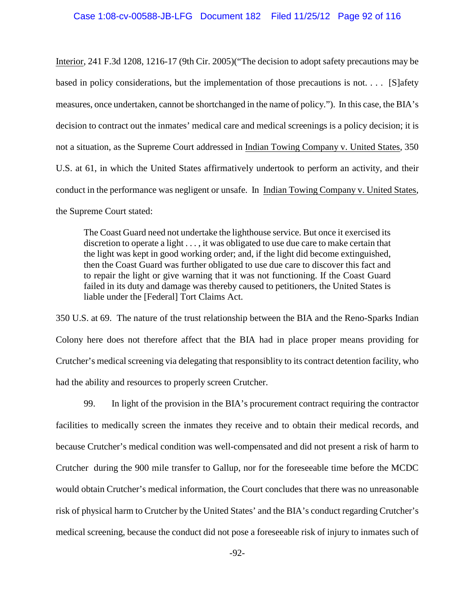Interior, 241 F.3d 1208, 1216-17 (9th Cir. 2005)("The decision to adopt safety precautions may be based in policy considerations, but the implementation of those precautions is not. . . . [S]afety measures, once undertaken, cannot be shortchanged in the name of policy."). In this case, the BIA's decision to contract out the inmates' medical care and medical screenings is a policy decision; it is not a situation, as the Supreme Court addressed in Indian Towing Company v. United States, 350 U.S. at 61, in which the United States affirmatively undertook to perform an activity, and their conduct in the performance was negligent or unsafe. In Indian Towing Company v. United States, the Supreme Court stated:

The Coast Guard need not undertake the lighthouse service. But once it exercised its discretion to operate a light . . . , it was obligated to use due care to make certain that the light was kept in good working order; and, if the light did become extinguished, then the Coast Guard was further obligated to use due care to discover this fact and to repair the light or give warning that it was not functioning. If the Coast Guard failed in its duty and damage was thereby caused to petitioners, the United States is liable under the [Federal] Tort Claims Act.

350 U.S. at 69. The nature of the trust relationship between the BIA and the Reno-Sparks Indian Colony here does not therefore affect that the BIA had in place proper means providing for Crutcher's medical screening via delegating that responsiblity to its contract detention facility, who had the ability and resources to properly screen Crutcher.

99. In light of the provision in the BIA's procurement contract requiring the contractor facilities to medically screen the inmates they receive and to obtain their medical records, and because Crutcher's medical condition was well-compensated and did not present a risk of harm to Crutcher during the 900 mile transfer to Gallup, nor for the foreseeable time before the MCDC would obtain Crutcher's medical information, the Court concludes that there was no unreasonable risk of physical harm to Crutcher by the United States' and the BIA's conduct regarding Crutcher's medical screening, because the conduct did not pose a foreseeable risk of injury to inmates such of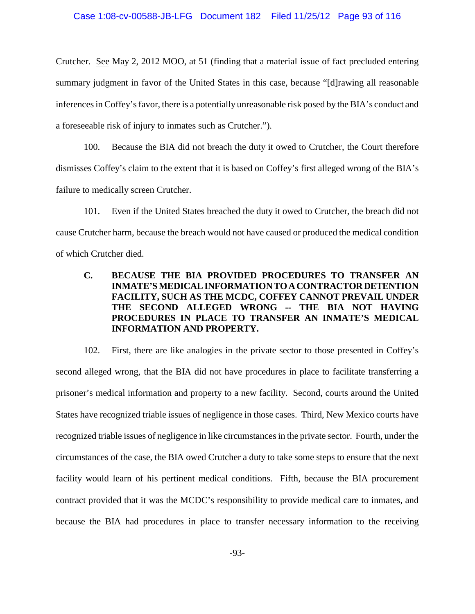Crutcher. See May 2, 2012 MOO, at 51 (finding that a material issue of fact precluded entering summary judgment in favor of the United States in this case, because "[d]rawing all reasonable inferences in Coffey's favor, there is a potentially unreasonable risk posed by the BIA's conduct and a foreseeable risk of injury to inmates such as Crutcher.").

100. Because the BIA did not breach the duty it owed to Crutcher, the Court therefore dismisses Coffey's claim to the extent that it is based on Coffey's first alleged wrong of the BIA's failure to medically screen Crutcher.

101. Even if the United States breached the duty it owed to Crutcher, the breach did not cause Crutcher harm, because the breach would not have caused or produced the medical condition of which Crutcher died.

## **C. BECAUSE THE BIA PROVIDED PROCEDURES TO TRANSFER AN INMATE'S MEDICAL INFORMATIONTOACONTRACTORDETENTION FACILITY, SUCH AS THE MCDC, COFFEY CANNOT PREVAIL UNDER THE SECOND ALLEGED WRONG -- THE BIA NOT HAVING PROCEDURES IN PLACE TO TRANSFER AN INMATE'S MEDICAL INFORMATION AND PROPERTY.**

102. First, there are like analogies in the private sector to those presented in Coffey's second alleged wrong, that the BIA did not have procedures in place to facilitate transferring a prisoner's medical information and property to a new facility. Second, courts around the United States have recognized triable issues of negligence in those cases. Third, New Mexico courts have recognized triable issues of negligence in like circumstances in the private sector. Fourth, under the circumstances of the case, the BIA owed Crutcher a duty to take some steps to ensure that the next facility would learn of his pertinent medical conditions. Fifth, because the BIA procurement contract provided that it was the MCDC's responsibility to provide medical care to inmates, and because the BIA had procedures in place to transfer necessary information to the receiving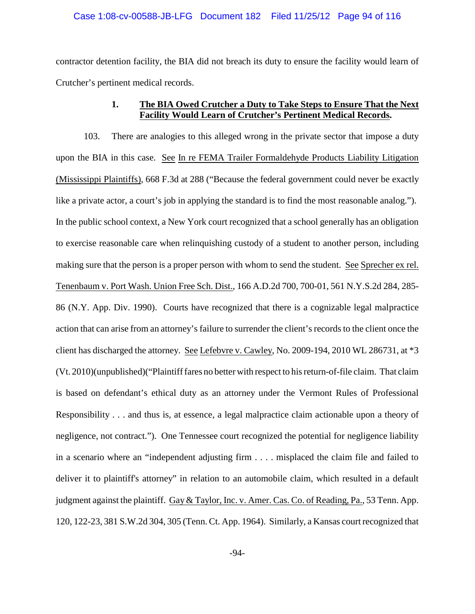contractor detention facility, the BIA did not breach its duty to ensure the facility would learn of Crutcher's pertinent medical records.

## **1. The BIA Owed Crutcher a Duty to Take Steps to Ensure That the Next Facility Would Learn of Crutcher's Pertinent Medical Records.**

103. There are analogies to this alleged wrong in the private sector that impose a duty upon the BIA in this case. See In re FEMA Trailer Formaldehyde Products Liability Litigation (Mississippi Plaintiffs), 668 F.3d at 288 ("Because the federal government could never be exactly like a private actor, a court's job in applying the standard is to find the most reasonable analog."). In the public school context, a New York court recognized that a school generally has an obligation to exercise reasonable care when relinquishing custody of a student to another person, including making sure that the person is a proper person with whom to send the student. See Sprecher ex rel. Tenenbaum v. Port Wash. Union Free Sch. Dist., 166 A.D.2d 700, 700-01, 561 N.Y.S.2d 284, 285- 86 (N.Y. App. Div. 1990). Courts have recognized that there is a cognizable legal malpractice action that can arise from an attorney's failure to surrender the client's records to the client once the client has discharged the attorney. See Lefebvre v. Cawley, No. 2009-194, 2010 WL 286731, at \*3 (Vt. 2010)(unpublished)("Plaintiff fares no better with respect to his return-of-file claim. That claim is based on defendant's ethical duty as an attorney under the Vermont Rules of Professional Responsibility . . . and thus is, at essence, a legal malpractice claim actionable upon a theory of negligence, not contract."). One Tennessee court recognized the potential for negligence liability in a scenario where an "independent adjusting firm . . . . misplaced the claim file and failed to deliver it to plaintiff's attorney" in relation to an automobile claim, which resulted in a default judgment against the plaintiff. Gay& Taylor, Inc. v. Amer. Cas. Co. of Reading, Pa., 53 Tenn. App. 120, 122-23, 381 S.W.2d 304, 305 (Tenn. Ct. App. 1964). Similarly, a Kansas court recognized that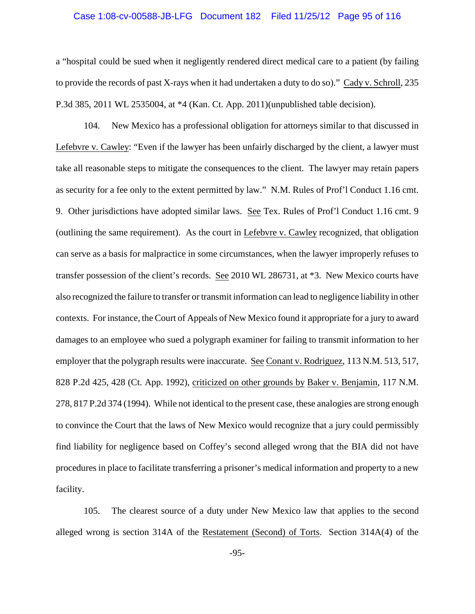#### Case 1:08-cv-00588-JB-LFG Document 182 Filed 11/25/12 Page 95 of 116

a "hospital could be sued when it negligently rendered direct medical care to a patient (by failing to provide the records of past X-rays when it had undertaken a duty to do so)." Cady v. Schroll, 235 P.3d 385, 2011 WL 2535004, at \*4 (Kan. Ct. App. 2011)(unpublished table decision).

104. New Mexico has a professional obligation for attorneys similar to that discussed in Lefebvre v. Cawley: "Even if the lawyer has been unfairly discharged by the client, a lawyer must take all reasonable steps to mitigate the consequences to the client. The lawyer may retain papers as security for a fee only to the extent permitted by law." N.M. Rules of Prof'l Conduct 1.16 cmt. 9. Other jurisdictions have adopted similar laws. See Tex. Rules of Prof'l Conduct 1.16 cmt. 9 (outlining the same requirement). As the court in Lefebvre v. Cawley recognized, that obligation can serve as a basis for malpractice in some circumstances, when the lawyer improperly refuses to transfer possession of the client's records. See 2010 WL 286731, at \*3. New Mexico courts have also recognized the failure to transfer or transmit information can lead to negligence liability in other contexts. For instance, the Court of Appeals of New Mexico found it appropriate for a jury to award damages to an employee who sued a polygraph examiner for failing to transmit information to her employer that the polygraph results were inaccurate. See Conant v. Rodriguez, 113 N.M. 513, 517, 828 P.2d 425, 428 (Ct. App. 1992), criticized on other grounds by Baker v. Benjamin, 117 N.M. 278, 817 P.2d 374 (1994). While not identical to the present case, these analogies are strong enough to convince the Court that the laws of New Mexico would recognize that a jury could permissibly find liability for negligence based on Coffey's second alleged wrong that the BIA did not have procedures in place to facilitate transferring a prisoner's medical information and property to a new facility.

105. The clearest source of a duty under New Mexico law that applies to the second alleged wrong is section 314A of the Restatement (Second) of Torts. Section 314A(4) of the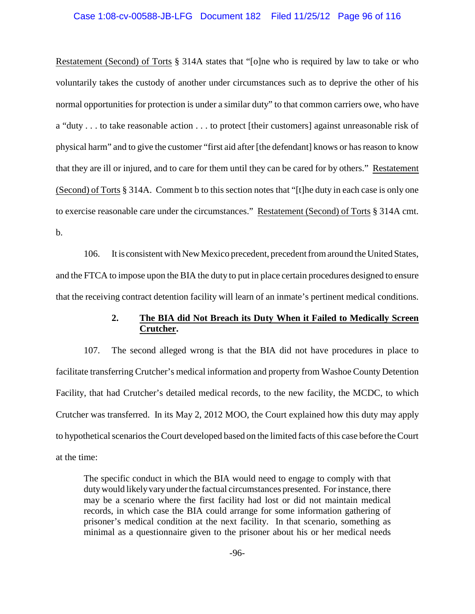Restatement (Second) of Torts § 314A states that "[o]ne who is required by law to take or who voluntarily takes the custody of another under circumstances such as to deprive the other of his normal opportunities for protection is under a similar duty" to that common carriers owe, who have a "duty . . . to take reasonable action . . . to protect [their customers] against unreasonable risk of physical harm" and to give the customer "first aid after [the defendant] knows or has reason to know that they are ill or injured, and to care for them until they can be cared for by others." Restatement (Second) of Torts § 314A. Comment b to this section notes that "[t]he duty in each case is only one to exercise reasonable care under the circumstances." Restatement (Second) of Torts § 314A cmt. b.

106. It is consistent with New Mexico precedent, precedent from around the United States, and the FTCA to impose upon the BIA the duty to put in place certain procedures designed to ensure that the receiving contract detention facility will learn of an inmate's pertinent medical conditions.

### **2. The BIA did Not Breach its Duty When it Failed to Medically Screen Crutcher.**

107. The second alleged wrong is that the BIA did not have procedures in place to facilitate transferring Crutcher's medical information and property from Washoe County Detention Facility, that had Crutcher's detailed medical records, to the new facility, the MCDC, to which Crutcher was transferred. In its May 2, 2012 MOO, the Court explained how this duty may apply to hypothetical scenarios the Court developed based on the limited facts of this case before the Court at the time:

The specific conduct in which the BIA would need to engage to comply with that duty would likely vary under the factual circumstances presented. For instance, there may be a scenario where the first facility had lost or did not maintain medical records, in which case the BIA could arrange for some information gathering of prisoner's medical condition at the next facility. In that scenario, something as minimal as a questionnaire given to the prisoner about his or her medical needs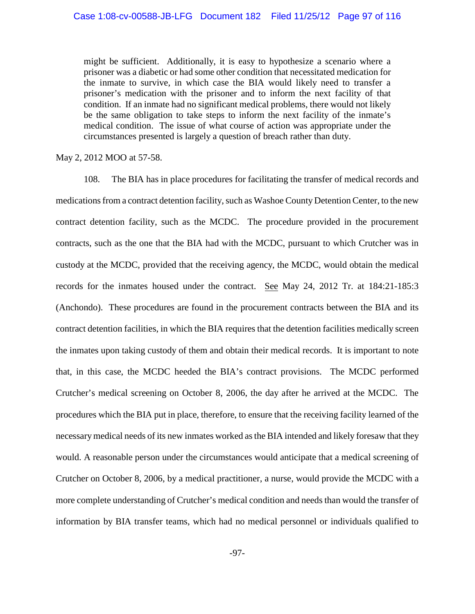might be sufficient. Additionally, it is easy to hypothesize a scenario where a prisoner was a diabetic or had some other condition that necessitated medication for the inmate to survive, in which case the BIA would likely need to transfer a prisoner's medication with the prisoner and to inform the next facility of that condition. If an inmate had no significant medical problems, there would not likely be the same obligation to take steps to inform the next facility of the inmate's medical condition. The issue of what course of action was appropriate under the circumstances presented is largely a question of breach rather than duty.

May 2, 2012 MOO at 57-58.

108. The BIA has in place procedures for facilitating the transfer of medical records and medications from a contract detention facility, such as Washoe County Detention Center, to the new contract detention facility, such as the MCDC. The procedure provided in the procurement contracts, such as the one that the BIA had with the MCDC, pursuant to which Crutcher was in custody at the MCDC, provided that the receiving agency, the MCDC, would obtain the medical records for the inmates housed under the contract. See May 24, 2012 Tr. at 184:21-185:3 (Anchondo). These procedures are found in the procurement contracts between the BIA and its contract detention facilities, in which the BIA requires that the detention facilities medically screen the inmates upon taking custody of them and obtain their medical records. It is important to note that, in this case, the MCDC heeded the BIA's contract provisions. The MCDC performed Crutcher's medical screening on October 8, 2006, the day after he arrived at the MCDC. The procedures which the BIA put in place, therefore, to ensure that the receiving facility learned of the necessarymedical needs of its new inmates worked as the BIA intended and likely foresaw that they would. A reasonable person under the circumstances would anticipate that a medical screening of Crutcher on October 8, 2006, by a medical practitioner, a nurse, would provide the MCDC with a more complete understanding of Crutcher's medical condition and needs than would the transfer of information by BIA transfer teams, which had no medical personnel or individuals qualified to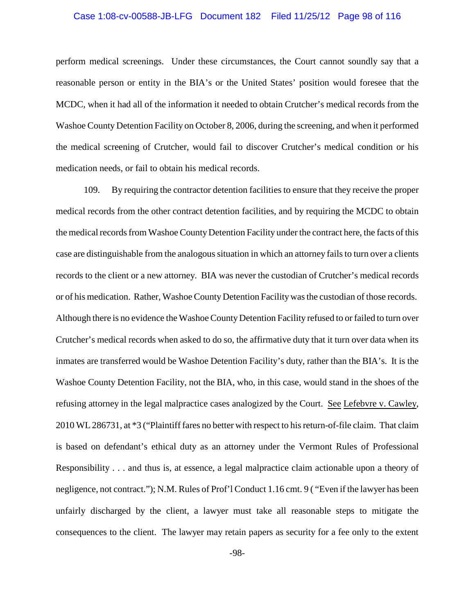#### Case 1:08-cv-00588-JB-LFG Document 182 Filed 11/25/12 Page 98 of 116

perform medical screenings. Under these circumstances, the Court cannot soundly say that a reasonable person or entity in the BIA's or the United States' position would foresee that the MCDC, when it had all of the information it needed to obtain Crutcher's medical records from the Washoe County Detention Facility on October 8, 2006, during the screening, and when it performed the medical screening of Crutcher, would fail to discover Crutcher's medical condition or his medication needs, or fail to obtain his medical records.

109. By requiring the contractor detention facilities to ensure that they receive the proper medical records from the other contract detention facilities, and by requiring the MCDC to obtain the medical records from Washoe CountyDetention Facility under the contract here, the facts of this case are distinguishable from the analogous situation in which an attorney fails to turn over a clients records to the client or a new attorney. BIA was never the custodian of Crutcher's medical records or of his medication. Rather, Washoe County Detention Facilitywas the custodian of those records. Although there is no evidence the Washoe County Detention Facility refused to or failed to turn over Crutcher's medical records when asked to do so, the affirmative duty that it turn over data when its inmates are transferred would be Washoe Detention Facility's duty, rather than the BIA's. It is the Washoe County Detention Facility, not the BIA, who, in this case, would stand in the shoes of the refusing attorney in the legal malpractice cases analogized by the Court. See Lefebvre v. Cawley, 2010 WL286731, at \*3 ("Plaintiff fares no better with respect to his return-of-file claim. That claim is based on defendant's ethical duty as an attorney under the Vermont Rules of Professional Responsibility . . . and thus is, at essence, a legal malpractice claim actionable upon a theory of negligence, not contract."); N.M. Rules of Prof'l Conduct 1.16 cmt. 9 ( "Even if the lawyer has been unfairly discharged by the client, a lawyer must take all reasonable steps to mitigate the consequences to the client. The lawyer may retain papers as security for a fee only to the extent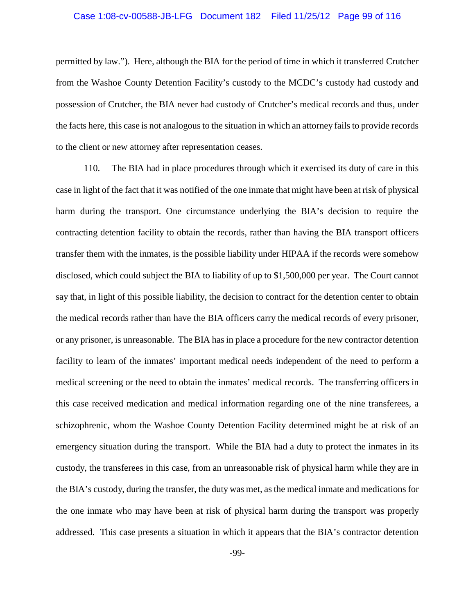#### Case 1:08-cv-00588-JB-LFG Document 182 Filed 11/25/12 Page 99 of 116

permitted by law."). Here, although the BIA for the period of time in which it transferred Crutcher from the Washoe County Detention Facility's custody to the MCDC's custody had custody and possession of Crutcher, the BIA never had custody of Crutcher's medical records and thus, under the facts here, this case is not analogous to the situation in which an attorney fails to provide records to the client or new attorney after representation ceases.

110. The BIA had in place procedures through which it exercised its duty of care in this case in light of the fact that it was notified of the one inmate that might have been at risk of physical harm during the transport. One circumstance underlying the BIA's decision to require the contracting detention facility to obtain the records, rather than having the BIA transport officers transfer them with the inmates, is the possible liability under HIPAA if the records were somehow disclosed, which could subject the BIA to liability of up to \$1,500,000 per year. The Court cannot say that, in light of this possible liability, the decision to contract for the detention center to obtain the medical records rather than have the BIA officers carry the medical records of every prisoner, or any prisoner, is unreasonable. The BIA has in place a procedure for the new contractor detention facility to learn of the inmates' important medical needs independent of the need to perform a medical screening or the need to obtain the inmates' medical records. The transferring officers in this case received medication and medical information regarding one of the nine transferees, a schizophrenic, whom the Washoe County Detention Facility determined might be at risk of an emergency situation during the transport. While the BIA had a duty to protect the inmates in its custody, the transferees in this case, from an unreasonable risk of physical harm while they are in the BIA's custody, during the transfer, the duty was met, as the medical inmate and medications for the one inmate who may have been at risk of physical harm during the transport was properly addressed. This case presents a situation in which it appears that the BIA's contractor detention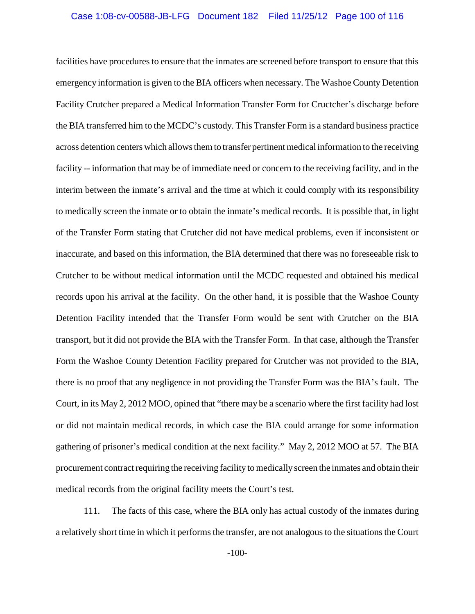#### Case 1:08-cv-00588-JB-LFG Document 182 Filed 11/25/12 Page 100 of 116

facilities have procedures to ensure that the inmates are screened before transport to ensure that this emergency information is given to the BIA officers when necessary. The Washoe County Detention Facility Crutcher prepared a Medical Information Transfer Form for Cructcher's discharge before the BIA transferred him to the MCDC's custody. This Transfer Form is a standard business practice across detention centers which allows them to transfer pertinent medical information to the receiving facility -- information that may be of immediate need or concern to the receiving facility, and in the interim between the inmate's arrival and the time at which it could comply with its responsibility to medically screen the inmate or to obtain the inmate's medical records. It is possible that, in light of the Transfer Form stating that Crutcher did not have medical problems, even if inconsistent or inaccurate, and based on this information, the BIA determined that there was no foreseeable risk to Crutcher to be without medical information until the MCDC requested and obtained his medical records upon his arrival at the facility. On the other hand, it is possible that the Washoe County Detention Facility intended that the Transfer Form would be sent with Crutcher on the BIA transport, but it did not provide the BIA with the Transfer Form. In that case, although the Transfer Form the Washoe County Detention Facility prepared for Crutcher was not provided to the BIA, there is no proof that any negligence in not providing the Transfer Form was the BIA's fault. The Court, in its May 2, 2012 MOO, opined that "there may be a scenario where the first facility had lost or did not maintain medical records, in which case the BIA could arrange for some information gathering of prisoner's medical condition at the next facility." May 2, 2012 MOO at 57. The BIA procurement contract requiring the receiving facility to medically screen the inmates and obtain their medical records from the original facility meets the Court's test.

111. The facts of this case, where the BIA only has actual custody of the inmates during a relatively short time in which it performs the transfer, are not analogous to the situations the Court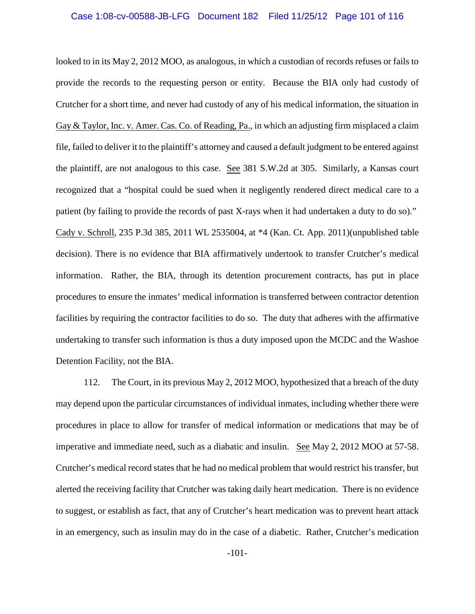looked to in its May 2, 2012 MOO, as analogous, in which a custodian of records refuses or fails to provide the records to the requesting person or entity. Because the BIA only had custody of Crutcher for a short time, and never had custody of any of his medical information, the situation in Gay & Taylor, Inc. v. Amer. Cas. Co. of Reading, Pa., in which an adjusting firm misplaced a claim file, failed to deliver it to the plaintiff's attorney and caused a default judgment to be entered against the plaintiff, are not analogous to this case. See 381 S.W.2d at 305. Similarly, a Kansas court recognized that a "hospital could be sued when it negligently rendered direct medical care to a patient (by failing to provide the records of past X-rays when it had undertaken a duty to do so)." Cady v. Schroll, 235 P.3d 385, 2011 WL 2535004, at \*4 (Kan. Ct. App. 2011)(unpublished table decision). There is no evidence that BIA affirmatively undertook to transfer Crutcher's medical information. Rather, the BIA, through its detention procurement contracts, has put in place procedures to ensure the inmates' medical information is transferred between contractor detention facilities by requiring the contractor facilities to do so. The duty that adheres with the affirmative undertaking to transfer such information is thus a duty imposed upon the MCDC and the Washoe Detention Facility, not the BIA.

112. The Court, in its previous May 2, 2012 MOO, hypothesized that a breach of the duty may depend upon the particular circumstances of individual inmates, including whether there were procedures in place to allow for transfer of medical information or medications that may be of imperative and immediate need, such as a diabatic and insulin. See May 2, 2012 MOO at 57-58. Crutcher's medical record states that he had no medical problem that would restrict his transfer, but alerted the receiving facility that Crutcher was taking daily heart medication. There is no evidence to suggest, or establish as fact, that any of Crutcher's heart medication was to prevent heart attack in an emergency, such as insulin may do in the case of a diabetic. Rather, Crutcher's medication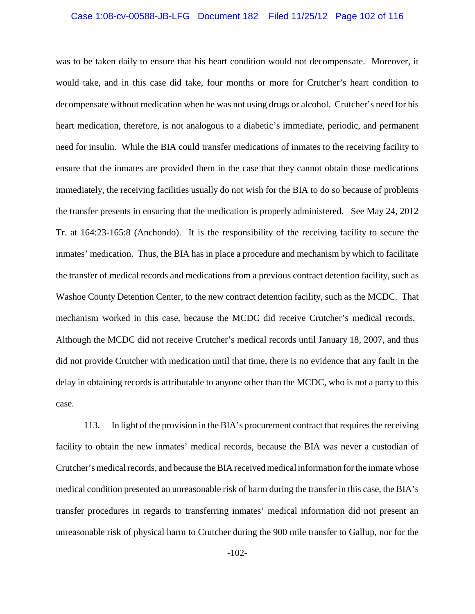#### Case 1:08-cv-00588-JB-LFG Document 182 Filed 11/25/12 Page 102 of 116

was to be taken daily to ensure that his heart condition would not decompensate. Moreover, it would take, and in this case did take, four months or more for Crutcher's heart condition to decompensate without medication when he was not using drugs or alcohol. Crutcher's need for his heart medication, therefore, is not analogous to a diabetic's immediate, periodic, and permanent need for insulin. While the BIA could transfer medications of inmates to the receiving facility to ensure that the inmates are provided them in the case that they cannot obtain those medications immediately, the receiving facilities usually do not wish for the BIA to do so because of problems the transfer presents in ensuring that the medication is properly administered. See May 24, 2012 Tr. at 164:23-165:8 (Anchondo). It is the responsibility of the receiving facility to secure the inmates' medication. Thus, the BIA has in place a procedure and mechanism by which to facilitate the transfer of medical records and medications from a previous contract detention facility, such as Washoe County Detention Center, to the new contract detention facility, such as the MCDC. That mechanism worked in this case, because the MCDC did receive Crutcher's medical records. Although the MCDC did not receive Crutcher's medical records until January 18, 2007, and thus did not provide Crutcher with medication until that time, there is no evidence that any fault in the delay in obtaining records is attributable to anyone other than the MCDC, who is not a party to this case.

113. In light of the provision in the BIA's procurement contract that requires the receiving facility to obtain the new inmates' medical records, because the BIA was never a custodian of Crutcher's medical records, and because the BIA received medical information for the inmate whose medical condition presented an unreasonable risk of harm during the transfer in this case, the BIA's transfer procedures in regards to transferring inmates' medical information did not present an unreasonable risk of physical harm to Crutcher during the 900 mile transfer to Gallup, nor for the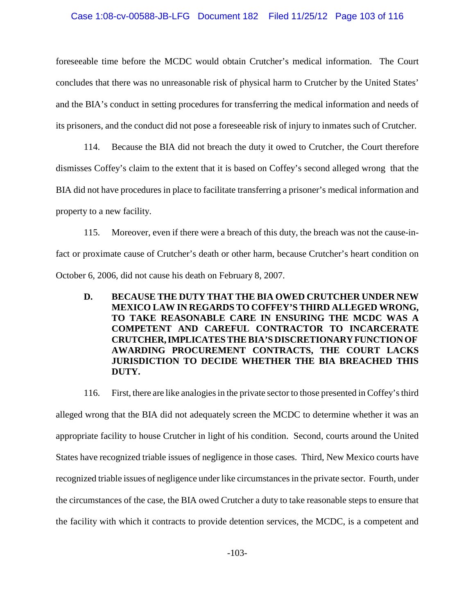#### Case 1:08-cv-00588-JB-LFG Document 182 Filed 11/25/12 Page 103 of 116

foreseeable time before the MCDC would obtain Crutcher's medical information. The Court concludes that there was no unreasonable risk of physical harm to Crutcher by the United States' and the BIA's conduct in setting procedures for transferring the medical information and needs of its prisoners, and the conduct did not pose a foreseeable risk of injury to inmates such of Crutcher.

114. Because the BIA did not breach the duty it owed to Crutcher, the Court therefore dismisses Coffey's claim to the extent that it is based on Coffey's second alleged wrong that the BIA did not have procedures in place to facilitate transferring a prisoner's medical information and property to a new facility.

115. Moreover, even if there were a breach of this duty, the breach was not the cause-infact or proximate cause of Crutcher's death or other harm, because Crutcher's heart condition on October 6, 2006, did not cause his death on February 8, 2007.

**D. BECAUSE THE DUTY THAT THE BIA OWED CRUTCHER UNDER NEW MEXICO LAW IN REGARDS TO COFFEY'S THIRD ALLEGED WRONG, TO TAKE REASONABLE CARE IN ENSURING THE MCDC WAS A COMPETENT AND CAREFUL CONTRACTOR TO INCARCERATE CRUTCHER,IMPLICATES THE BIA'S DISCRETIONARYFUNCTIONOF AWARDING PROCUREMENT CONTRACTS, THE COURT LACKS JURISDICTION TO DECIDE WHETHER THE BIA BREACHED THIS DUTY.**

116. First, there are like analogies in the private sector to those presented in Coffey's third alleged wrong that the BIA did not adequately screen the MCDC to determine whether it was an appropriate facility to house Crutcher in light of his condition. Second, courts around the United States have recognized triable issues of negligence in those cases. Third, New Mexico courts have recognized triable issues of negligence under like circumstances in the private sector. Fourth, under the circumstances of the case, the BIA owed Crutcher a duty to take reasonable steps to ensure that the facility with which it contracts to provide detention services, the MCDC, is a competent and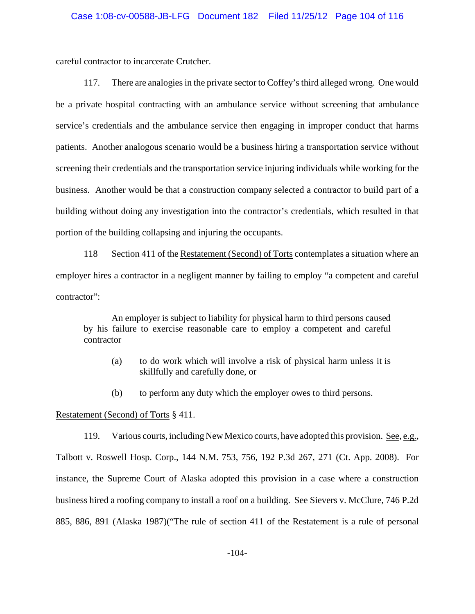careful contractor to incarcerate Crutcher.

117. There are analogies in the private sector to Coffey's third alleged wrong. One would be a private hospital contracting with an ambulance service without screening that ambulance service's credentials and the ambulance service then engaging in improper conduct that harms patients. Another analogous scenario would be a business hiring a transportation service without screening their credentials and the transportation service injuring individuals while working for the business. Another would be that a construction company selected a contractor to build part of a building without doing any investigation into the contractor's credentials, which resulted in that portion of the building collapsing and injuring the occupants.

118 Section 411 of the Restatement (Second) of Torts contemplates a situation where an employer hires a contractor in a negligent manner by failing to employ "a competent and careful contractor":

An employer is subject to liability for physical harm to third persons caused by his failure to exercise reasonable care to employ a competent and careful contractor

- (a) to do work which will involve a risk of physical harm unless it is skillfully and carefully done, or
- (b) to perform any duty which the employer owes to third persons.

Restatement (Second) of Torts § 411.

119. Various courts, including New Mexico courts, have adopted this provision. See, e.g., Talbott v. Roswell Hosp. Corp., 144 N.M. 753, 756, 192 P.3d 267, 271 (Ct. App. 2008). For instance, the Supreme Court of Alaska adopted this provision in a case where a construction business hired a roofing company to install a roof on a building. See Sievers v. McClure, 746 P.2d 885, 886, 891 (Alaska 1987)("The rule of section 411 of the Restatement is a rule of personal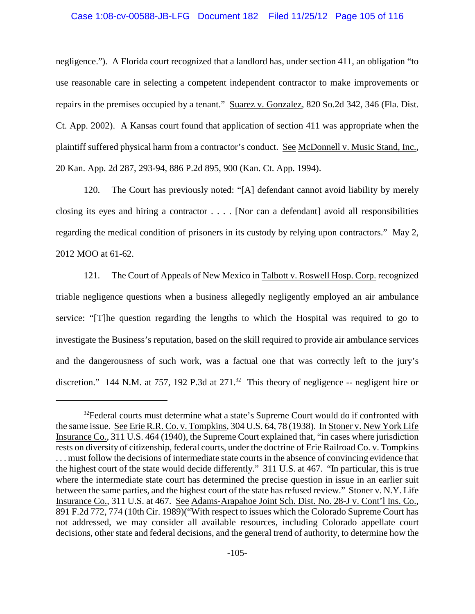#### Case 1:08-cv-00588-JB-LFG Document 182 Filed 11/25/12 Page 105 of 116

negligence."). A Florida court recognized that a landlord has, under section 411, an obligation "to use reasonable care in selecting a competent independent contractor to make improvements or repairs in the premises occupied by a tenant." Suarez v. Gonzalez, 820 So.2d 342, 346 (Fla. Dist. Ct. App. 2002). A Kansas court found that application of section 411 was appropriate when the plaintiff suffered physical harm from a contractor's conduct. See McDonnell v. Music Stand, Inc., 20 Kan. App. 2d 287, 293-94, 886 P.2d 895, 900 (Kan. Ct. App. 1994).

120. The Court has previously noted: "[A] defendant cannot avoid liability by merely closing its eyes and hiring a contractor . . . . [Nor can a defendant] avoid all responsibilities regarding the medical condition of prisoners in its custody by relying upon contractors." May 2, 2012 MOO at 61-62.

121. The Court of Appeals of New Mexico in Talbott v. Roswell Hosp. Corp. recognized triable negligence questions when a business allegedly negligently employed an air ambulance service: "[T]he question regarding the lengths to which the Hospital was required to go to investigate the Business's reputation, based on the skill required to provide air ambulance services and the dangerousness of such work, was a factual one that was correctly left to the jury's discretion." 144 N.M. at 757, 192 P.3d at  $271$ .<sup>32</sup> This theory of negligence -- negligent hire or

 $32$  Federal courts must determine what a state's Supreme Court would do if confronted with the same issue. See Erie R.R. Co. v. Tompkins, 304 U.S. 64, 78 (1938). In Stoner v. New York Life Insurance Co., 311 U.S. 464 (1940), the Supreme Court explained that, "in cases where jurisdiction rests on diversity of citizenship, federal courts, under the doctrine of Erie Railroad Co. v. Tompkins . . . must follow the decisions of intermediate state courts in the absence of convincing evidence that the highest court of the state would decide differently." 311 U.S. at 467. "In particular, this is true where the intermediate state court has determined the precise question in issue in an earlier suit between the same parties, and the highest court of the state has refused review." Stoner v. N.Y. Life Insurance Co., 311 U.S. at 467. See Adams-Arapahoe Joint Sch. Dist. No. 28-J v. Cont'l Ins. Co., 891 F.2d 772, 774 (10th Cir. 1989)("With respect to issues which the Colorado Supreme Court has not addressed, we may consider all available resources, including Colorado appellate court decisions, other state and federal decisions, and the general trend of authority, to determine how the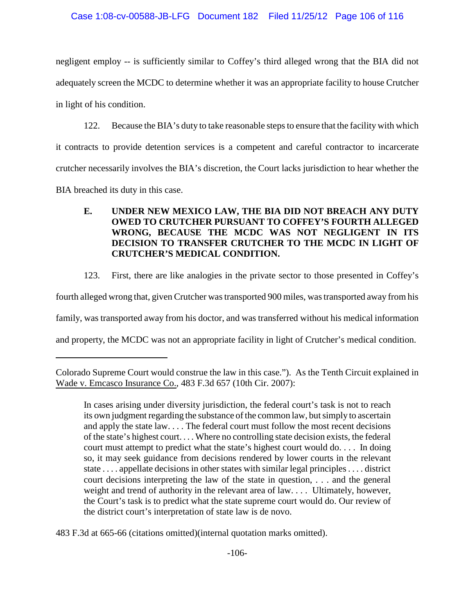negligent employ -- is sufficiently similar to Coffey's third alleged wrong that the BIA did not adequately screen the MCDC to determine whether it was an appropriate facility to house Crutcher in light of his condition.

122. Because the BIA's duty to take reasonable steps to ensure that the facility with which

it contracts to provide detention services is a competent and careful contractor to incarcerate

crutcher necessarily involves the BIA's discretion, the Court lacks jurisdiction to hear whether the

BIA breached its duty in this case.

# **E. UNDER NEW MEXICO LAW, THE BIA DID NOT BREACH ANY DUTY OWED TO CRUTCHER PURSUANT TO COFFEY'S FOURTH ALLEGED WRONG, BECAUSE THE MCDC WAS NOT NEGLIGENT IN ITS DECISION TO TRANSFER CRUTCHER TO THE MCDC IN LIGHT OF CRUTCHER'S MEDICAL CONDITION.**

123. First, there are like analogies in the private sector to those presented in Coffey's

fourth alleged wrong that, given Crutcher was transported 900 miles, was transported away from his

family, was transported away from his doctor, and was transferred without his medical information

and property, the MCDC was not an appropriate facility in light of Crutcher's medical condition.

483 F.3d at 665-66 (citations omitted)(internal quotation marks omitted).

Colorado Supreme Court would construe the law in this case."). As the Tenth Circuit explained in Wade v. Emcasco Insurance Co., 483 F.3d 657 (10th Cir. 2007):

In cases arising under diversity jurisdiction, the federal court's task is not to reach its own judgment regarding the substance of the common law, but simply to ascertain and apply the state law. . . . The federal court must follow the most recent decisions of the state's highest court. . . . Where no controlling state decision exists, the federal court must attempt to predict what the state's highest court would do. . . . In doing so, it may seek guidance from decisions rendered by lower courts in the relevant state . . . . appellate decisions in other states with similar legal principles . . . . district court decisions interpreting the law of the state in question, . . . and the general weight and trend of authority in the relevant area of law. . . . Ultimately, however, the Court's task is to predict what the state supreme court would do. Our review of the district court's interpretation of state law is de novo.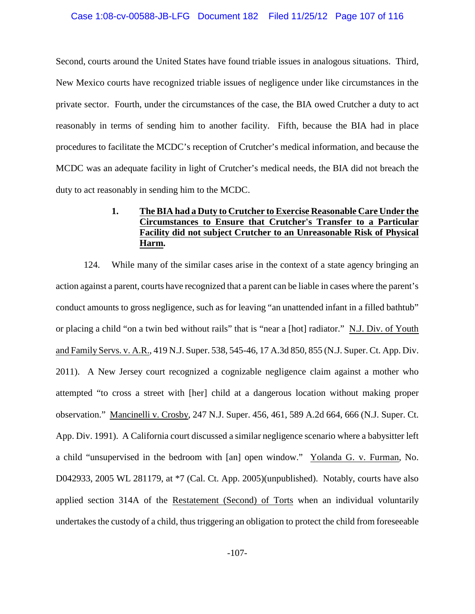Second, courts around the United States have found triable issues in analogous situations. Third, New Mexico courts have recognized triable issues of negligence under like circumstances in the private sector. Fourth, under the circumstances of the case, the BIA owed Crutcher a duty to act reasonably in terms of sending him to another facility. Fifth, because the BIA had in place procedures to facilitate the MCDC's reception of Crutcher's medical information, and because the MCDC was an adequate facility in light of Crutcher's medical needs, the BIA did not breach the duty to act reasonably in sending him to the MCDC.

## **1. The BIA had a Duty to Crutcher to Exercise Reasonable Care Under the Circumstances to Ensure that Crutcher's Transfer to a Particular Facility did not subject Crutcher to an Unreasonable Risk of Physical Harm.**

124. While many of the similar cases arise in the context of a state agency bringing an action against a parent, courts have recognized that a parent can be liable in cases where the parent's conduct amounts to gross negligence, such as for leaving "an unattended infant in a filled bathtub" or placing a child "on a twin bed without rails" that is "near a [hot] radiator." N.J. Div. of Youth and Family Servs. v. A.R., 419 N.J. Super. 538, 545-46, 17 A.3d 850, 855 (N.J. Super. Ct. App. Div. 2011). A New Jersey court recognized a cognizable negligence claim against a mother who attempted "to cross a street with [her] child at a dangerous location without making proper observation." Mancinelli v. Crosby, 247 N.J. Super. 456, 461, 589 A.2d 664, 666 (N.J. Super. Ct. App. Div. 1991). A California court discussed a similar negligence scenario where a babysitter left a child "unsupervised in the bedroom with [an] open window." Yolanda G. v. Furman, No. D042933, 2005 WL 281179, at \*7 (Cal. Ct. App. 2005)(unpublished). Notably, courts have also applied section 314A of the Restatement (Second) of Torts when an individual voluntarily undertakes the custody of a child, thus triggering an obligation to protect the child from foreseeable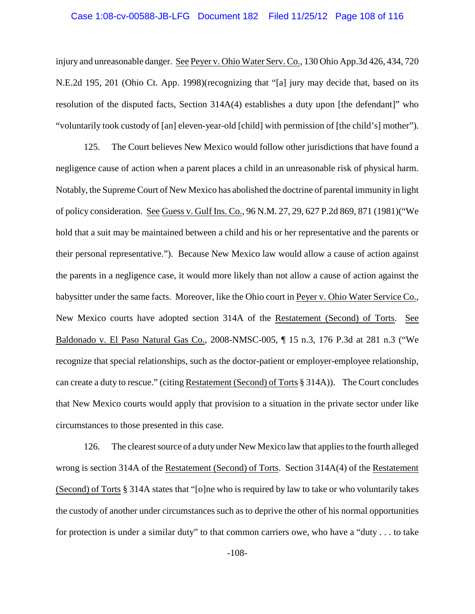#### Case 1:08-cv-00588-JB-LFG Document 182 Filed 11/25/12 Page 108 of 116

injury and unreasonable danger. See Peyer v. Ohio Water Serv. Co., 130 Ohio App.3d 426, 434, 720 N.E.2d 195, 201 (Ohio Ct. App. 1998)(recognizing that "[a] jury may decide that, based on its resolution of the disputed facts, Section 314A(4) establishes a duty upon [the defendant]" who "voluntarily took custody of [an] eleven-year-old [child] with permission of [the child's] mother").

125. The Court believes New Mexico would follow other jurisdictions that have found a negligence cause of action when a parent places a child in an unreasonable risk of physical harm. Notably, the Supreme Court of New Mexico has abolished the doctrine of parental immunity in light of policy consideration. See Guess v. Gulf Ins. Co., 96 N.M. 27, 29, 627 P.2d 869, 871 (1981)("We hold that a suit may be maintained between a child and his or her representative and the parents or their personal representative."). Because New Mexico law would allow a cause of action against the parents in a negligence case, it would more likely than not allow a cause of action against the babysitter under the same facts. Moreover, like the Ohio court in Peyer v. Ohio Water Service Co., New Mexico courts have adopted section 314A of the Restatement (Second) of Torts. See Baldonado v. El Paso Natural Gas Co., 2008-NMSC-005, ¶ 15 n.3, 176 P.3d at 281 n.3 ("We recognize that special relationships, such as the doctor-patient or employer-employee relationship, can create a duty to rescue." (citing Restatement (Second) of Torts § 314A)). The Court concludes that New Mexico courts would apply that provision to a situation in the private sector under like circumstances to those presented in this case.

126. The clearest source of a duty under New Mexico law that applies to the fourth alleged wrong is section 314A of the Restatement (Second) of Torts. Section 314A(4) of the Restatement (Second) of Torts § 314A states that "[o]ne who is required by law to take or who voluntarily takes the custody of another under circumstances such as to deprive the other of his normal opportunities for protection is under a similar duty" to that common carriers owe, who have a "duty . . . to take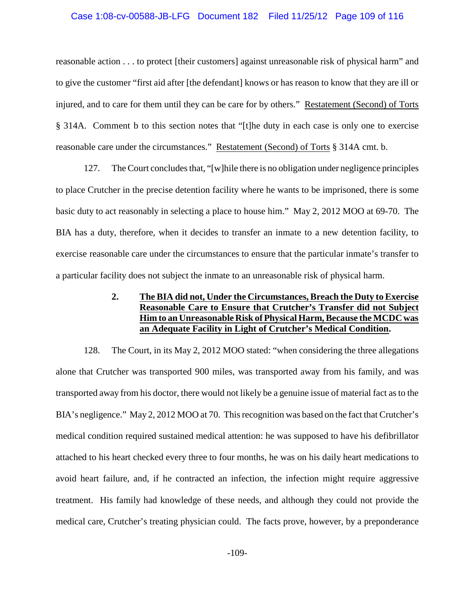### Case 1:08-cv-00588-JB-LFG Document 182 Filed 11/25/12 Page 109 of 116

reasonable action . . . to protect [their customers] against unreasonable risk of physical harm" and to give the customer "first aid after [the defendant] knows or has reason to know that they are ill or injured, and to care for them until they can be care for by others." Restatement (Second) of Torts § 314A. Comment b to this section notes that "[t]he duty in each case is only one to exercise reasonable care under the circumstances." Restatement (Second) of Torts § 314A cmt. b.

127. The Court concludes that, "[w]hile there is no obligation under negligence principles to place Crutcher in the precise detention facility where he wants to be imprisoned, there is some basic duty to act reasonably in selecting a place to house him." May 2, 2012 MOO at 69-70. The BIA has a duty, therefore, when it decides to transfer an inmate to a new detention facility, to exercise reasonable care under the circumstances to ensure that the particular inmate's transfer to a particular facility does not subject the inmate to an unreasonable risk of physical harm.

## **2. The BIA did not, Under the Circumstances, Breach the Duty to Exercise Reasonable Care to Ensure that Crutcher's Transfer did not Subject Him to an Unreasonable Risk of Physical Harm, Because the MCDC was an Adequate Facility in Light of Crutcher's Medical Condition.**

128. The Court, in its May 2, 2012 MOO stated: "when considering the three allegations alone that Crutcher was transported 900 miles, was transported away from his family, and was transported away from his doctor, there would not likely be a genuine issue of material fact as to the BIA's negligence." May 2, 2012 MOO at 70. This recognition was based on the fact that Crutcher's medical condition required sustained medical attention: he was supposed to have his defibrillator attached to his heart checked every three to four months, he was on his daily heart medications to avoid heart failure, and, if he contracted an infection, the infection might require aggressive treatment. His family had knowledge of these needs, and although they could not provide the medical care, Crutcher's treating physician could. The facts prove, however, by a preponderance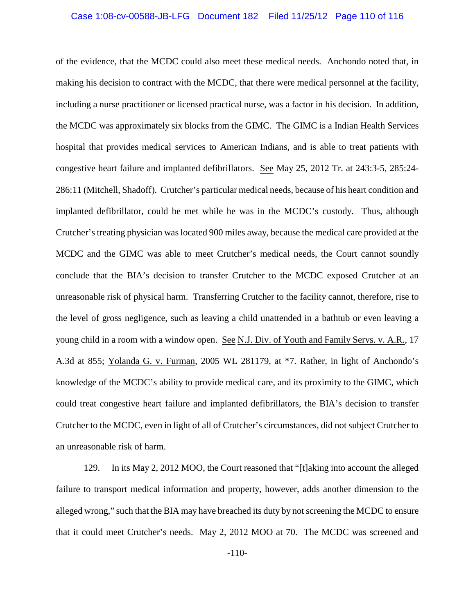### Case 1:08-cv-00588-JB-LFG Document 182 Filed 11/25/12 Page 110 of 116

of the evidence, that the MCDC could also meet these medical needs. Anchondo noted that, in making his decision to contract with the MCDC, that there were medical personnel at the facility, including a nurse practitioner or licensed practical nurse, was a factor in his decision. In addition, the MCDC was approximately six blocks from the GIMC. The GIMC is a Indian Health Services hospital that provides medical services to American Indians, and is able to treat patients with congestive heart failure and implanted defibrillators. See May 25, 2012 Tr. at 243:3-5, 285:24- 286:11 (Mitchell, Shadoff). Crutcher's particular medical needs, because of his heart condition and implanted defibrillator, could be met while he was in the MCDC's custody. Thus, although Crutcher's treating physician was located 900 miles away, because the medical care provided at the MCDC and the GIMC was able to meet Crutcher's medical needs, the Court cannot soundly conclude that the BIA's decision to transfer Crutcher to the MCDC exposed Crutcher at an unreasonable risk of physical harm. Transferring Crutcher to the facility cannot, therefore, rise to the level of gross negligence, such as leaving a child unattended in a bathtub or even leaving a young child in a room with a window open. See N.J. Div. of Youth and Family Servs. v. A.R., 17 A.3d at 855; Yolanda G. v. Furman, 2005 WL 281179, at \*7. Rather, in light of Anchondo's knowledge of the MCDC's ability to provide medical care, and its proximity to the GIMC, which could treat congestive heart failure and implanted defibrillators, the BIA's decision to transfer Crutcher to the MCDC, even in light of all of Crutcher's circumstances, did not subject Crutcher to an unreasonable risk of harm.

129. In its May 2, 2012 MOO, the Court reasoned that "[t]aking into account the alleged failure to transport medical information and property, however, adds another dimension to the alleged wrong," such that the BIA may have breached its duty by not screening the MCDC to ensure that it could meet Crutcher's needs. May 2, 2012 MOO at 70. The MCDC was screened and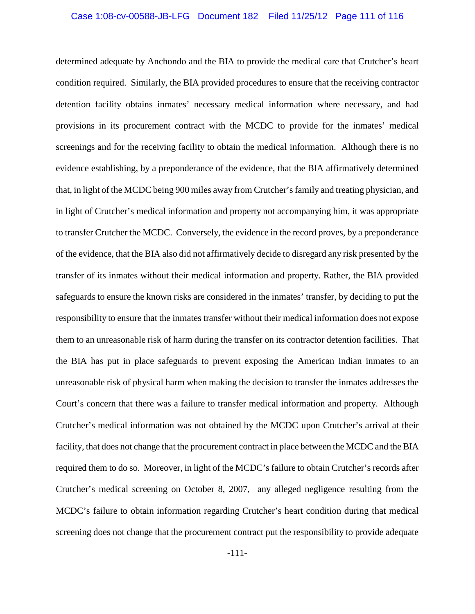### Case 1:08-cv-00588-JB-LFG Document 182 Filed 11/25/12 Page 111 of 116

determined adequate by Anchondo and the BIA to provide the medical care that Crutcher's heart condition required. Similarly, the BIA provided procedures to ensure that the receiving contractor detention facility obtains inmates' necessary medical information where necessary, and had provisions in its procurement contract with the MCDC to provide for the inmates' medical screenings and for the receiving facility to obtain the medical information. Although there is no evidence establishing, by a preponderance of the evidence, that the BIA affirmatively determined that, in light of the MCDC being 900 miles away from Crutcher's family and treating physician, and in light of Crutcher's medical information and property not accompanying him, it was appropriate to transfer Crutcher the MCDC. Conversely, the evidence in the record proves, by a preponderance of the evidence, that the BIA also did not affirmatively decide to disregard any risk presented by the transfer of its inmates without their medical information and property. Rather, the BIA provided safeguards to ensure the known risks are considered in the inmates' transfer, by deciding to put the responsibility to ensure that the inmates transfer without their medical information does not expose them to an unreasonable risk of harm during the transfer on its contractor detention facilities. That the BIA has put in place safeguards to prevent exposing the American Indian inmates to an unreasonable risk of physical harm when making the decision to transfer the inmates addresses the Court's concern that there was a failure to transfer medical information and property. Although Crutcher's medical information was not obtained by the MCDC upon Crutcher's arrival at their facility, that does not change that the procurement contract in place between the MCDC and the BIA required them to do so. Moreover, in light of the MCDC's failure to obtain Crutcher's records after Crutcher's medical screening on October 8, 2007, any alleged negligence resulting from the MCDC's failure to obtain information regarding Crutcher's heart condition during that medical screening does not change that the procurement contract put the responsibility to provide adequate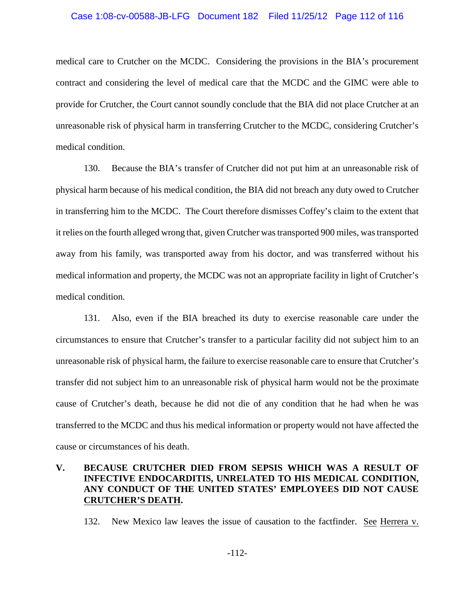### Case 1:08-cv-00588-JB-LFG Document 182 Filed 11/25/12 Page 112 of 116

medical care to Crutcher on the MCDC. Considering the provisions in the BIA's procurement contract and considering the level of medical care that the MCDC and the GIMC were able to provide for Crutcher, the Court cannot soundly conclude that the BIA did not place Crutcher at an unreasonable risk of physical harm in transferring Crutcher to the MCDC, considering Crutcher's medical condition.

130. Because the BIA's transfer of Crutcher did not put him at an unreasonable risk of physical harm because of his medical condition, the BIA did not breach any duty owed to Crutcher in transferring him to the MCDC. The Court therefore dismisses Coffey's claim to the extent that it relies on the fourth alleged wrong that, given Crutcher was transported 900 miles, was transported away from his family, was transported away from his doctor, and was transferred without his medical information and property, the MCDC was not an appropriate facility in light of Crutcher's medical condition.

131. Also, even if the BIA breached its duty to exercise reasonable care under the circumstances to ensure that Crutcher's transfer to a particular facility did not subject him to an unreasonable risk of physical harm, the failure to exercise reasonable care to ensure that Crutcher's transfer did not subject him to an unreasonable risk of physical harm would not be the proximate cause of Crutcher's death, because he did not die of any condition that he had when he was transferred to the MCDC and thus his medical information or property would not have affected the cause or circumstances of his death.

## **V. BECAUSE CRUTCHER DIED FROM SEPSIS WHICH WAS A RESULT OF INFECTIVE ENDOCARDITIS, UNRELATED TO HIS MEDICAL CONDITION, ANY CONDUCT OF THE UNITED STATES' EMPLOYEES DID NOT CAUSE CRUTCHER'S DEATH.**

132. New Mexico law leaves the issue of causation to the factfinder. See Herrera v.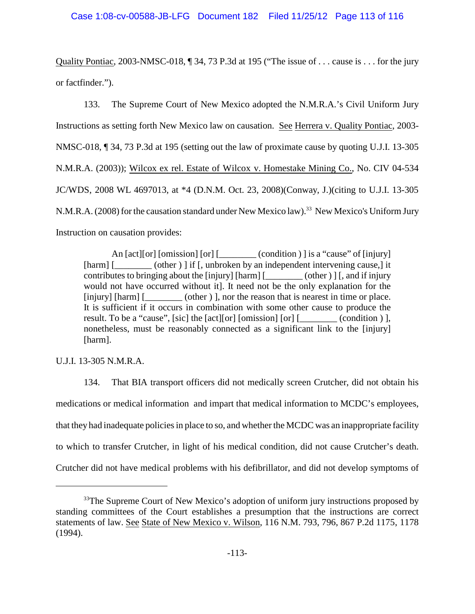Quality Pontiac, 2003-NMSC-018, ¶ 34, 73 P.3d at 195 ("The issue of . . . cause is . . . for the jury or factfinder.").

133. The Supreme Court of New Mexico adopted the N.M.R.A.'s Civil Uniform Jury Instructions as setting forth New Mexico law on causation. See Herrera v. Quality Pontiac, 2003- NMSC-018, ¶ 34, 73 P.3d at 195 (setting out the law of proximate cause by quoting U.J.I. 13-305 N.M.R.A. (2003)); Wilcox ex rel. Estate of Wilcox v. Homestake Mining Co., No. CIV 04-534 JC/WDS, 2008 WL 4697013, at \*4 (D.N.M. Oct. 23, 2008)(Conway, J.)(citing to U.J.I. 13-305 N.M.R.A. (2008) for the causation standard under New Mexico law).<sup>33</sup> New Mexico's Uniform Jury Instruction on causation provides:

An [act][or] [omission] [or] [\_\_\_\_\_\_\_\_\_ (condition ) ] is a "cause" of [injury] [harm] [\_\_\_\_\_\_\_\_ (other ) ] if [, unbroken by an independent intervening cause,] it contributes to bringing about the [injury] [harm] [\_\_\_\_\_\_\_\_ (other ) ] [, and if injury would not have occurred without it]. It need not be the only explanation for the [injury] [harm]  $\lceil \frac{1}{\text{otherwise}} \rceil$  [other ) ], nor the reason that is nearest in time or place. It is sufficient if it occurs in combination with some other cause to produce the result. To be a "cause", [sic] the [act][or] [omission] [or] [\_\_\_\_\_\_\_\_\_\_(condition )], nonetheless, must be reasonably connected as a significant link to the [injury] [harm].

U.J.I. 13-305 N.M.R.A.

134. That BIA transport officers did not medically screen Crutcher, did not obtain his medications or medical information and impart that medical information to MCDC's employees, that they had inadequate policies in place to so, and whether the MCDC was an inappropriate facility to which to transfer Crutcher, in light of his medical condition, did not cause Crutcher's death. Crutcher did not have medical problems with his defibrillator, and did not develop symptoms of

 $33$ <sup>33</sup>The Supreme Court of New Mexico's adoption of uniform jury instructions proposed by standing committees of the Court establishes a presumption that the instructions are correct statements of law. See State of New Mexico v. Wilson, 116 N.M. 793, 796, 867 P.2d 1175, 1178 (1994).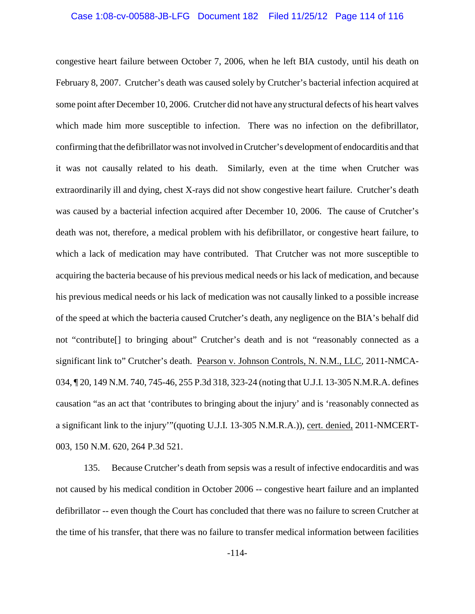## Case 1:08-cv-00588-JB-LFG Document 182 Filed 11/25/12 Page 114 of 116

congestive heart failure between October 7, 2006, when he left BIA custody, until his death on February 8, 2007. Crutcher's death was caused solely by Crutcher's bacterial infection acquired at some point after December 10, 2006. Crutcher did not have any structural defects of his heart valves which made him more susceptible to infection. There was no infection on the defibrillator, confirming that the defibrillator was not involved in Crutcher's development of endocarditis and that it was not causally related to his death. Similarly, even at the time when Crutcher was extraordinarily ill and dying, chest X-rays did not show congestive heart failure. Crutcher's death was caused by a bacterial infection acquired after December 10, 2006. The cause of Crutcher's death was not, therefore, a medical problem with his defibrillator, or congestive heart failure, to which a lack of medication may have contributed. That Crutcher was not more susceptible to acquiring the bacteria because of his previous medical needs or his lack of medication, and because his previous medical needs or his lack of medication was not causally linked to a possible increase of the speed at which the bacteria caused Crutcher's death, any negligence on the BIA's behalf did not "contribute[] to bringing about" Crutcher's death and is not "reasonably connected as a significant link to" Crutcher's death. Pearson v. Johnson Controls, N. N.M., LLC, 2011-NMCA-034, ¶ 20, 149 N.M. 740, 745-46, 255 P.3d 318, 323-24 (noting that U.J.I. 13-305 N.M.R.A. defines causation "as an act that 'contributes to bringing about the injury' and is 'reasonably connected as a significant link to the injury'"(quoting U.J.I. 13-305 N.M.R.A.)), cert. denied, 2011-NMCERT-003, 150 N.M. 620, 264 P.3d 521.

135. Because Crutcher's death from sepsis was a result of infective endocarditis and was not caused by his medical condition in October 2006 -- congestive heart failure and an implanted defibrillator -- even though the Court has concluded that there was no failure to screen Crutcher at the time of his transfer, that there was no failure to transfer medical information between facilities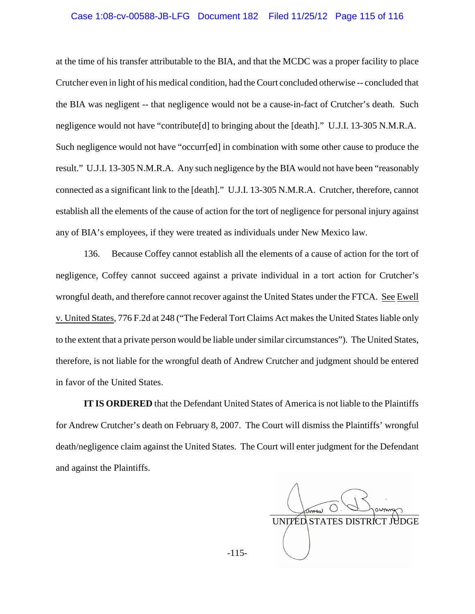### Case 1:08-cv-00588-JB-LFG Document 182 Filed 11/25/12 Page 115 of 116

at the time of his transfer attributable to the BIA, and that the MCDC was a proper facility to place Crutcher even in light of his medical condition, had the Court concluded otherwise -- concluded that the BIA was negligent -- that negligence would not be a cause-in-fact of Crutcher's death. Such negligence would not have "contribute[d] to bringing about the [death]." U.J.I. 13-305 N.M.R.A. Such negligence would not have "occurr[ed] in combination with some other cause to produce the result." U.J.I. 13-305 N.M.R.A. Any such negligence by the BIA would not have been "reasonably connected as a significant link to the [death]." U.J.I. 13-305 N.M.R.A. Crutcher, therefore, cannot establish all the elements of the cause of action for the tort of negligence for personal injury against any of BIA's employees, if they were treated as individuals under New Mexico law.

136. Because Coffey cannot establish all the elements of a cause of action for the tort of negligence, Coffey cannot succeed against a private individual in a tort action for Crutcher's wrongful death, and therefore cannot recover against the United States under the FTCA. See Ewell v. United States, 776 F.2d at 248 ("The Federal Tort Claims Act makes the United States liable only to the extent that a private person would be liable under similar circumstances"). The United States, therefore, is not liable for the wrongful death of Andrew Crutcher and judgment should be entered in favor of the United States.

**IT IS ORDERED** that the Defendant United States of America is not liable to the Plaintiffs for Andrew Crutcher's death on February 8, 2007. The Court will dismiss the Plaintiffs' wrongful death/negligence claim against the United States. The Court will enter judgment for the Defendant and against the Plaintiffs.

  $\binom{1}{k}$ UNITED STATES DISTRICT

-115-